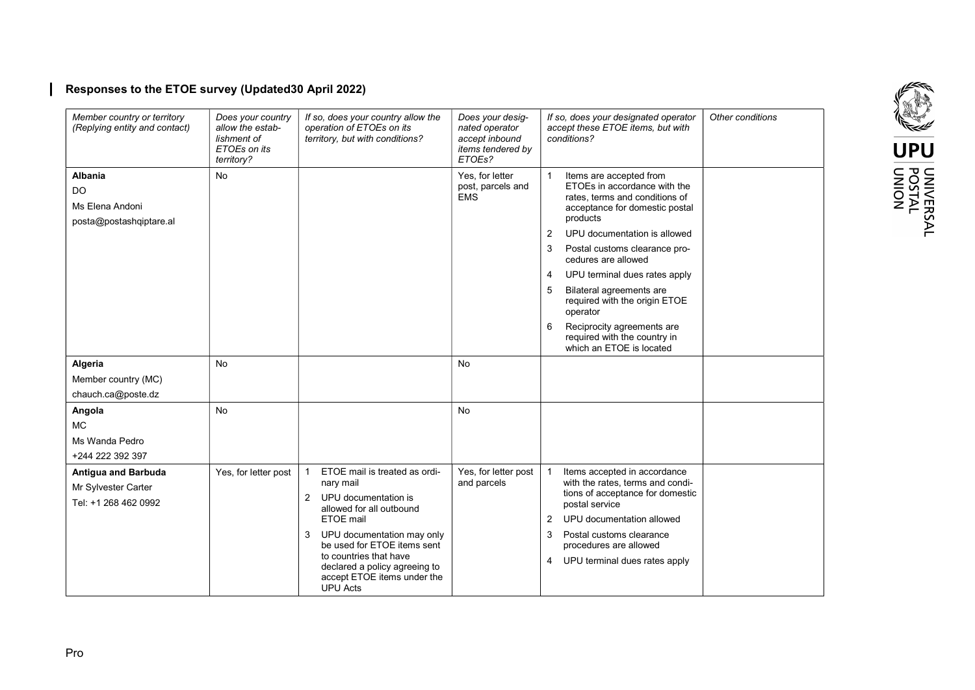# Responses to the ETOE survey (Updated30 April 2022)

| Member country or territory<br>(Replying entity and contact)              | Does your country<br>allow the estab-<br>lishment of<br>ETOEs on its<br>territory? | If so, does your country allow the<br>operation of ETOEs on its<br>territory, but with conditions?                                                                                                                                                                                           | Does your desig-<br>nated operator<br>accept inbound<br>items tendered by<br>ETOEs? | If so, does your designated operator<br>accept these ETOE items, but with<br>conditions?                                                                                                                                                                                                                                                                                                                                                                                  | Other conditions |
|---------------------------------------------------------------------------|------------------------------------------------------------------------------------|----------------------------------------------------------------------------------------------------------------------------------------------------------------------------------------------------------------------------------------------------------------------------------------------|-------------------------------------------------------------------------------------|---------------------------------------------------------------------------------------------------------------------------------------------------------------------------------------------------------------------------------------------------------------------------------------------------------------------------------------------------------------------------------------------------------------------------------------------------------------------------|------------------|
| <b>Albania</b><br>DO<br>Ms Elena Andoni<br>posta@postashqiptare.al        | <b>No</b>                                                                          |                                                                                                                                                                                                                                                                                              | Yes, for letter<br>post, parcels and<br><b>EMS</b>                                  | Items are accepted from<br>ETOEs in accordance with the<br>rates, terms and conditions of<br>acceptance for domestic postal<br>products<br>UPU documentation is allowed<br>2<br>3<br>Postal customs clearance pro-<br>cedures are allowed<br>UPU terminal dues rates apply<br>$\overline{4}$<br>5<br>Bilateral agreements are<br>required with the origin ETOE<br>operator<br>Reciprocity agreements are<br>6<br>required with the country in<br>which an ETOE is located |                  |
| Algeria<br>Member country (MC)<br>chauch.ca@poste.dz                      | No                                                                                 |                                                                                                                                                                                                                                                                                              | No                                                                                  |                                                                                                                                                                                                                                                                                                                                                                                                                                                                           |                  |
| Angola<br><b>MC</b><br>Ms Wanda Pedro<br>+244 222 392 397                 | <b>No</b>                                                                          |                                                                                                                                                                                                                                                                                              | No                                                                                  |                                                                                                                                                                                                                                                                                                                                                                                                                                                                           |                  |
| <b>Antigua and Barbuda</b><br>Mr Sylvester Carter<br>Tel: +1 268 462 0992 | Yes, for letter post                                                               | ETOE mail is treated as ordi-<br>nary mail<br>2 UPU documentation is<br>allowed for all outbound<br>ETOE mail<br>3<br>UPU documentation may only<br>be used for ETOE items sent<br>to countries that have<br>declared a policy agreeing to<br>accept ETOE items under the<br><b>UPU</b> Acts | Yes, for letter post<br>and parcels                                                 | Items accepted in accordance<br>with the rates, terms and condi-<br>tions of acceptance for domestic<br>postal service<br>UPU documentation allowed<br>2<br>Postal customs clearance<br>3<br>procedures are allowed<br>4 UPU terminal dues rates apply                                                                                                                                                                                                                    |                  |

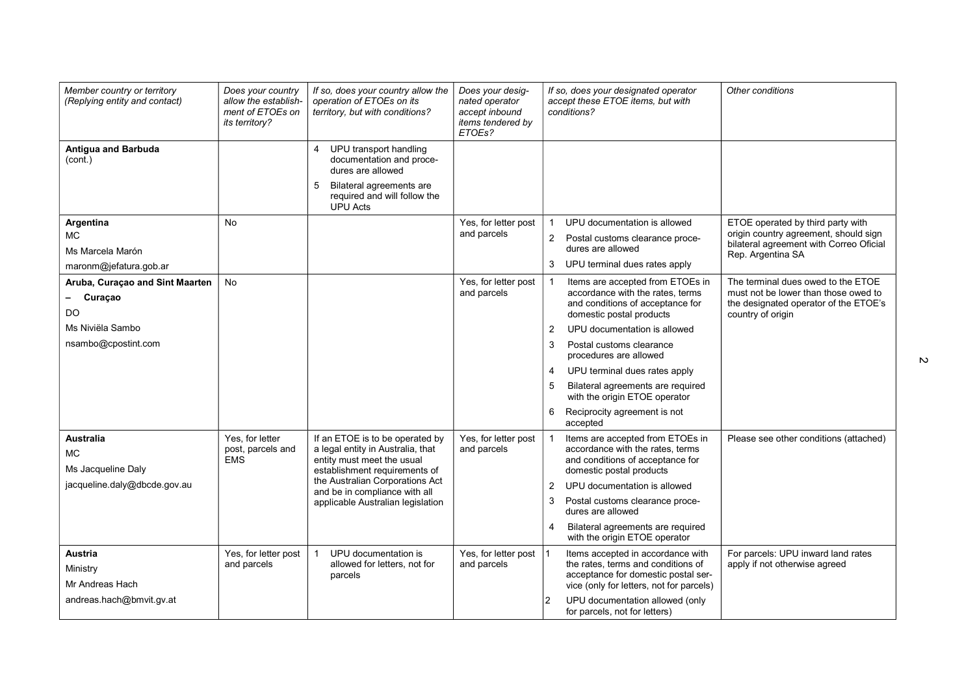| Member country or territory<br>(Replying entity and contact)  | Does your country<br>allow the establish-<br>ment of ETOEs on<br>its territory? | If so, does your country allow the<br>operation of ETOEs on its<br>territory, but with conditions?                                  | Does your desig-<br>nated operator<br>accept inbound<br>items tendered by<br>ETOEs? | If so, does your designated operator<br>Other conditions<br>accept these ETOE items, but with<br>conditions?                                                                                                                                                                     |
|---------------------------------------------------------------|---------------------------------------------------------------------------------|-------------------------------------------------------------------------------------------------------------------------------------|-------------------------------------------------------------------------------------|----------------------------------------------------------------------------------------------------------------------------------------------------------------------------------------------------------------------------------------------------------------------------------|
| <b>Antigua and Barbuda</b><br>(cont.)                         |                                                                                 | UPU transport handling<br>$\overline{4}$<br>documentation and proce-<br>dures are allowed<br>Bilateral agreements are<br>5          |                                                                                     |                                                                                                                                                                                                                                                                                  |
|                                                               |                                                                                 | required and will follow the<br><b>UPU Acts</b>                                                                                     |                                                                                     |                                                                                                                                                                                                                                                                                  |
| Argentina<br>МC<br>Ms Marcela Marón<br>maronm@jefatura.gob.ar | <b>No</b>                                                                       |                                                                                                                                     | Yes, for letter post<br>and parcels                                                 | ETOE operated by third party with<br>UPU documentation is allowed<br>origin country agreement, should sign<br>Postal customs clearance proce-<br>2<br>bilateral agreement with Correo Oficial<br>dures are allowed<br>Rep. Argentina SA<br>3 UPU terminal dues rates apply       |
| Aruba, Curaçao and Sint Maarten<br>Curacao<br>DO              | No                                                                              |                                                                                                                                     | Yes, for letter post<br>and parcels                                                 | The terminal dues owed to the ETOE<br>Items are accepted from ETOEs in<br>accordance with the rates, terms<br>must not be lower than those owed to<br>and conditions of acceptance for<br>the designated operator of the ETOE's<br>domestic postal products<br>country of origin |
| Ms Niviëla Sambo                                              |                                                                                 |                                                                                                                                     |                                                                                     | UPU documentation is allowed<br>2                                                                                                                                                                                                                                                |
| nsambo@cpostint.com                                           |                                                                                 |                                                                                                                                     |                                                                                     | 3<br>Postal customs clearance<br>procedures are allowed                                                                                                                                                                                                                          |
|                                                               |                                                                                 |                                                                                                                                     |                                                                                     | UPU terminal dues rates apply<br>4                                                                                                                                                                                                                                               |
|                                                               |                                                                                 |                                                                                                                                     |                                                                                     | Bilateral agreements are required<br>5<br>with the origin ETOE operator                                                                                                                                                                                                          |
|                                                               |                                                                                 |                                                                                                                                     |                                                                                     | 6 Reciprocity agreement is not<br>accepted                                                                                                                                                                                                                                       |
| <b>Australia</b><br>MC.<br>Ms Jacqueline Daly                 | Yes. for letter<br>post, parcels and<br><b>EMS</b>                              | If an ETOE is to be operated by<br>a legal entity in Australia, that<br>entity must meet the usual<br>establishment requirements of | Yes, for letter post<br>and parcels                                                 | Items are accepted from ETOEs in<br>Please see other conditions (attached)<br>accordance with the rates, terms<br>and conditions of acceptance for<br>domestic postal products                                                                                                   |
| jacqueline.daly@dbcde.gov.au                                  |                                                                                 | the Australian Corporations Act<br>and be in compliance with all                                                                    |                                                                                     | UPU documentation is allowed<br>2                                                                                                                                                                                                                                                |
|                                                               |                                                                                 | applicable Australian legislation                                                                                                   |                                                                                     | Postal customs clearance proce-<br>3<br>dures are allowed                                                                                                                                                                                                                        |
|                                                               |                                                                                 |                                                                                                                                     |                                                                                     | Bilateral agreements are required<br>4<br>with the origin ETOE operator                                                                                                                                                                                                          |
| <b>Austria</b><br>Ministry<br>Mr Andreas Hach                 | Yes, for letter post<br>and parcels                                             | UPU documentation is<br>allowed for letters, not for<br>parcels                                                                     | Yes, for letter post<br>and parcels                                                 | For parcels: UPU inward land rates<br>Items accepted in accordance with<br>the rates, terms and conditions of<br>apply if not otherwise agreed<br>acceptance for domestic postal ser-<br>vice (only for letters, not for parcels)                                                |
| andreas.hach@bmvit.gv.at                                      |                                                                                 |                                                                                                                                     |                                                                                     | UPU documentation allowed (only<br>$\overline{2}$<br>for parcels, not for letters)                                                                                                                                                                                               |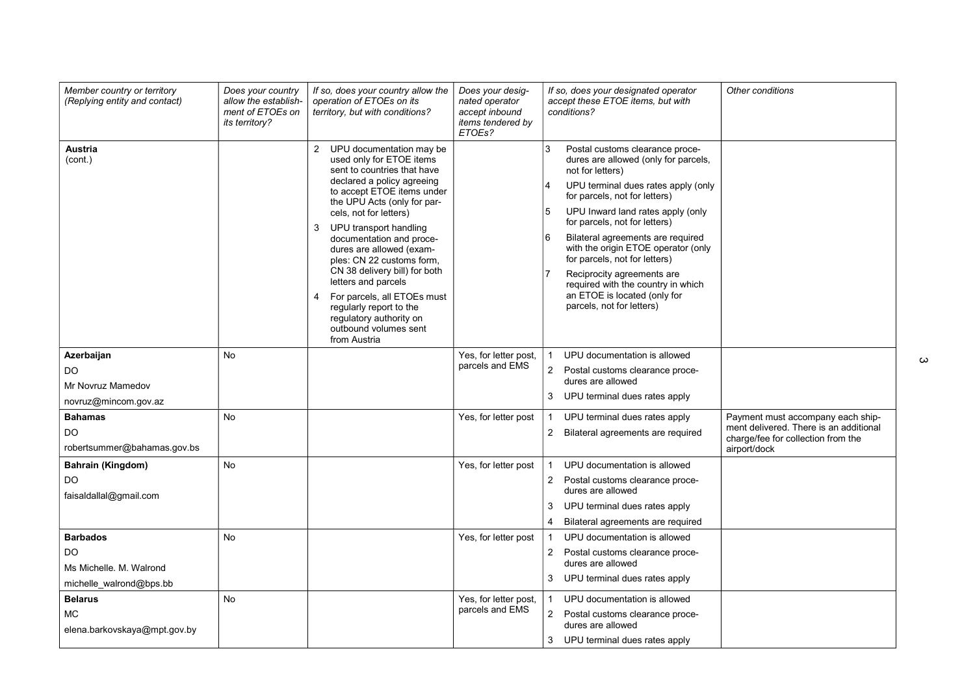| <b>Austria</b><br>UPU documentation may be<br>3<br>$\overline{2}$<br>Postal customs clearance proce-<br>used only for ETOE items<br>(cont.)<br>dures are allowed (only for parcels,<br>sent to countries that have<br>not for letters)<br>declared a policy agreeing<br>UPU terminal dues rates apply (only<br>to accept ETOE items under<br>for parcels, not for letters)<br>the UPU Acts (only for par-<br>5<br>UPU Inward land rates apply (only<br>cels, not for letters)<br>for parcels, not for letters)<br>UPU transport handling<br>3<br>Bilateral agreements are required<br>documentation and proce-<br>with the origin ETOE operator (only<br>dures are allowed (exam-<br>for parcels, not for letters)<br>ples: CN 22 customs form,<br>CN 38 delivery bill) for both<br>Reciprocity agreements are<br>letters and parcels<br>required with the country in which<br>an ETOE is located (only for<br>For parcels, all ETOEs must<br>4<br>parcels, not for letters)<br>regularly report to the<br>regulatory authority on<br>outbound volumes sent<br>from Austria<br>Azerbaijan<br>Yes, for letter post,<br>No<br>UPU documentation is allowed<br>parcels and EMS<br>$\overline{2}$<br>DO<br>Postal customs clearance proce-<br>dures are allowed<br>Mr Novruz Mamedov<br>3 UPU terminal dues rates apply<br>novruz@mincom.gov.az<br><b>Bahamas</b><br><b>No</b><br>UPU terminal dues rates apply<br>Payment must accompany each ship-<br>Yes, for letter post<br>ment delivered. There is an additional<br>DO.<br>Bilateral agreements are required<br>$\overline{2}$<br>charge/fee for collection from the<br>robertsummer@bahamas.gov.bs<br>airport/dock<br><b>No</b><br>Yes, for letter post<br>UPU documentation is allowed<br>Bahrain (Kingdom)<br>DO<br>$\overline{2}$<br>Postal customs clearance proce-<br>dures are allowed<br>faisaldallal@gmail.com<br>UPU terminal dues rates apply<br>3<br>Bilateral agreements are required<br>4<br><b>Barbados</b><br><b>No</b><br>Yes, for letter post<br>UPU documentation is allowed<br>DO.<br>2 Postal customs clearance proce-<br>dures are allowed<br>Ms Michelle, M. Walrond<br>3 UPU terminal dues rates apply<br>michelle_walrond@bps.bb<br>Yes, for letter post,<br><b>Belarus</b><br><b>No</b><br>UPU documentation is allowed<br>parcels and EMS<br><b>MC</b><br>$\overline{2}$<br>Postal customs clearance proce-<br>dures are allowed | Member country or territory<br>(Replying entity and contact) | Does your country<br>allow the establish-<br>ment of ETOEs on<br><i>its territory?</i> | If so, does your country allow the<br>operation of ETOEs on its<br>territory, but with conditions? | Does your desig-<br>nated operator<br>accept inbound<br>items tendered by<br>ETOEs? | If so, does your designated operator<br>accept these ETOE items, but with<br>conditions? | Other conditions |
|---------------------------------------------------------------------------------------------------------------------------------------------------------------------------------------------------------------------------------------------------------------------------------------------------------------------------------------------------------------------------------------------------------------------------------------------------------------------------------------------------------------------------------------------------------------------------------------------------------------------------------------------------------------------------------------------------------------------------------------------------------------------------------------------------------------------------------------------------------------------------------------------------------------------------------------------------------------------------------------------------------------------------------------------------------------------------------------------------------------------------------------------------------------------------------------------------------------------------------------------------------------------------------------------------------------------------------------------------------------------------------------------------------------------------------------------------------------------------------------------------------------------------------------------------------------------------------------------------------------------------------------------------------------------------------------------------------------------------------------------------------------------------------------------------------------------------------------------------------------------------------------------------------------------------------------------------------------------------------------------------------------------------------------------------------------------------------------------------------------------------------------------------------------------------------------------------------------------------------------------------------------------------------------------------------------------------------------------------------------------------------------------------------------|--------------------------------------------------------------|----------------------------------------------------------------------------------------|----------------------------------------------------------------------------------------------------|-------------------------------------------------------------------------------------|------------------------------------------------------------------------------------------|------------------|
|                                                                                                                                                                                                                                                                                                                                                                                                                                                                                                                                                                                                                                                                                                                                                                                                                                                                                                                                                                                                                                                                                                                                                                                                                                                                                                                                                                                                                                                                                                                                                                                                                                                                                                                                                                                                                                                                                                                                                                                                                                                                                                                                                                                                                                                                                                                                                                                                               |                                                              |                                                                                        |                                                                                                    |                                                                                     |                                                                                          |                  |
|                                                                                                                                                                                                                                                                                                                                                                                                                                                                                                                                                                                                                                                                                                                                                                                                                                                                                                                                                                                                                                                                                                                                                                                                                                                                                                                                                                                                                                                                                                                                                                                                                                                                                                                                                                                                                                                                                                                                                                                                                                                                                                                                                                                                                                                                                                                                                                                                               |                                                              |                                                                                        |                                                                                                    |                                                                                     |                                                                                          |                  |
|                                                                                                                                                                                                                                                                                                                                                                                                                                                                                                                                                                                                                                                                                                                                                                                                                                                                                                                                                                                                                                                                                                                                                                                                                                                                                                                                                                                                                                                                                                                                                                                                                                                                                                                                                                                                                                                                                                                                                                                                                                                                                                                                                                                                                                                                                                                                                                                                               |                                                              |                                                                                        |                                                                                                    |                                                                                     |                                                                                          |                  |
|                                                                                                                                                                                                                                                                                                                                                                                                                                                                                                                                                                                                                                                                                                                                                                                                                                                                                                                                                                                                                                                                                                                                                                                                                                                                                                                                                                                                                                                                                                                                                                                                                                                                                                                                                                                                                                                                                                                                                                                                                                                                                                                                                                                                                                                                                                                                                                                                               |                                                              |                                                                                        |                                                                                                    |                                                                                     |                                                                                          |                  |
|                                                                                                                                                                                                                                                                                                                                                                                                                                                                                                                                                                                                                                                                                                                                                                                                                                                                                                                                                                                                                                                                                                                                                                                                                                                                                                                                                                                                                                                                                                                                                                                                                                                                                                                                                                                                                                                                                                                                                                                                                                                                                                                                                                                                                                                                                                                                                                                                               |                                                              |                                                                                        |                                                                                                    |                                                                                     |                                                                                          |                  |
|                                                                                                                                                                                                                                                                                                                                                                                                                                                                                                                                                                                                                                                                                                                                                                                                                                                                                                                                                                                                                                                                                                                                                                                                                                                                                                                                                                                                                                                                                                                                                                                                                                                                                                                                                                                                                                                                                                                                                                                                                                                                                                                                                                                                                                                                                                                                                                                                               |                                                              |                                                                                        |                                                                                                    |                                                                                     |                                                                                          |                  |
|                                                                                                                                                                                                                                                                                                                                                                                                                                                                                                                                                                                                                                                                                                                                                                                                                                                                                                                                                                                                                                                                                                                                                                                                                                                                                                                                                                                                                                                                                                                                                                                                                                                                                                                                                                                                                                                                                                                                                                                                                                                                                                                                                                                                                                                                                                                                                                                                               |                                                              |                                                                                        |                                                                                                    |                                                                                     |                                                                                          |                  |
|                                                                                                                                                                                                                                                                                                                                                                                                                                                                                                                                                                                                                                                                                                                                                                                                                                                                                                                                                                                                                                                                                                                                                                                                                                                                                                                                                                                                                                                                                                                                                                                                                                                                                                                                                                                                                                                                                                                                                                                                                                                                                                                                                                                                                                                                                                                                                                                                               |                                                              |                                                                                        |                                                                                                    |                                                                                     |                                                                                          |                  |
|                                                                                                                                                                                                                                                                                                                                                                                                                                                                                                                                                                                                                                                                                                                                                                                                                                                                                                                                                                                                                                                                                                                                                                                                                                                                                                                                                                                                                                                                                                                                                                                                                                                                                                                                                                                                                                                                                                                                                                                                                                                                                                                                                                                                                                                                                                                                                                                                               |                                                              |                                                                                        |                                                                                                    |                                                                                     |                                                                                          |                  |
|                                                                                                                                                                                                                                                                                                                                                                                                                                                                                                                                                                                                                                                                                                                                                                                                                                                                                                                                                                                                                                                                                                                                                                                                                                                                                                                                                                                                                                                                                                                                                                                                                                                                                                                                                                                                                                                                                                                                                                                                                                                                                                                                                                                                                                                                                                                                                                                                               |                                                              |                                                                                        |                                                                                                    |                                                                                     |                                                                                          |                  |
|                                                                                                                                                                                                                                                                                                                                                                                                                                                                                                                                                                                                                                                                                                                                                                                                                                                                                                                                                                                                                                                                                                                                                                                                                                                                                                                                                                                                                                                                                                                                                                                                                                                                                                                                                                                                                                                                                                                                                                                                                                                                                                                                                                                                                                                                                                                                                                                                               |                                                              |                                                                                        |                                                                                                    |                                                                                     |                                                                                          |                  |
|                                                                                                                                                                                                                                                                                                                                                                                                                                                                                                                                                                                                                                                                                                                                                                                                                                                                                                                                                                                                                                                                                                                                                                                                                                                                                                                                                                                                                                                                                                                                                                                                                                                                                                                                                                                                                                                                                                                                                                                                                                                                                                                                                                                                                                                                                                                                                                                                               |                                                              |                                                                                        |                                                                                                    |                                                                                     |                                                                                          |                  |
|                                                                                                                                                                                                                                                                                                                                                                                                                                                                                                                                                                                                                                                                                                                                                                                                                                                                                                                                                                                                                                                                                                                                                                                                                                                                                                                                                                                                                                                                                                                                                                                                                                                                                                                                                                                                                                                                                                                                                                                                                                                                                                                                                                                                                                                                                                                                                                                                               |                                                              |                                                                                        |                                                                                                    |                                                                                     |                                                                                          |                  |
|                                                                                                                                                                                                                                                                                                                                                                                                                                                                                                                                                                                                                                                                                                                                                                                                                                                                                                                                                                                                                                                                                                                                                                                                                                                                                                                                                                                                                                                                                                                                                                                                                                                                                                                                                                                                                                                                                                                                                                                                                                                                                                                                                                                                                                                                                                                                                                                                               |                                                              |                                                                                        |                                                                                                    |                                                                                     |                                                                                          |                  |
|                                                                                                                                                                                                                                                                                                                                                                                                                                                                                                                                                                                                                                                                                                                                                                                                                                                                                                                                                                                                                                                                                                                                                                                                                                                                                                                                                                                                                                                                                                                                                                                                                                                                                                                                                                                                                                                                                                                                                                                                                                                                                                                                                                                                                                                                                                                                                                                                               |                                                              |                                                                                        |                                                                                                    |                                                                                     |                                                                                          |                  |
|                                                                                                                                                                                                                                                                                                                                                                                                                                                                                                                                                                                                                                                                                                                                                                                                                                                                                                                                                                                                                                                                                                                                                                                                                                                                                                                                                                                                                                                                                                                                                                                                                                                                                                                                                                                                                                                                                                                                                                                                                                                                                                                                                                                                                                                                                                                                                                                                               |                                                              |                                                                                        |                                                                                                    |                                                                                     |                                                                                          |                  |
|                                                                                                                                                                                                                                                                                                                                                                                                                                                                                                                                                                                                                                                                                                                                                                                                                                                                                                                                                                                                                                                                                                                                                                                                                                                                                                                                                                                                                                                                                                                                                                                                                                                                                                                                                                                                                                                                                                                                                                                                                                                                                                                                                                                                                                                                                                                                                                                                               |                                                              |                                                                                        |                                                                                                    |                                                                                     |                                                                                          |                  |
| UPU terminal dues rates apply<br>3                                                                                                                                                                                                                                                                                                                                                                                                                                                                                                                                                                                                                                                                                                                                                                                                                                                                                                                                                                                                                                                                                                                                                                                                                                                                                                                                                                                                                                                                                                                                                                                                                                                                                                                                                                                                                                                                                                                                                                                                                                                                                                                                                                                                                                                                                                                                                                            | elena.barkovskaya@mpt.gov.by                                 |                                                                                        |                                                                                                    |                                                                                     |                                                                                          |                  |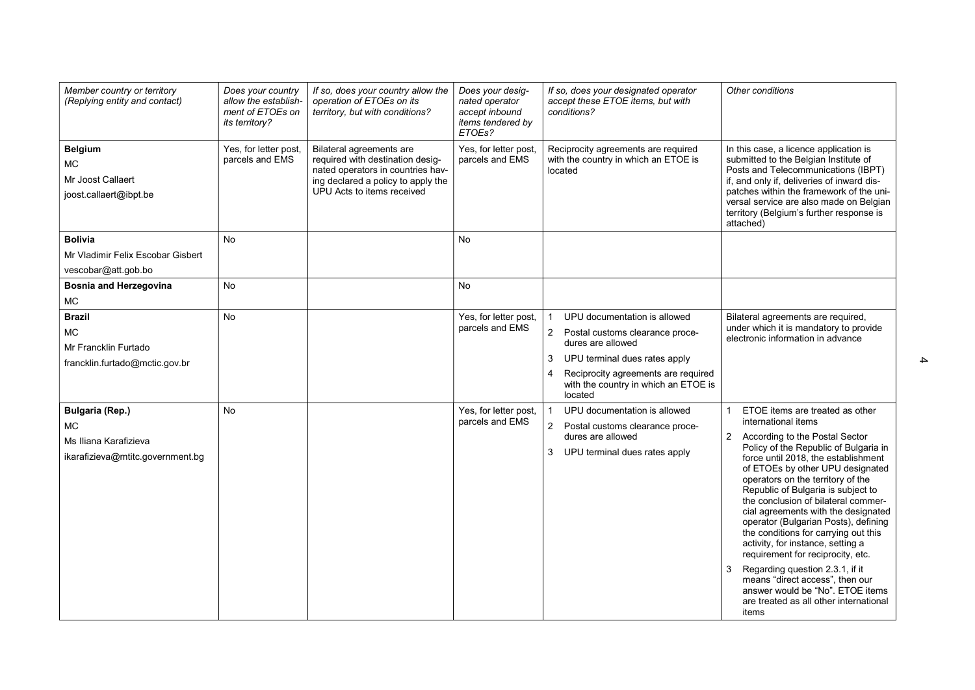| Member country or territory<br>(Replying entity and contact)                                     | Does your country<br>allow the establish-<br>ment of ETOEs on<br>its territory? | If so, does your country allow the<br>operation of ETOEs on its<br>territory, but with conditions?                                                                    | Does your desig-<br>nated operator<br>accept inbound<br>items tendered by<br>ETOEs? | If so, does your designated operator<br>accept these ETOE items, but with<br>conditions?                                                                                                                                                    | Other conditions                                                                                                                                                                                                                                                                                                                                                                                                                                                                                                                                                                                                                                                                                                    |
|--------------------------------------------------------------------------------------------------|---------------------------------------------------------------------------------|-----------------------------------------------------------------------------------------------------------------------------------------------------------------------|-------------------------------------------------------------------------------------|---------------------------------------------------------------------------------------------------------------------------------------------------------------------------------------------------------------------------------------------|---------------------------------------------------------------------------------------------------------------------------------------------------------------------------------------------------------------------------------------------------------------------------------------------------------------------------------------------------------------------------------------------------------------------------------------------------------------------------------------------------------------------------------------------------------------------------------------------------------------------------------------------------------------------------------------------------------------------|
| <b>Belgium</b><br><b>MC</b><br>Mr Joost Callaert<br>joost.callaert@ibpt.be                       | Yes, for letter post,<br>parcels and EMS                                        | Bilateral agreements are<br>required with destination desig-<br>nated operators in countries hav-<br>ing declared a policy to apply the<br>UPU Acts to items received | Yes, for letter post,<br>parcels and EMS                                            | Reciprocity agreements are required<br>with the country in which an ETOE is<br>located                                                                                                                                                      | In this case, a licence application is<br>submitted to the Belgian Institute of<br>Posts and Telecommunications (IBPT)<br>if, and only if, deliveries of inward dis-<br>patches within the framework of the uni-<br>versal service are also made on Belgian<br>territory (Belgium's further response is<br>attached)                                                                                                                                                                                                                                                                                                                                                                                                |
| <b>Bolivia</b><br>Mr Vladimir Felix Escobar Gisbert<br>vescobar@att.gob.bo                       | No                                                                              |                                                                                                                                                                       | No                                                                                  |                                                                                                                                                                                                                                             |                                                                                                                                                                                                                                                                                                                                                                                                                                                                                                                                                                                                                                                                                                                     |
| <b>Bosnia and Herzegovina</b><br>MC                                                              | No                                                                              |                                                                                                                                                                       | <b>No</b>                                                                           |                                                                                                                                                                                                                                             |                                                                                                                                                                                                                                                                                                                                                                                                                                                                                                                                                                                                                                                                                                                     |
| <b>Brazil</b><br><b>MC</b><br>Mr Francklin Furtado<br>francklin.furtado@mctic.gov.br             | <b>No</b>                                                                       |                                                                                                                                                                       | Yes, for letter post,<br>parcels and EMS                                            | UPU documentation is allowed<br>$\overline{2}$<br>Postal customs clearance proce-<br>dures are allowed<br>3<br>UPU terminal dues rates apply<br>Reciprocity agreements are required<br>4<br>with the country in which an ETOE is<br>located | Bilateral agreements are required,<br>under which it is mandatory to provide<br>electronic information in advance                                                                                                                                                                                                                                                                                                                                                                                                                                                                                                                                                                                                   |
| <b>Bulgaria (Rep.)</b><br><b>MC</b><br>Ms Iliana Karafizieva<br>ikarafizieva@mtitc.government.bg | <b>No</b>                                                                       |                                                                                                                                                                       | Yes, for letter post,<br>parcels and EMS                                            | UPU documentation is allowed<br>2 Postal customs clearance proce-<br>dures are allowed<br>3<br>UPU terminal dues rates apply                                                                                                                | ETOE items are treated as other<br>international items<br>$\overline{2}$<br>According to the Postal Sector<br>Policy of the Republic of Bulgaria in<br>force until 2018, the establishment<br>of ETOEs by other UPU designated<br>operators on the territory of the<br>Republic of Bulgaria is subject to<br>the conclusion of bilateral commer-<br>cial agreements with the designated<br>operator (Bulgarian Posts), defining<br>the conditions for carrying out this<br>activity, for instance, setting a<br>requirement for reciprocity, etc.<br>3<br>Regarding question 2.3.1, if it<br>means "direct access", then our<br>answer would be "No". ETOE items<br>are treated as all other international<br>items |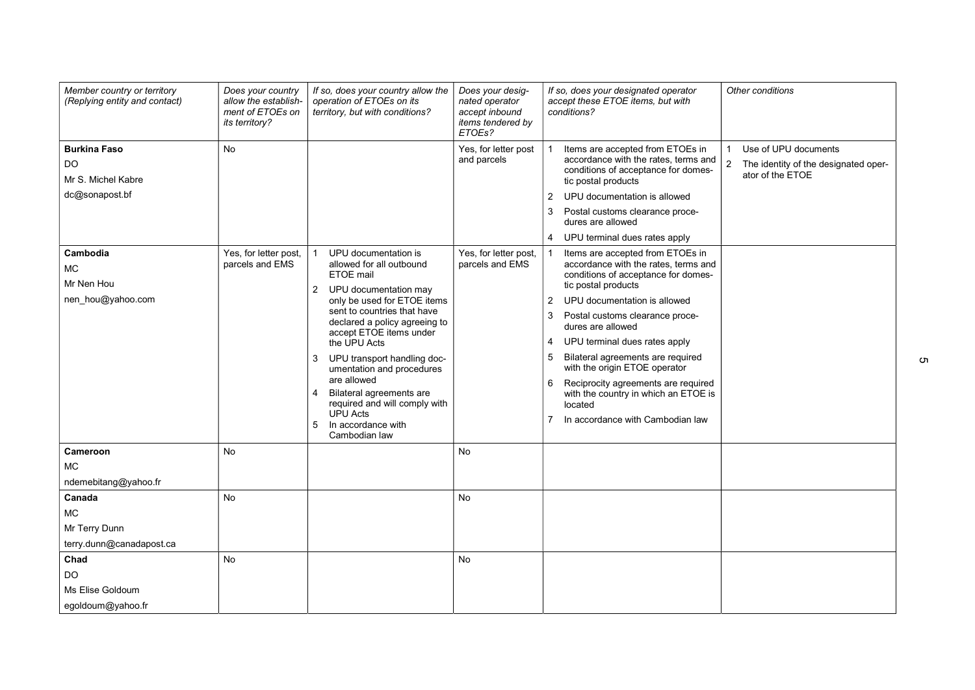| Member country or territory<br>(Replying entity and contact)      | Does your country<br>allow the establish-<br>ment of ETOEs on<br>its territory? | If so, does your country allow the<br>operation of ETOEs on its<br>territory, but with conditions?                                                                                                                                                                                                                                                                                                                                                  | Does your desig-<br>nated operator<br>accept inbound<br>items tendered by<br>ETOEs? | If so, does your designated operator<br>Other conditions<br>accept these ETOE items, but with<br>conditions?                                                                                                                                                                                                                                                                                                                                                                                      |
|-------------------------------------------------------------------|---------------------------------------------------------------------------------|-----------------------------------------------------------------------------------------------------------------------------------------------------------------------------------------------------------------------------------------------------------------------------------------------------------------------------------------------------------------------------------------------------------------------------------------------------|-------------------------------------------------------------------------------------|---------------------------------------------------------------------------------------------------------------------------------------------------------------------------------------------------------------------------------------------------------------------------------------------------------------------------------------------------------------------------------------------------------------------------------------------------------------------------------------------------|
| <b>Burkina Faso</b><br>DO<br>Mr S. Michel Kabre<br>dc@sonapost.bf | No                                                                              |                                                                                                                                                                                                                                                                                                                                                                                                                                                     | Yes, for letter post<br>and parcels                                                 | Use of UPU documents<br>Items are accepted from ETOEs in<br>accordance with the rates, terms and<br>$\overline{a}$<br>The identity of the designated oper-<br>conditions of acceptance for domes-<br>ator of the ETOE<br>tic postal products<br>UPU documentation is allowed<br>2<br>Postal customs clearance proce-<br>3<br>dures are allowed<br>4 UPU terminal dues rates apply                                                                                                                 |
| Cambodia<br><b>MC</b><br>Mr Nen Hou<br>nen hou@yahoo.com          | Yes, for letter post,<br>parcels and EMS                                        | UPU documentation is<br>allowed for all outbound<br>ETOE mail<br>2 UPU documentation may<br>only be used for ETOE items<br>sent to countries that have<br>declared a policy agreeing to<br>accept ETOE items under<br>the UPU Acts<br>UPU transport handling doc-<br>3<br>umentation and procedures<br>are allowed<br>Bilateral agreements are<br>4<br>required and will comply with<br><b>UPU Acts</b><br>In accordance with<br>5<br>Cambodian law | Yes, for letter post,<br>parcels and EMS                                            | Items are accepted from ETOEs in<br>accordance with the rates, terms and<br>conditions of acceptance for domes-<br>tic postal products<br>UPU documentation is allowed<br>2<br>Postal customs clearance proce-<br>3<br>dures are allowed<br>UPU terminal dues rates apply<br>4<br>5<br>Bilateral agreements are required<br>with the origin ETOE operator<br>Reciprocity agreements are required<br>6<br>with the country in which an ETOE is<br>located<br>In accordance with Cambodian law<br>7 |
| Cameroon<br>MC.<br>ndemebitang@yahoo.fr<br>Canada                 | <b>No</b><br><b>No</b>                                                          |                                                                                                                                                                                                                                                                                                                                                                                                                                                     | No<br><b>No</b>                                                                     |                                                                                                                                                                                                                                                                                                                                                                                                                                                                                                   |
| <b>MC</b><br>Mr Terry Dunn<br>terry.dunn@canadapost.ca            |                                                                                 |                                                                                                                                                                                                                                                                                                                                                                                                                                                     |                                                                                     |                                                                                                                                                                                                                                                                                                                                                                                                                                                                                                   |
| Chad<br>DO<br>Ms Elise Goldoum<br>egoldoum@yahoo.fr               | No                                                                              |                                                                                                                                                                                                                                                                                                                                                                                                                                                     | <b>No</b>                                                                           |                                                                                                                                                                                                                                                                                                                                                                                                                                                                                                   |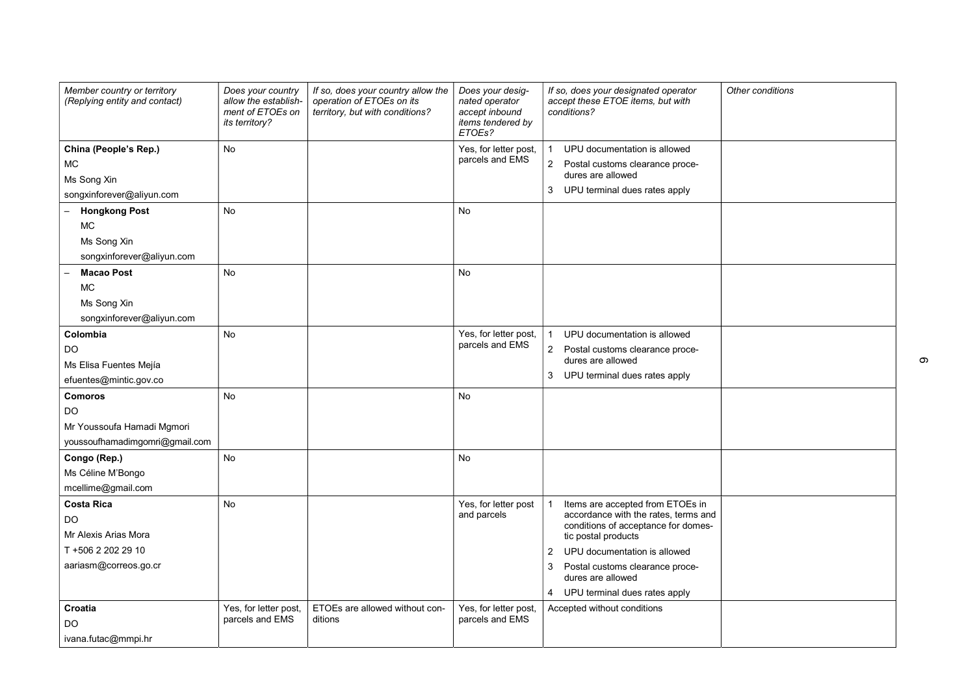| Member country or territory<br>(Replying entity and contact)                                   | Does your country<br>allow the establish-<br>ment of ETOEs on<br>its territory? | If so, does your country allow the<br>operation of ETOEs on its<br>territory, but with conditions? | Does your desig-<br>nated operator<br>accept inbound<br>items tendered by<br>ETOEs? | If so, does your designated operator<br>accept these ETOE items, but with<br>conditions?                                                                                                                                                                                 | Other conditions |
|------------------------------------------------------------------------------------------------|---------------------------------------------------------------------------------|----------------------------------------------------------------------------------------------------|-------------------------------------------------------------------------------------|--------------------------------------------------------------------------------------------------------------------------------------------------------------------------------------------------------------------------------------------------------------------------|------------------|
| China (People's Rep.)<br>МC<br>Ms Song Xin<br>songxinforever@aliyun.com                        | <b>No</b>                                                                       |                                                                                                    | Yes, for letter post,<br>parcels and EMS                                            | UPU documentation is allowed<br>$\mathbf{2}^{\prime}$<br>Postal customs clearance proce-<br>dures are allowed<br>UPU terminal dues rates apply<br>3                                                                                                                      |                  |
| <b>Hongkong Post</b><br><b>MC</b><br>Ms Song Xin<br>songxinforever@aliyun.com                  | <b>No</b>                                                                       |                                                                                                    | No                                                                                  |                                                                                                                                                                                                                                                                          |                  |
| <b>Macao Post</b><br><b>MC</b><br>Ms Song Xin<br>songxinforever@aliyun.com                     | <b>No</b>                                                                       |                                                                                                    | No                                                                                  |                                                                                                                                                                                                                                                                          |                  |
| Colombia<br><b>DO</b><br>Ms Elisa Fuentes Mejía<br>efuentes@mintic.gov.co                      | <b>No</b>                                                                       |                                                                                                    | Yes, for letter post,<br>parcels and EMS                                            | UPU documentation is allowed<br>$\overline{2}$<br>Postal customs clearance proce-<br>dures are allowed<br>3 UPU terminal dues rates apply                                                                                                                                |                  |
| <b>Comoros</b><br>DO<br>Mr Youssoufa Hamadi Mgmori<br>youssoufhamadimgomri@gmail.com           | <b>No</b>                                                                       |                                                                                                    | No                                                                                  |                                                                                                                                                                                                                                                                          |                  |
| Congo (Rep.)<br>Ms Céline M'Bongo<br>mcellime@gmail.com                                        | <b>No</b>                                                                       |                                                                                                    | No                                                                                  |                                                                                                                                                                                                                                                                          |                  |
| <b>Costa Rica</b><br>DO<br>Mr Alexis Arias Mora<br>T +506 2 202 29 10<br>aariasm@correos.go.cr | No                                                                              |                                                                                                    | Yes, for letter post<br>and parcels                                                 | Items are accepted from ETOEs in<br>accordance with the rates, terms and<br>conditions of acceptance for domes-<br>tic postal products<br>2 UPU documentation is allowed<br>Postal customs clearance proce-<br>3<br>dures are allowed<br>4 UPU terminal dues rates apply |                  |
| Croatia<br>DO<br>ivana.futac@mmpi.hr                                                           | Yes, for letter post,<br>parcels and EMS                                        | ETOEs are allowed without con-<br>ditions                                                          | Yes, for letter post,<br>parcels and EMS                                            | Accepted without conditions                                                                                                                                                                                                                                              |                  |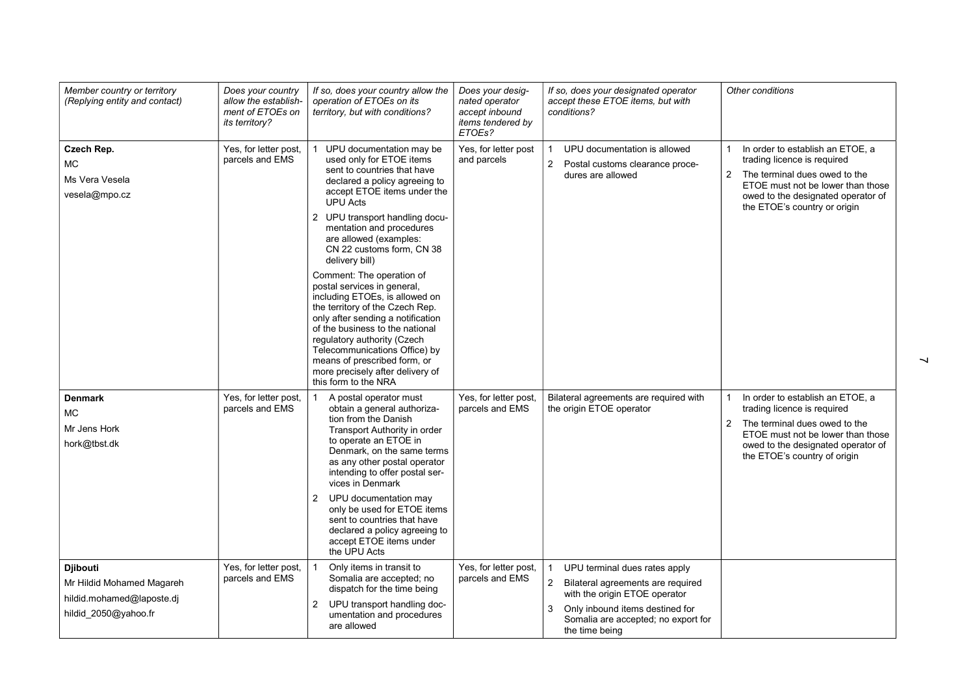| Member country or territory<br>(Replying entity and contact)                                      | Does your country<br>allow the establish-<br>ment of ETOEs on<br>its territory? | If so, does your country allow the<br>operation of ETOEs on its<br>territory, but with conditions?                                                                                                                                                                                                                                                                                                                                                                                                                                                                                                                                                                                 | Does your desig-<br>nated operator<br>accept inbound<br>items tendered by<br>ETOEs? | If so, does your designated operator<br>accept these ETOE items, but with<br>conditions?                                                                                                                               | Other conditions                                                                                                                                                                                                                              |
|---------------------------------------------------------------------------------------------------|---------------------------------------------------------------------------------|------------------------------------------------------------------------------------------------------------------------------------------------------------------------------------------------------------------------------------------------------------------------------------------------------------------------------------------------------------------------------------------------------------------------------------------------------------------------------------------------------------------------------------------------------------------------------------------------------------------------------------------------------------------------------------|-------------------------------------------------------------------------------------|------------------------------------------------------------------------------------------------------------------------------------------------------------------------------------------------------------------------|-----------------------------------------------------------------------------------------------------------------------------------------------------------------------------------------------------------------------------------------------|
| Czech Rep.<br>MC.<br>Ms Vera Vesela<br>vesela@mpo.cz                                              | Yes, for letter post,<br>parcels and EMS                                        | UPU documentation may be<br>used only for ETOE items<br>sent to countries that have<br>declared a policy agreeing to<br>accept ETOE items under the<br><b>UPU Acts</b><br>2 UPU transport handling docu-<br>mentation and procedures<br>are allowed (examples:<br>CN 22 customs form, CN 38<br>delivery bill)<br>Comment: The operation of<br>postal services in general,<br>including ETOEs, is allowed on<br>the territory of the Czech Rep.<br>only after sending a notification<br>of the business to the national<br>regulatory authority (Czech<br>Telecommunications Office) by<br>means of prescribed form, or<br>more precisely after delivery of<br>this form to the NRA | Yes, for letter post<br>and parcels                                                 | UPU documentation is allowed<br>2<br>Postal customs clearance proce-<br>dures are allowed                                                                                                                              | In order to establish an ETOE, a<br>trading licence is required<br>$\overline{2}$<br>The terminal dues owed to the<br>ETOE must not be lower than those<br>owed to the designated operator of<br>the ETOE's country or origin                 |
| <b>Denmark</b><br><b>MC</b><br>Mr Jens Hork<br>hork@tbst.dk                                       | Yes, for letter post,<br>parcels and EMS                                        | A postal operator must<br>$\mathbf{1}$<br>obtain a general authoriza-<br>tion from the Danish<br>Transport Authority in order<br>to operate an ETOE in<br>Denmark, on the same terms<br>as any other postal operator<br>intending to offer postal ser-<br>vices in Denmark<br>UPU documentation may<br>2<br>only be used for ETOE items<br>sent to countries that have<br>declared a policy agreeing to<br>accept ETOE items under<br>the UPU Acts                                                                                                                                                                                                                                 | Yes, for letter post,<br>parcels and EMS                                            | Bilateral agreements are required with<br>the origin ETOE operator                                                                                                                                                     | In order to establish an ETOE, a<br>$\mathbf{1}$<br>trading licence is required<br>$\overline{2}$<br>The terminal dues owed to the<br>ETOE must not be lower than those<br>owed to the designated operator of<br>the ETOE's country of origin |
| <b>Diibouti</b><br>Mr Hildid Mohamed Magareh<br>hildid.mohamed@laposte.dj<br>hildid_2050@yahoo.fr | Yes, for letter post,<br>parcels and EMS                                        | Only items in transit to<br>1<br>Somalia are accepted; no<br>dispatch for the time being<br>UPU transport handling doc-<br>2<br>umentation and procedures<br>are allowed                                                                                                                                                                                                                                                                                                                                                                                                                                                                                                           | Yes, for letter post,<br>parcels and EMS                                            | UPU terminal dues rates apply<br>$\overline{2}$<br>Bilateral agreements are required<br>with the origin ETOE operator<br>Only inbound items destined for<br>3<br>Somalia are accepted; no export for<br>the time being |                                                                                                                                                                                                                                               |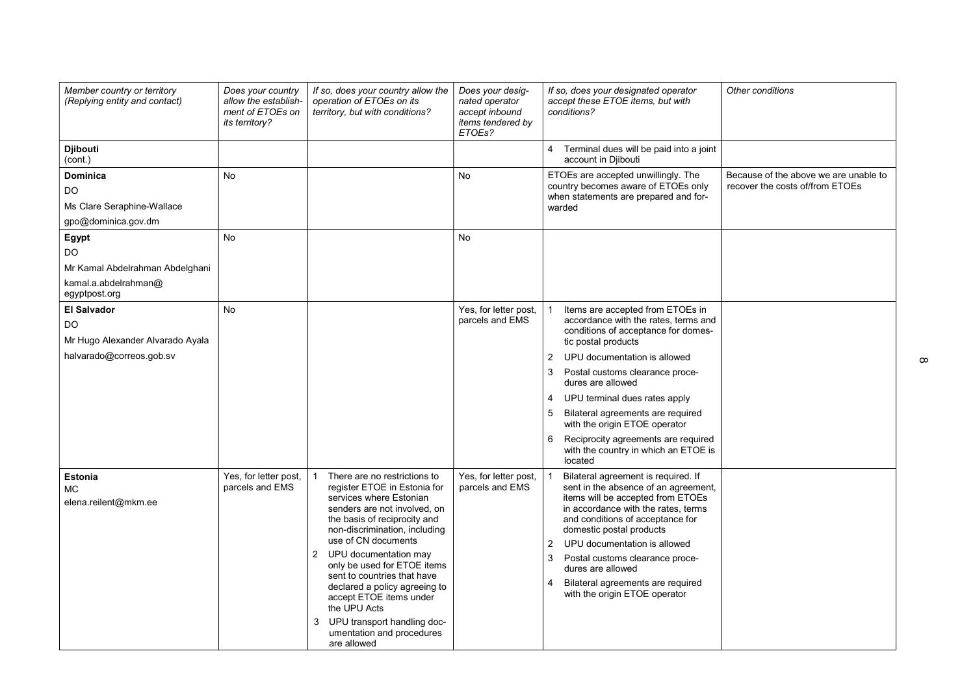| Member country or territory<br>(Replying entity and contact)                                    | Does your country<br>allow the establish-<br>ment of ETOEs on<br>its territory? | If so, does your country allow the<br>operation of ETOEs on its<br>territory, but with conditions?                                                                                                                                                                                                                                                                                                                                                                      | Does your desig-<br>nated operator<br>accept inbound<br>items tendered by<br>ETOEs? | If so, does your designated operator<br>accept these ETOE items, but with<br>conditions?                                                                                                                                                                                                                                                                                                                                                                              | Other conditions                                                         |
|-------------------------------------------------------------------------------------------------|---------------------------------------------------------------------------------|-------------------------------------------------------------------------------------------------------------------------------------------------------------------------------------------------------------------------------------------------------------------------------------------------------------------------------------------------------------------------------------------------------------------------------------------------------------------------|-------------------------------------------------------------------------------------|-----------------------------------------------------------------------------------------------------------------------------------------------------------------------------------------------------------------------------------------------------------------------------------------------------------------------------------------------------------------------------------------------------------------------------------------------------------------------|--------------------------------------------------------------------------|
| <b>Djibouti</b><br>(cont.)                                                                      |                                                                                 |                                                                                                                                                                                                                                                                                                                                                                                                                                                                         |                                                                                     | 4 Terminal dues will be paid into a joint<br>account in Diibouti                                                                                                                                                                                                                                                                                                                                                                                                      |                                                                          |
| <b>Dominica</b><br>DO<br>Ms Clare Seraphine-Wallace<br>gpo@dominica.gov.dm                      | No                                                                              |                                                                                                                                                                                                                                                                                                                                                                                                                                                                         | No                                                                                  | ETOEs are accepted unwillingly. The<br>country becomes aware of ETOEs only<br>when statements are prepared and for-<br>warded                                                                                                                                                                                                                                                                                                                                         | Because of the above we are unable to<br>recover the costs of/from ETOEs |
| Egypt<br>DO<br>Mr Kamal Abdelrahman Abdelghani<br>kamal.a.abdelrahman@<br>egyptpost.org         | <b>No</b>                                                                       |                                                                                                                                                                                                                                                                                                                                                                                                                                                                         | <b>No</b>                                                                           |                                                                                                                                                                                                                                                                                                                                                                                                                                                                       |                                                                          |
| <b>El Salvador</b><br><b>DO</b><br>Mr Hugo Alexander Alvarado Ayala<br>halvarado@correos.gob.sv | <b>No</b>                                                                       |                                                                                                                                                                                                                                                                                                                                                                                                                                                                         | Yes, for letter post,<br>parcels and EMS                                            | Items are accepted from ETOEs in<br>accordance with the rates, terms and<br>conditions of acceptance for domes-<br>tic postal products<br>2<br>UPU documentation is allowed<br>Postal customs clearance proce-<br>3<br>dures are allowed<br>$\overline{4}$<br>UPU terminal dues rates apply<br>5<br>Bilateral agreements are required<br>with the origin ETOE operator<br>Reciprocity agreements are required<br>6<br>with the country in which an ETOE is<br>located |                                                                          |
| <b>Estonia</b><br><b>MC</b><br>elena.reilent@mkm.ee                                             | Yes, for letter post,<br>parcels and EMS                                        | There are no restrictions to<br>register ETOE in Estonia for<br>services where Estonian<br>senders are not involved, on<br>the basis of reciprocity and<br>non-discrimination, including<br>use of CN documents<br>2<br>UPU documentation may<br>only be used for ETOE items<br>sent to countries that have<br>declared a policy agreeing to<br>accept ETOE items under<br>the UPU Acts<br>UPU transport handling doc-<br>3<br>umentation and procedures<br>are allowed | Yes, for letter post,<br>parcels and EMS                                            | Bilateral agreement is required. If<br>sent in the absence of an agreement,<br>items will be accepted from ETOEs<br>in accordance with the rates, terms<br>and conditions of acceptance for<br>domestic postal products<br>$\overline{2}$<br>UPU documentation is allowed<br>3<br>Postal customs clearance proce-<br>dures are allowed<br>$\overline{4}$<br>Bilateral agreements are required<br>with the origin ETOE operator                                        |                                                                          |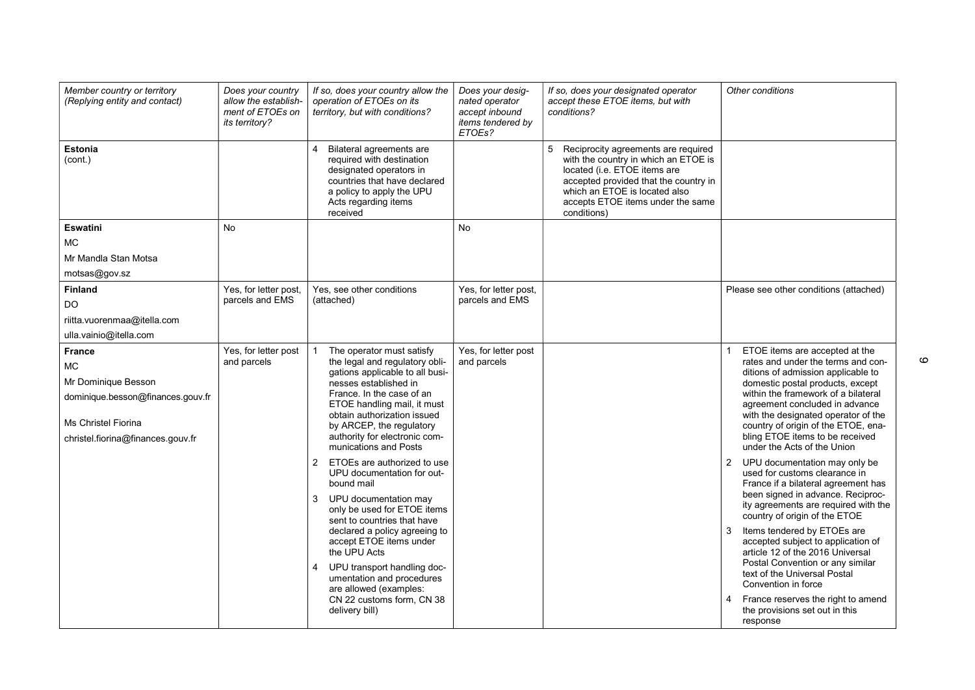| Member country or territory<br>(Replying entity and contact)                                                                                              | Does your country<br>allow the establish-<br>ment of ETOEs on<br><i>its territory?</i> | If so, does your country allow the<br>operation of ETOEs on its<br>territory, but with conditions?                                                                                                                                                                                                                                                                                                                                                                                                                                                                                                                                                                                                                      | Does your desig-<br>nated operator<br>accept inbound<br>items tendered by<br>ETOEs? | If so, does your designated operator<br>accept these ETOE items, but with<br>conditions?                                                                                                                                                       | Other conditions                                                                                                                                                                                                                                                                                                                                                                                                                                                                                                                                                                                                                                                                                                                                                                                                                                                                                              |
|-----------------------------------------------------------------------------------------------------------------------------------------------------------|----------------------------------------------------------------------------------------|-------------------------------------------------------------------------------------------------------------------------------------------------------------------------------------------------------------------------------------------------------------------------------------------------------------------------------------------------------------------------------------------------------------------------------------------------------------------------------------------------------------------------------------------------------------------------------------------------------------------------------------------------------------------------------------------------------------------------|-------------------------------------------------------------------------------------|------------------------------------------------------------------------------------------------------------------------------------------------------------------------------------------------------------------------------------------------|---------------------------------------------------------------------------------------------------------------------------------------------------------------------------------------------------------------------------------------------------------------------------------------------------------------------------------------------------------------------------------------------------------------------------------------------------------------------------------------------------------------------------------------------------------------------------------------------------------------------------------------------------------------------------------------------------------------------------------------------------------------------------------------------------------------------------------------------------------------------------------------------------------------|
| <b>Estonia</b><br>(cont.)                                                                                                                                 |                                                                                        | Bilateral agreements are<br>required with destination<br>designated operators in<br>countries that have declared<br>a policy to apply the UPU<br>Acts regarding items<br>received                                                                                                                                                                                                                                                                                                                                                                                                                                                                                                                                       |                                                                                     | 5<br>Reciprocity agreements are required<br>with the country in which an ETOE is<br>located (i.e. ETOE items are<br>accepted provided that the country in<br>which an ETOE is located also<br>accepts ETOE items under the same<br>conditions) |                                                                                                                                                                                                                                                                                                                                                                                                                                                                                                                                                                                                                                                                                                                                                                                                                                                                                                               |
| <b>Eswatini</b>                                                                                                                                           | <b>No</b>                                                                              |                                                                                                                                                                                                                                                                                                                                                                                                                                                                                                                                                                                                                                                                                                                         | No.                                                                                 |                                                                                                                                                                                                                                                |                                                                                                                                                                                                                                                                                                                                                                                                                                                                                                                                                                                                                                                                                                                                                                                                                                                                                                               |
| <b>MC</b>                                                                                                                                                 |                                                                                        |                                                                                                                                                                                                                                                                                                                                                                                                                                                                                                                                                                                                                                                                                                                         |                                                                                     |                                                                                                                                                                                                                                                |                                                                                                                                                                                                                                                                                                                                                                                                                                                                                                                                                                                                                                                                                                                                                                                                                                                                                                               |
| Mr Mandla Stan Motsa                                                                                                                                      |                                                                                        |                                                                                                                                                                                                                                                                                                                                                                                                                                                                                                                                                                                                                                                                                                                         |                                                                                     |                                                                                                                                                                                                                                                |                                                                                                                                                                                                                                                                                                                                                                                                                                                                                                                                                                                                                                                                                                                                                                                                                                                                                                               |
| motsas@gov.sz                                                                                                                                             |                                                                                        |                                                                                                                                                                                                                                                                                                                                                                                                                                                                                                                                                                                                                                                                                                                         |                                                                                     |                                                                                                                                                                                                                                                |                                                                                                                                                                                                                                                                                                                                                                                                                                                                                                                                                                                                                                                                                                                                                                                                                                                                                                               |
| <b>Finland</b>                                                                                                                                            | Yes, for letter post,                                                                  | Yes, see other conditions                                                                                                                                                                                                                                                                                                                                                                                                                                                                                                                                                                                                                                                                                               | Yes, for letter post,                                                               |                                                                                                                                                                                                                                                | Please see other conditions (attached)                                                                                                                                                                                                                                                                                                                                                                                                                                                                                                                                                                                                                                                                                                                                                                                                                                                                        |
| DO                                                                                                                                                        | parcels and EMS                                                                        | (attached)                                                                                                                                                                                                                                                                                                                                                                                                                                                                                                                                                                                                                                                                                                              | parcels and EMS                                                                     |                                                                                                                                                                                                                                                |                                                                                                                                                                                                                                                                                                                                                                                                                                                                                                                                                                                                                                                                                                                                                                                                                                                                                                               |
| riitta.vuorenmaa@itella.com                                                                                                                               |                                                                                        |                                                                                                                                                                                                                                                                                                                                                                                                                                                                                                                                                                                                                                                                                                                         |                                                                                     |                                                                                                                                                                                                                                                |                                                                                                                                                                                                                                                                                                                                                                                                                                                                                                                                                                                                                                                                                                                                                                                                                                                                                                               |
| ulla.vainio@itella.com                                                                                                                                    |                                                                                        |                                                                                                                                                                                                                                                                                                                                                                                                                                                                                                                                                                                                                                                                                                                         |                                                                                     |                                                                                                                                                                                                                                                |                                                                                                                                                                                                                                                                                                                                                                                                                                                                                                                                                                                                                                                                                                                                                                                                                                                                                                               |
| <b>France</b><br><b>MC</b><br>Mr Dominique Besson<br>dominique.besson@finances.gouv.fr<br><b>Ms Christel Fiorina</b><br>christel.fiorina@finances.gouv.fr | Yes, for letter post<br>and parcels                                                    | The operator must satisfy<br>the legal and regulatory obli-<br>gations applicable to all busi-<br>nesses established in<br>France. In the case of an<br>ETOE handling mail, it must<br>obtain authorization issued<br>by ARCEP, the regulatory<br>authority for electronic com-<br>munications and Posts<br>ETOEs are authorized to use<br>$\overline{2}$<br>UPU documentation for out-<br>bound mail<br>UPU documentation may<br>3<br>only be used for ETOE items<br>sent to countries that have<br>declared a policy agreeing to<br>accept ETOE items under<br>the UPU Acts<br>UPU transport handling doc-<br>4<br>umentation and procedures<br>are allowed (examples:<br>CN 22 customs form, CN 38<br>delivery bill) | Yes, for letter post<br>and parcels                                                 |                                                                                                                                                                                                                                                | ETOE items are accepted at the<br>rates and under the terms and con-<br>ditions of admission applicable to<br>domestic postal products, except<br>within the framework of a bilateral<br>agreement concluded in advance<br>with the designated operator of the<br>country of origin of the ETOE, ena-<br>bling ETOE items to be received<br>under the Acts of the Union<br>UPU documentation may only be<br>$\overline{2}$<br>used for customs clearance in<br>France if a bilateral agreement has<br>been signed in advance. Reciproc-<br>ity agreements are required with the<br>country of origin of the ETOE<br>Items tendered by ETOEs are<br>accepted subject to application of<br>article 12 of the 2016 Universal<br>Postal Convention or any similar<br>text of the Universal Postal<br>Convention in force<br>France reserves the right to amend<br>4<br>the provisions set out in this<br>response |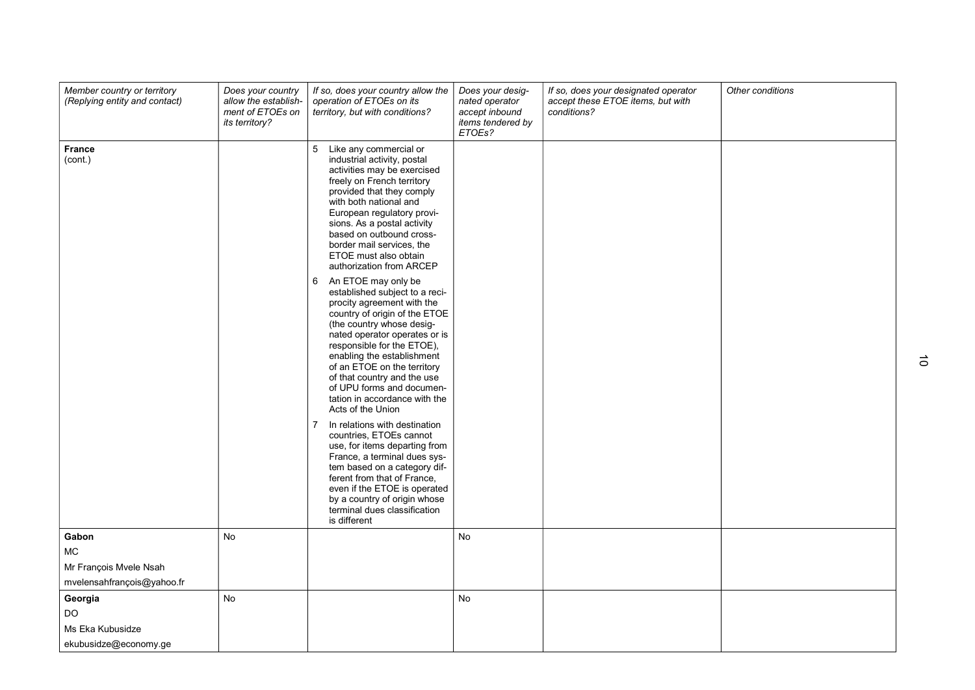| Member country or territory<br>(Replying entity and contact) | Does your country<br>allow the establish-<br>ment of ETOEs on<br><i>its territory?</i> | If so, does your country allow the<br>operation of ETOEs on its<br>territory, but with conditions?                                                                                                                                                                                                                                                                                                                                                                                                                                                                                                                                                                                                                                                                                                                                                                                                                                                                                                                                                                              | Does your desig-<br>nated operator<br>accept inbound<br>items tendered by<br>ETOEs? | If so, does your designated operator<br>accept these ETOE items, but with<br>conditions? | Other conditions |
|--------------------------------------------------------------|----------------------------------------------------------------------------------------|---------------------------------------------------------------------------------------------------------------------------------------------------------------------------------------------------------------------------------------------------------------------------------------------------------------------------------------------------------------------------------------------------------------------------------------------------------------------------------------------------------------------------------------------------------------------------------------------------------------------------------------------------------------------------------------------------------------------------------------------------------------------------------------------------------------------------------------------------------------------------------------------------------------------------------------------------------------------------------------------------------------------------------------------------------------------------------|-------------------------------------------------------------------------------------|------------------------------------------------------------------------------------------|------------------|
| <b>France</b><br>(cont.)                                     |                                                                                        | 5 Like any commercial or<br>industrial activity, postal<br>activities may be exercised<br>freely on French territory<br>provided that they comply<br>with both national and<br>European regulatory provi-<br>sions. As a postal activity<br>based on outbound cross-<br>border mail services, the<br>ETOE must also obtain<br>authorization from ARCEP<br>An ETOE may only be<br>6<br>established subject to a reci-<br>procity agreement with the<br>country of origin of the ETOE<br>(the country whose desig-<br>nated operator operates or is<br>responsible for the ETOE),<br>enabling the establishment<br>of an ETOE on the territory<br>of that country and the use<br>of UPU forms and documen-<br>tation in accordance with the<br>Acts of the Union<br>In relations with destination<br>7<br>countries, ETOEs cannot<br>use, for items departing from<br>France, a terminal dues sys-<br>tem based on a category dif-<br>ferent from that of France,<br>even if the ETOE is operated<br>by a country of origin whose<br>terminal dues classification<br>is different |                                                                                     |                                                                                          |                  |
| Gabon                                                        | No                                                                                     |                                                                                                                                                                                                                                                                                                                                                                                                                                                                                                                                                                                                                                                                                                                                                                                                                                                                                                                                                                                                                                                                                 | No                                                                                  |                                                                                          |                  |
| MC                                                           |                                                                                        |                                                                                                                                                                                                                                                                                                                                                                                                                                                                                                                                                                                                                                                                                                                                                                                                                                                                                                                                                                                                                                                                                 |                                                                                     |                                                                                          |                  |
| Mr François Mvele Nsah                                       |                                                                                        |                                                                                                                                                                                                                                                                                                                                                                                                                                                                                                                                                                                                                                                                                                                                                                                                                                                                                                                                                                                                                                                                                 |                                                                                     |                                                                                          |                  |
| mvelensahfrançois@yahoo.fr                                   |                                                                                        |                                                                                                                                                                                                                                                                                                                                                                                                                                                                                                                                                                                                                                                                                                                                                                                                                                                                                                                                                                                                                                                                                 |                                                                                     |                                                                                          |                  |
| Georgia                                                      | <b>No</b>                                                                              |                                                                                                                                                                                                                                                                                                                                                                                                                                                                                                                                                                                                                                                                                                                                                                                                                                                                                                                                                                                                                                                                                 | No                                                                                  |                                                                                          |                  |
| <b>DO</b>                                                    |                                                                                        |                                                                                                                                                                                                                                                                                                                                                                                                                                                                                                                                                                                                                                                                                                                                                                                                                                                                                                                                                                                                                                                                                 |                                                                                     |                                                                                          |                  |
| Ms Eka Kubusidze                                             |                                                                                        |                                                                                                                                                                                                                                                                                                                                                                                                                                                                                                                                                                                                                                                                                                                                                                                                                                                                                                                                                                                                                                                                                 |                                                                                     |                                                                                          |                  |
| ekubusidze@economy.ge                                        |                                                                                        |                                                                                                                                                                                                                                                                                                                                                                                                                                                                                                                                                                                                                                                                                                                                                                                                                                                                                                                                                                                                                                                                                 |                                                                                     |                                                                                          |                  |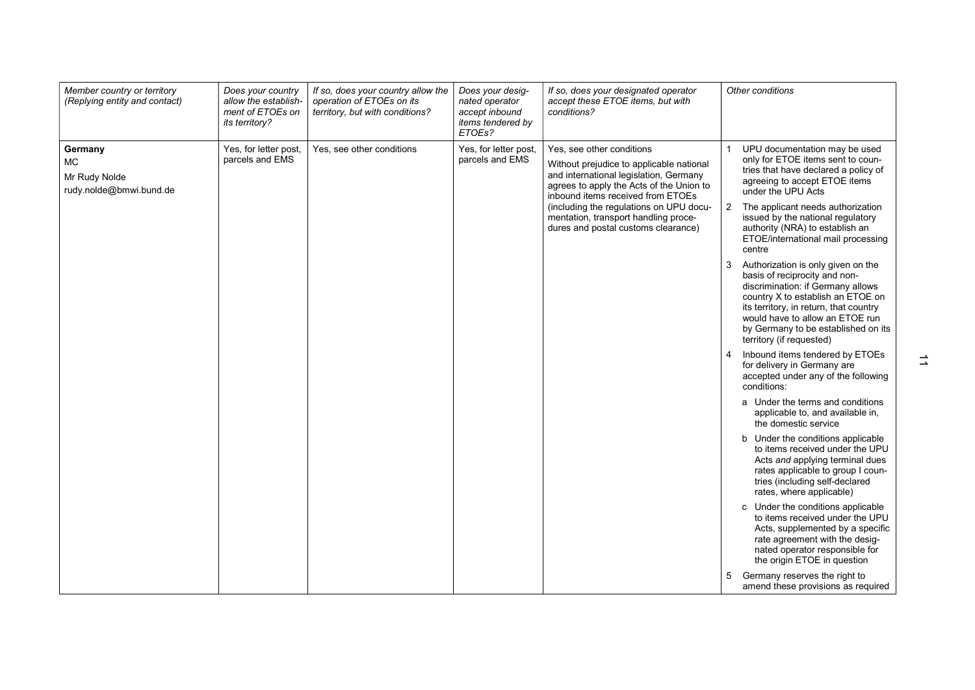| Member country or territory<br>(Replying entity and contact)     | Does your country<br>allow the establish-<br>ment of ETOEs on<br>its territory? | If so, does your country allow the<br>operation of ETOEs on its<br>territory, but with conditions? | Does your desig-<br>nated operator<br>accept inbound<br>items tendered by<br>ETOEs? | If so, does your designated operator<br>accept these ETOE items, but with<br>conditions?                                                                                                                                                                                                                                   | Other conditions                                                                                                                                                                                                                                                                                                                                                                                                                                                                                                                                                                                                                                                                                                                                                                                                                                                                                                                                                                                                                                                                                                                                                                                                                                                                                                                                                                   |
|------------------------------------------------------------------|---------------------------------------------------------------------------------|----------------------------------------------------------------------------------------------------|-------------------------------------------------------------------------------------|----------------------------------------------------------------------------------------------------------------------------------------------------------------------------------------------------------------------------------------------------------------------------------------------------------------------------|------------------------------------------------------------------------------------------------------------------------------------------------------------------------------------------------------------------------------------------------------------------------------------------------------------------------------------------------------------------------------------------------------------------------------------------------------------------------------------------------------------------------------------------------------------------------------------------------------------------------------------------------------------------------------------------------------------------------------------------------------------------------------------------------------------------------------------------------------------------------------------------------------------------------------------------------------------------------------------------------------------------------------------------------------------------------------------------------------------------------------------------------------------------------------------------------------------------------------------------------------------------------------------------------------------------------------------------------------------------------------------|
| Germany<br><b>MC</b><br>Mr Rudy Nolde<br>rudy.nolde@bmwi.bund.de | Yes, for letter post,<br>parcels and EMS                                        | Yes, see other conditions                                                                          | Yes, for letter post,<br>parcels and EMS                                            | Yes, see other conditions<br>Without prejudice to applicable national<br>and international legislation, Germany<br>agrees to apply the Acts of the Union to<br>inbound items received from ETOEs<br>(including the regulations on UPU docu-<br>mentation, transport handling proce-<br>dures and postal customs clearance) | UPU documentation may be used<br>only for ETOE items sent to coun-<br>tries that have declared a policy of<br>agreeing to accept ETOE items<br>under the UPU Acts<br>$\overline{2}$<br>The applicant needs authorization<br>issued by the national regulatory<br>authority (NRA) to establish an<br>ETOE/international mail processing<br>centre<br>3<br>Authorization is only given on the<br>basis of reciprocity and non-<br>discrimination: if Germany allows<br>country X to establish an ETOE on<br>its territory, in return, that country<br>would have to allow an ETOE run<br>by Germany to be established on its<br>territory (if requested)<br>Inbound items tendered by ETOEs<br>for delivery in Germany are<br>accepted under any of the following<br>conditions:<br>a Under the terms and conditions<br>applicable to, and available in,<br>the domestic service<br>b Under the conditions applicable<br>to items received under the UPU<br>Acts and applying terminal dues<br>rates applicable to group I coun-<br>tries (including self-declared<br>rates, where applicable)<br>c Under the conditions applicable<br>to items received under the UPU<br>Acts, supplemented by a specific<br>rate agreement with the desig-<br>nated operator responsible for<br>the origin ETOE in question<br>Germany reserves the right to<br>amend these provisions as required |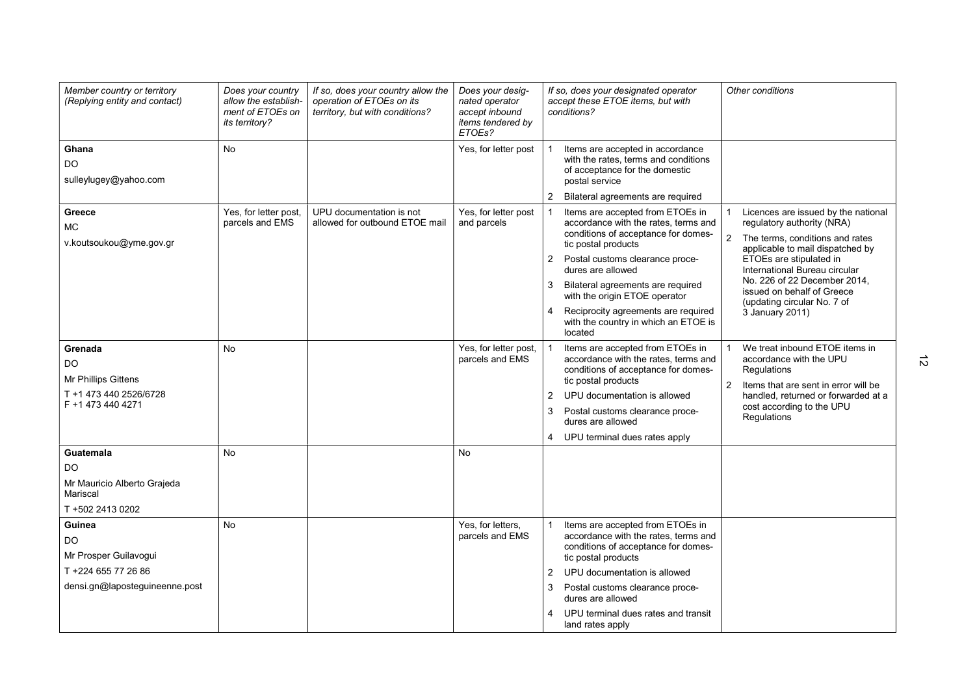| Member country or territory<br>(Replying entity and contact)                                      | Does your country<br>allow the establish-<br>ment of ETOEs on<br>its territory? | If so, does your country allow the<br>operation of ETOEs on its<br>territory, but with conditions? | Does your desig-<br>nated operator<br>accept inbound<br>items tendered by<br>ETOEs? | If so, does your designated operator<br>Other conditions<br>accept these ETOE items, but with<br>conditions?                                                                                                                                                                                                                                                                                                                                                                                                                                                                                                                                                                                                         |
|---------------------------------------------------------------------------------------------------|---------------------------------------------------------------------------------|----------------------------------------------------------------------------------------------------|-------------------------------------------------------------------------------------|----------------------------------------------------------------------------------------------------------------------------------------------------------------------------------------------------------------------------------------------------------------------------------------------------------------------------------------------------------------------------------------------------------------------------------------------------------------------------------------------------------------------------------------------------------------------------------------------------------------------------------------------------------------------------------------------------------------------|
| Ghana<br>DO<br>sulleylugey@yahoo.com                                                              | <b>No</b>                                                                       |                                                                                                    | Yes, for letter post                                                                | Items are accepted in accordance<br>with the rates, terms and conditions<br>of acceptance for the domestic<br>postal service<br>Bilateral agreements are required                                                                                                                                                                                                                                                                                                                                                                                                                                                                                                                                                    |
| Greece<br><b>MC</b><br>v.koutsoukou@yme.gov.gr                                                    | Yes, for letter post,<br>parcels and EMS                                        | UPU documentation is not<br>allowed for outbound ETOE mail                                         | Yes, for letter post<br>and parcels                                                 | Licences are issued by the national<br>Items are accepted from ETOEs in<br>accordance with the rates, terms and<br>regulatory authority (NRA)<br>conditions of acceptance for domes-<br>$\overline{2}$<br>The terms, conditions and rates<br>tic postal products<br>applicable to mail dispatched by<br>ETOEs are stipulated in<br>2 Postal customs clearance proce-<br>dures are allowed<br>International Bureau circular<br>No. 226 of 22 December 2014,<br>3<br>Bilateral agreements are reguired<br>issued on behalf of Greece<br>with the origin ETOE operator<br>(updating circular No. 7 of<br>Reciprocity agreements are required<br>4<br>3 January 2011)<br>with the country in which an ETOE is<br>located |
| Grenada<br><b>DO</b><br><b>Mr Phillips Gittens</b><br>T +1 473 440 2526/6728<br>F +1 473 440 4271 | <b>No</b>                                                                       |                                                                                                    | Yes, for letter post,<br>parcels and EMS                                            | Items are accepted from ETOEs in<br>We treat inbound ETOE items in<br>accordance with the rates, terms and<br>accordance with the UPU<br>conditions of acceptance for domes-<br>Regulations<br>tic postal products<br>2<br>Items that are sent in error will be<br>UPU documentation is allowed<br>$\overline{2}$<br>handled, returned or forwarded at a<br>cost according to the UPU<br>3<br>Postal customs clearance proce-<br>Regulations<br>dures are allowed<br>4 UPU terminal dues rates apply                                                                                                                                                                                                                 |
| Guatemala<br><b>DO</b><br>Mr Mauricio Alberto Grajeda<br>Mariscal<br>T +502 2413 0202<br>Guinea   | No<br>No                                                                        |                                                                                                    | <b>No</b>                                                                           |                                                                                                                                                                                                                                                                                                                                                                                                                                                                                                                                                                                                                                                                                                                      |
| DO<br>Mr Prosper Guilavogui<br>T +224 655 77 26 86<br>densi.gn@laposteguineenne.post              |                                                                                 |                                                                                                    | Yes, for letters,<br>parcels and EMS                                                | Items are accepted from ETOEs in<br>accordance with the rates, terms and<br>conditions of acceptance for domes-<br>tic postal products<br>UPU documentation is allowed<br>2<br>Postal customs clearance proce-<br>3<br>dures are allowed<br>UPU terminal dues rates and transit<br>4<br>land rates apply                                                                                                                                                                                                                                                                                                                                                                                                             |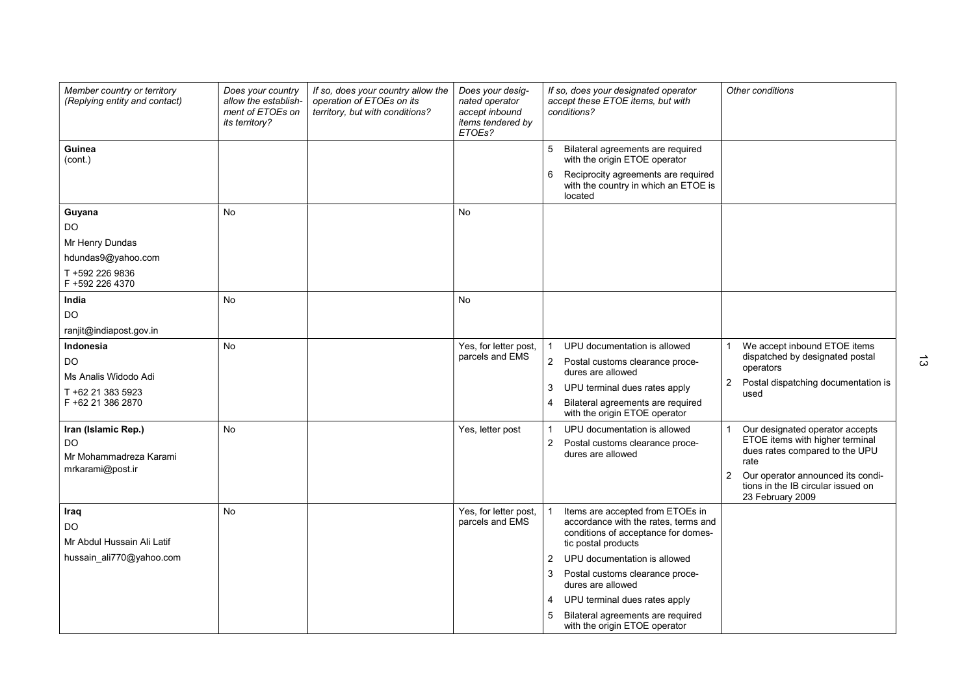| Member country or territory<br>(Replying entity and contact)                                 | Does your country<br>allow the establish-<br>ment of ETOEs on<br><i>its territory?</i> | If so, does your country allow the<br>operation of ETOEs on its<br>territory, but with conditions? | Does your desig-<br>nated operator<br>accept inbound<br>items tendered by<br>ETOEs? | If so, does your designated operator<br>accept these ETOE items, but with<br>conditions?                                                                                                                                                                                                                                                                  | Other conditions                                                                                                                                                                                                 |
|----------------------------------------------------------------------------------------------|----------------------------------------------------------------------------------------|----------------------------------------------------------------------------------------------------|-------------------------------------------------------------------------------------|-----------------------------------------------------------------------------------------------------------------------------------------------------------------------------------------------------------------------------------------------------------------------------------------------------------------------------------------------------------|------------------------------------------------------------------------------------------------------------------------------------------------------------------------------------------------------------------|
| Guinea<br>(cont.)                                                                            |                                                                                        |                                                                                                    |                                                                                     | 5 Bilateral agreements are required<br>with the origin ETOE operator<br>Reciprocity agreements are required<br>6<br>with the country in which an ETOE is<br>located                                                                                                                                                                                       |                                                                                                                                                                                                                  |
| Guyana<br>DO.<br>Mr Henry Dundas<br>hdundas9@yahoo.com<br>T +592 226 9836<br>F +592 226 4370 | <b>No</b>                                                                              |                                                                                                    | No                                                                                  |                                                                                                                                                                                                                                                                                                                                                           |                                                                                                                                                                                                                  |
| India<br>DO<br>ranjit@indiapost.gov.in                                                       | <b>No</b>                                                                              |                                                                                                    | <b>No</b>                                                                           |                                                                                                                                                                                                                                                                                                                                                           |                                                                                                                                                                                                                  |
| Indonesia<br>DO<br>Ms Analis Widodo Adi<br>T +62 21 383 5923<br>F +62 21 386 2870            | <b>No</b>                                                                              |                                                                                                    | Yes, for letter post,<br>parcels and EMS                                            | UPU documentation is allowed<br>2 Postal customs clearance proce-<br>dures are allowed<br>UPU terminal dues rates apply<br>3<br>Bilateral agreements are required<br>4<br>with the origin ETOE operator                                                                                                                                                   | We accept inbound ETOE items<br>dispatched by designated postal<br>operators<br>2<br>Postal dispatching documentation is<br>used                                                                                 |
| Iran (Islamic Rep.)<br>DO<br>Mr Mohammadreza Karami<br>mrkarami@post.ir                      | <b>No</b>                                                                              |                                                                                                    | Yes, letter post                                                                    | UPU documentation is allowed<br>Postal customs clearance proce-<br>2<br>dures are allowed                                                                                                                                                                                                                                                                 | Our designated operator accepts<br>ETOE items with higher terminal<br>dues rates compared to the UPU<br>rate<br>2<br>Our operator announced its condi-<br>tions in the IB circular issued on<br>23 February 2009 |
| Iraq<br>DO<br>Mr Abdul Hussain Ali Latif<br>hussain_ali770@yahoo.com                         | <b>No</b>                                                                              |                                                                                                    | Yes, for letter post,<br>parcels and EMS                                            | Items are accepted from ETOEs in<br>accordance with the rates, terms and<br>conditions of acceptance for domes-<br>tic postal products<br>UPU documentation is allowed<br>2<br>3<br>Postal customs clearance proce-<br>dures are allowed<br>UPU terminal dues rates apply<br>4<br>5<br>Bilateral agreements are required<br>with the origin ETOE operator |                                                                                                                                                                                                                  |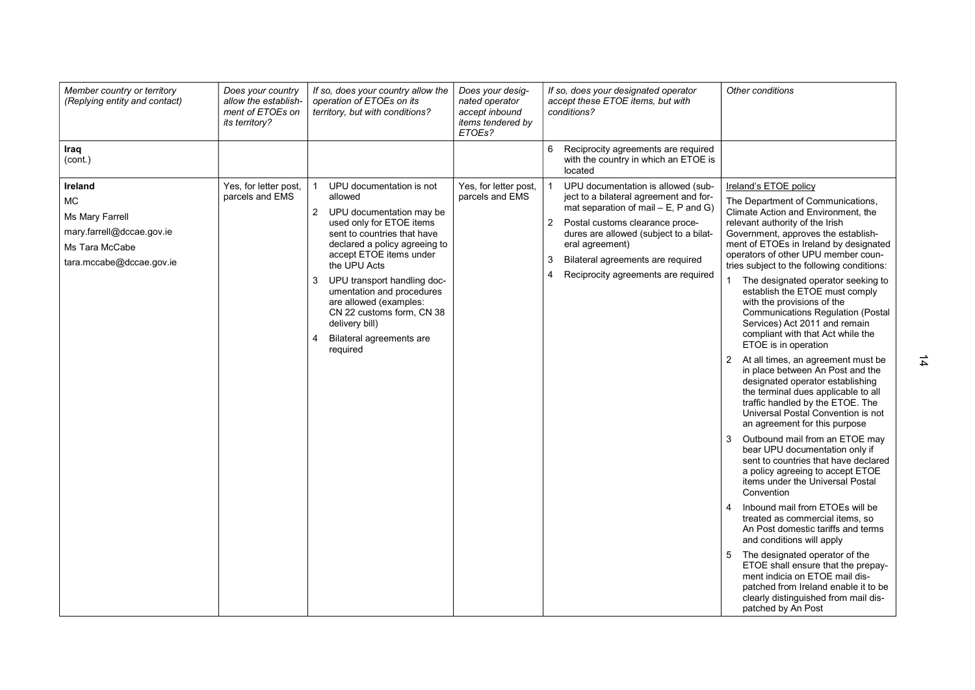| Member country or territory<br>(Replying entity and contact)                                                       | Does your country<br>allow the establish-<br>ment of ETOEs on<br>its territory? | If so, does your country allow the<br>operation of ETOEs on its<br>territory, but with conditions?                                                                                                                                                                                                                                                                                              | Does your desig-<br>nated operator<br>accept inbound<br>items tendered by<br>ETOEs? | If so, does your designated operator<br>accept these ETOE items, but with<br>conditions?                                                                                                                                                                                                                                      | Other conditions                                                                                                                                                                                                                                                                                                                                                                                                                                                                                                                                                                                                                                                                                                                                                                                                                                                                                                                                                                                                                                                                                                                                                                                                                                                                                                                                                                                                       |
|--------------------------------------------------------------------------------------------------------------------|---------------------------------------------------------------------------------|-------------------------------------------------------------------------------------------------------------------------------------------------------------------------------------------------------------------------------------------------------------------------------------------------------------------------------------------------------------------------------------------------|-------------------------------------------------------------------------------------|-------------------------------------------------------------------------------------------------------------------------------------------------------------------------------------------------------------------------------------------------------------------------------------------------------------------------------|------------------------------------------------------------------------------------------------------------------------------------------------------------------------------------------------------------------------------------------------------------------------------------------------------------------------------------------------------------------------------------------------------------------------------------------------------------------------------------------------------------------------------------------------------------------------------------------------------------------------------------------------------------------------------------------------------------------------------------------------------------------------------------------------------------------------------------------------------------------------------------------------------------------------------------------------------------------------------------------------------------------------------------------------------------------------------------------------------------------------------------------------------------------------------------------------------------------------------------------------------------------------------------------------------------------------------------------------------------------------------------------------------------------------|
| Iraq<br>(cont.)                                                                                                    |                                                                                 |                                                                                                                                                                                                                                                                                                                                                                                                 |                                                                                     | Reciprocity agreements are required<br>6<br>with the country in which an ETOE is<br>located                                                                                                                                                                                                                                   |                                                                                                                                                                                                                                                                                                                                                                                                                                                                                                                                                                                                                                                                                                                                                                                                                                                                                                                                                                                                                                                                                                                                                                                                                                                                                                                                                                                                                        |
| Ireland<br><b>MC</b><br>Ms Mary Farrell<br>mary.farrell@dccae.gov.ie<br>Ms Tara McCabe<br>tara.mccabe@dccae.gov.ie | Yes, for letter post,<br>parcels and EMS                                        | UPU documentation is not<br>allowed<br>2 UPU documentation may be<br>used only for ETOE items<br>sent to countries that have<br>declared a policy agreeing to<br>accept ETOE items under<br>the UPU Acts<br>UPU transport handling doc-<br>3<br>umentation and procedures<br>are allowed (examples:<br>CN 22 customs form. CN 38<br>delivery bill)<br>Bilateral agreements are<br>4<br>required | Yes, for letter post,<br>parcels and EMS                                            | UPU documentation is allowed (sub-<br>ject to a bilateral agreement and for-<br>mat separation of mail $- E$ , P and G)<br>$\mathbf{2}$<br>Postal customs clearance proce-<br>dures are allowed (subject to a bilat-<br>eral agreement)<br>Bilateral agreements are required<br>3<br>Reciprocity agreements are required<br>4 | Ireland's ETOE policy<br>The Department of Communications,<br>Climate Action and Environment, the<br>relevant authority of the Irish<br>Government, approves the establish-<br>ment of ETOEs in Ireland by designated<br>operators of other UPU member coun-<br>tries subject to the following conditions:<br>The designated operator seeking to<br>establish the ETOE must comply<br>with the provisions of the<br><b>Communications Regulation (Postal</b><br>Services) Act 2011 and remain<br>compliant with that Act while the<br>ETOE is in operation<br>At all times, an agreement must be<br>2<br>in place between An Post and the<br>designated operator establishing<br>the terminal dues applicable to all<br>traffic handled by the ETOE. The<br>Universal Postal Convention is not<br>an agreement for this purpose<br>3<br>Outbound mail from an ETOE may<br>bear UPU documentation only if<br>sent to countries that have declared<br>a policy agreeing to accept ETOE<br>items under the Universal Postal<br>Convention<br>$\overline{4}$<br>Inbound mail from ETOEs will be<br>treated as commercial items, so<br>An Post domestic tariffs and terms<br>and conditions will apply<br>5<br>The designated operator of the<br>ETOE shall ensure that the prepay-<br>ment indicia on ETOE mail dis-<br>patched from Ireland enable it to be<br>clearly distinguished from mail dis-<br>patched by An Post |

14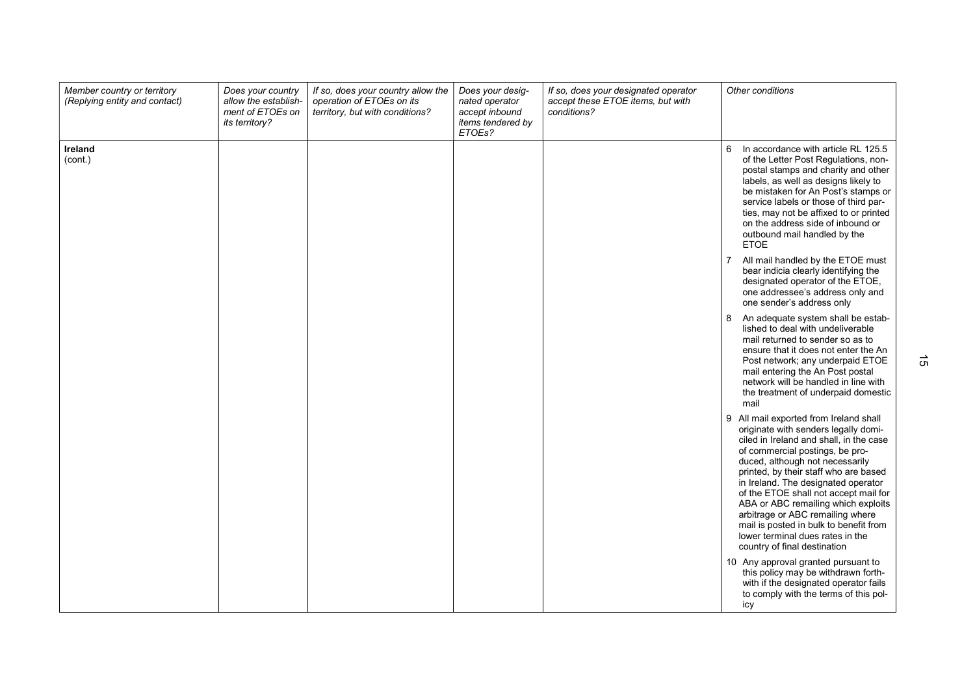| Member country or territory<br>(Replying entity and contact) | Does your country<br>allow the establish-<br>ment of ETOEs on<br>its territory? | If so, does your country allow the<br>operation of ETOEs on its<br>territory, but with conditions? | Does your desig-<br>nated operator<br>accept inbound<br>items tendered by<br>ETOEs? | If so, does your designated operator<br>accept these ETOE items, but with<br>conditions? | Other conditions                                                                                                                                                                                                                                                                                                                                                                                                                                                                                                     |
|--------------------------------------------------------------|---------------------------------------------------------------------------------|----------------------------------------------------------------------------------------------------|-------------------------------------------------------------------------------------|------------------------------------------------------------------------------------------|----------------------------------------------------------------------------------------------------------------------------------------------------------------------------------------------------------------------------------------------------------------------------------------------------------------------------------------------------------------------------------------------------------------------------------------------------------------------------------------------------------------------|
| Ireland<br>(cont.)                                           |                                                                                 |                                                                                                    |                                                                                     |                                                                                          | 6<br>In accordance with article RL 125.5<br>of the Letter Post Regulations, non-<br>postal stamps and charity and other<br>labels, as well as designs likely to<br>be mistaken for An Post's stamps or<br>service labels or those of third par-<br>ties, may not be affixed to or printed<br>on the address side of inbound or<br>outbound mail handled by the<br><b>ETOE</b>                                                                                                                                        |
|                                                              |                                                                                 |                                                                                                    |                                                                                     |                                                                                          | 7<br>All mail handled by the ETOE must<br>bear indicia clearly identifying the<br>designated operator of the ETOE,<br>one addressee's address only and<br>one sender's address only                                                                                                                                                                                                                                                                                                                                  |
|                                                              |                                                                                 |                                                                                                    |                                                                                     |                                                                                          | An adequate system shall be estab-<br>8<br>lished to deal with undeliverable<br>mail returned to sender so as to<br>ensure that it does not enter the An<br>Post network; any underpaid ETOE<br>mail entering the An Post postal<br>network will be handled in line with<br>the treatment of underpaid domestic<br>mail                                                                                                                                                                                              |
|                                                              |                                                                                 |                                                                                                    |                                                                                     |                                                                                          | 9<br>All mail exported from Ireland shall<br>originate with senders legally domi-<br>ciled in Ireland and shall, in the case<br>of commercial postings, be pro-<br>duced, although not necessarily<br>printed, by their staff who are based<br>in Ireland. The designated operator<br>of the ETOE shall not accept mail for<br>ABA or ABC remailing which exploits<br>arbitrage or ABC remailing where<br>mail is posted in bulk to benefit from<br>lower terminal dues rates in the<br>country of final destination |
|                                                              |                                                                                 |                                                                                                    |                                                                                     |                                                                                          | 10 Any approval granted pursuant to<br>this policy may be withdrawn forth-<br>with if the designated operator fails<br>to comply with the terms of this pol-<br>icy                                                                                                                                                                                                                                                                                                                                                  |

 $\vec{\sigma}$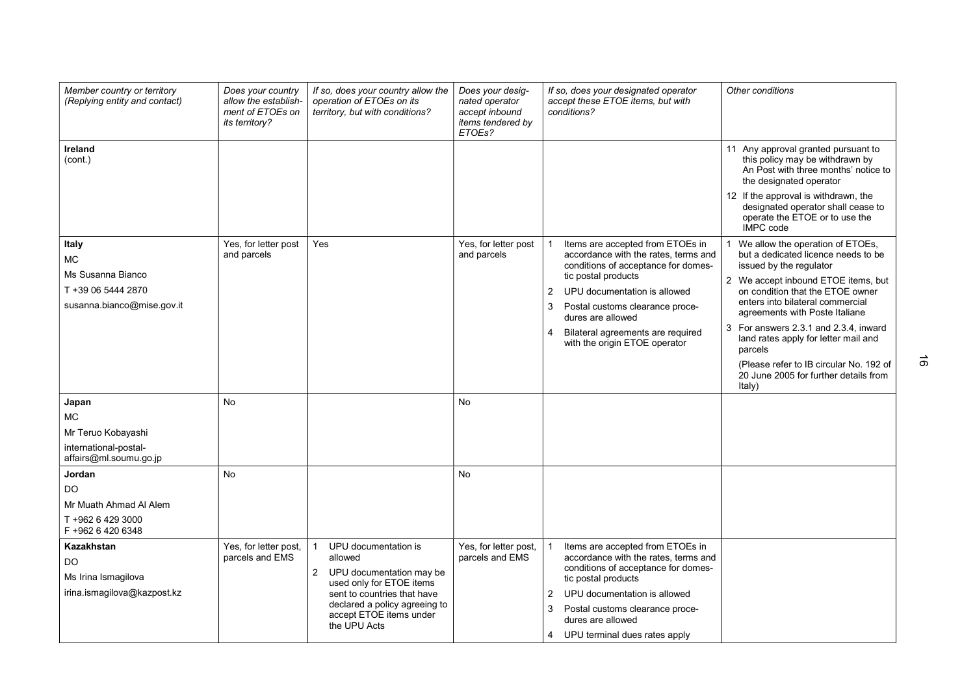| Member country or territory<br>(Replying entity and contact)                                               | Does your country<br>allow the establish-<br>ment of ETOEs on<br>its territory? | If so, does your country allow the<br>operation of ETOEs on its<br>territory, but with conditions?                                                                                                      | Does your desig-<br>nated operator<br>accept inbound<br>items tendered by<br>ETOEs? | If so, does your designated operator<br>accept these ETOE items, but with<br>conditions?                                                                                                                                                                                                    | Other conditions                                                                                                                                                                                                                                                                                                                                                                                                                                                                                                                                                                 |
|------------------------------------------------------------------------------------------------------------|---------------------------------------------------------------------------------|---------------------------------------------------------------------------------------------------------------------------------------------------------------------------------------------------------|-------------------------------------------------------------------------------------|---------------------------------------------------------------------------------------------------------------------------------------------------------------------------------------------------------------------------------------------------------------------------------------------|----------------------------------------------------------------------------------------------------------------------------------------------------------------------------------------------------------------------------------------------------------------------------------------------------------------------------------------------------------------------------------------------------------------------------------------------------------------------------------------------------------------------------------------------------------------------------------|
| Ireland<br>(cont.)<br>Italy<br>МC<br>Ms Susanna Bianco<br>T +39 06 5444 2870<br>susanna.bianco@mise.gov.it | Yes, for letter post<br>and parcels                                             | Yes                                                                                                                                                                                                     | Yes, for letter post<br>and parcels                                                 | Items are accepted from ETOEs in<br>accordance with the rates, terms and<br>conditions of acceptance for domes-<br>tic postal products<br>2<br>UPU documentation is allowed<br>3<br>Postal customs clearance proce-<br>dures are allowed<br>Bilateral agreements are required<br>4          | 11 Any approval granted pursuant to<br>this policy may be withdrawn by<br>An Post with three months' notice to<br>the designated operator<br>12 If the approval is withdrawn, the<br>designated operator shall cease to<br>operate the ETOE or to use the<br><b>IMPC</b> code<br>We allow the operation of ETOEs,<br>but a dedicated licence needs to be<br>issued by the regulator<br>2 We accept inbound ETOE items, but<br>on condition that the ETOE owner<br>enters into bilateral commercial<br>agreements with Poste Italiane<br>For answers 2.3.1 and 2.3.4, inward<br>3 |
|                                                                                                            |                                                                                 |                                                                                                                                                                                                         |                                                                                     | with the origin ETOE operator                                                                                                                                                                                                                                                               | land rates apply for letter mail and<br>parcels<br>(Please refer to IB circular No. 192 of<br>20 June 2005 for further details from<br>Italy)                                                                                                                                                                                                                                                                                                                                                                                                                                    |
| Japan<br>МC<br>Mr Teruo Kobayashi<br>international-postal-<br>affairs@ml.soumu.go.jp                       | <b>No</b>                                                                       |                                                                                                                                                                                                         | No                                                                                  |                                                                                                                                                                                                                                                                                             |                                                                                                                                                                                                                                                                                                                                                                                                                                                                                                                                                                                  |
| Jordan<br><b>DO</b><br>Mr Muath Ahmad Al Alem<br>T +962 6 429 3000<br>F +962 6 420 6348                    | No                                                                              |                                                                                                                                                                                                         | <b>No</b>                                                                           |                                                                                                                                                                                                                                                                                             |                                                                                                                                                                                                                                                                                                                                                                                                                                                                                                                                                                                  |
| Kazakhstan<br>DO<br>Ms Irina Ismagilova<br>irina.ismagilova@kazpost.kz                                     | Yes, for letter post,<br>parcels and EMS                                        | UPU documentation is<br>allowed<br>2<br>UPU documentation may be<br>used only for ETOE items<br>sent to countries that have<br>declared a policy agreeing to<br>accept ETOE items under<br>the UPU Acts | Yes, for letter post,<br>parcels and EMS                                            | Items are accepted from ETOEs in<br>accordance with the rates, terms and<br>conditions of acceptance for domes-<br>tic postal products<br>UPU documentation is allowed<br>$\overline{2}$<br>Postal customs clearance proce-<br>3<br>dures are allowed<br>UPU terminal dues rates apply<br>4 |                                                                                                                                                                                                                                                                                                                                                                                                                                                                                                                                                                                  |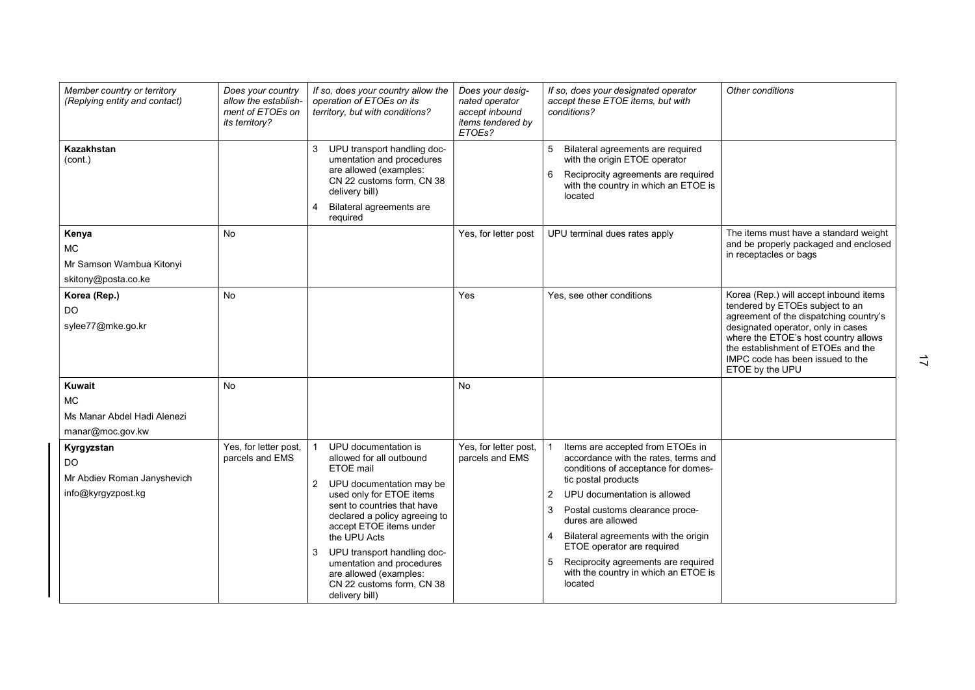| Member country or territory<br>(Replying entity and contact)                 | Does your country<br>allow the establish-<br>ment of ETOEs on<br>its territory? | If so, does your country allow the<br>operation of ETOEs on its<br>territory, but with conditions?                                                                                                                                                                                                                                                                                         | Does your desig-<br>nated operator<br>accept inbound<br>items tendered by<br>ETOEs? | If so, does your designated operator<br>accept these ETOE items, but with<br>conditions?                                                                                                                                                                                                                                                                                                                      | Other conditions                                                                                                                                                                                                                                                                               |
|------------------------------------------------------------------------------|---------------------------------------------------------------------------------|--------------------------------------------------------------------------------------------------------------------------------------------------------------------------------------------------------------------------------------------------------------------------------------------------------------------------------------------------------------------------------------------|-------------------------------------------------------------------------------------|---------------------------------------------------------------------------------------------------------------------------------------------------------------------------------------------------------------------------------------------------------------------------------------------------------------------------------------------------------------------------------------------------------------|------------------------------------------------------------------------------------------------------------------------------------------------------------------------------------------------------------------------------------------------------------------------------------------------|
| Kazakhstan<br>(cont.)                                                        |                                                                                 | 3<br>UPU transport handling doc-<br>umentation and procedures<br>are allowed (examples:<br>CN 22 customs form, CN 38<br>delivery bill)<br>Bilateral agreements are<br>4<br>required                                                                                                                                                                                                        |                                                                                     | Bilateral agreements are required<br>5<br>with the origin ETOE operator<br>Reciprocity agreements are required<br>6<br>with the country in which an ETOE is<br>located                                                                                                                                                                                                                                        |                                                                                                                                                                                                                                                                                                |
| Kenya<br><b>MC</b><br>Mr Samson Wambua Kitonyi<br>skitony@posta.co.ke        | <b>No</b>                                                                       |                                                                                                                                                                                                                                                                                                                                                                                            | Yes, for letter post                                                                | UPU terminal dues rates apply                                                                                                                                                                                                                                                                                                                                                                                 | The items must have a standard weight<br>and be properly packaged and enclosed<br>in receptacles or bags                                                                                                                                                                                       |
| Korea (Rep.)<br>DO.<br>sylee77@mke.go.kr                                     | <b>No</b>                                                                       |                                                                                                                                                                                                                                                                                                                                                                                            | Yes                                                                                 | Yes, see other conditions                                                                                                                                                                                                                                                                                                                                                                                     | Korea (Rep.) will accept inbound items<br>tendered by ETOEs subject to an<br>agreement of the dispatching country's<br>designated operator, only in cases<br>where the ETOE's host country allows<br>the establishment of ETOEs and the<br>IMPC code has been issued to the<br>ETOE by the UPU |
| <b>Kuwait</b><br>MC.<br>Ms Manar Abdel Hadi Alenezi<br>manar@moc.gov.kw      | <b>No</b>                                                                       |                                                                                                                                                                                                                                                                                                                                                                                            | <b>No</b>                                                                           |                                                                                                                                                                                                                                                                                                                                                                                                               |                                                                                                                                                                                                                                                                                                |
| Kyrgyzstan<br><b>DO</b><br>Mr Abdiev Roman Janyshevich<br>info@kyrgyzpost.kg | Yes, for letter post,<br>parcels and EMS                                        | UPU documentation is<br>allowed for all outbound<br>ETOE mail<br>UPU documentation may be<br>$\mathbf{2}$<br>used only for ETOE items<br>sent to countries that have<br>declared a policy agreeing to<br>accept ETOE items under<br>the UPU Acts<br>UPU transport handling doc-<br>3<br>umentation and procedures<br>are allowed (examples:<br>CN 22 customs form, CN 38<br>delivery bill) | Yes, for letter post,<br>parcels and EMS                                            | Items are accepted from ETOEs in<br>accordance with the rates, terms and<br>conditions of acceptance for domes-<br>tic postal products<br>UPU documentation is allowed<br>2<br>Postal customs clearance proce-<br>3<br>dures are allowed<br>Bilateral agreements with the origin<br>ETOE operator are required<br>Reciprocity agreements are required<br>5<br>with the country in which an ETOE is<br>located |                                                                                                                                                                                                                                                                                                |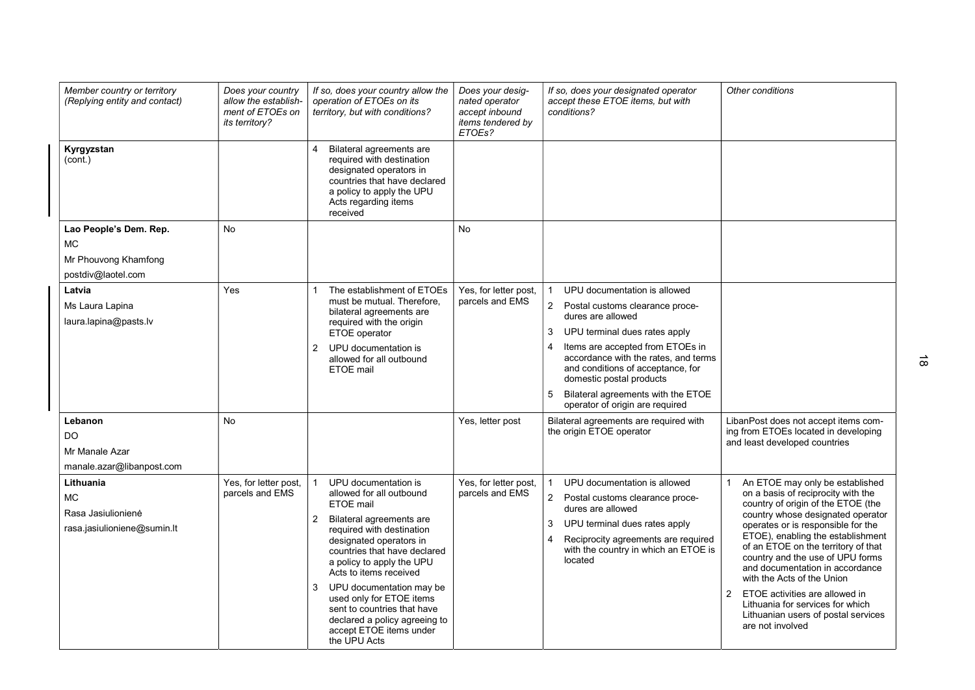| Member country or territory<br>(Replying entity and contact)                      | Does your country<br>allow the establish-<br>ment of ETOEs on<br>its territory? | If so, does your country allow the<br>operation of ETOEs on its<br>territory, but with conditions?                                                                                                                                                                                                                                                                                                                                 | Does your desig-<br>nated operator<br>accept inbound<br>items tendered by<br>ETOEs? | If so, does your designated operator<br>accept these ETOE items, but with<br>conditions?                                                                                                                                                                                                                                                                                     | Other conditions                                                                                                                                                                                                                                                                                                                                                                                                                                                                                                           |
|-----------------------------------------------------------------------------------|---------------------------------------------------------------------------------|------------------------------------------------------------------------------------------------------------------------------------------------------------------------------------------------------------------------------------------------------------------------------------------------------------------------------------------------------------------------------------------------------------------------------------|-------------------------------------------------------------------------------------|------------------------------------------------------------------------------------------------------------------------------------------------------------------------------------------------------------------------------------------------------------------------------------------------------------------------------------------------------------------------------|----------------------------------------------------------------------------------------------------------------------------------------------------------------------------------------------------------------------------------------------------------------------------------------------------------------------------------------------------------------------------------------------------------------------------------------------------------------------------------------------------------------------------|
| Kyrgyzstan<br>(cont.)                                                             |                                                                                 | Bilateral agreements are<br>required with destination<br>designated operators in<br>countries that have declared<br>a policy to apply the UPU<br>Acts regarding items<br>received                                                                                                                                                                                                                                                  |                                                                                     |                                                                                                                                                                                                                                                                                                                                                                              |                                                                                                                                                                                                                                                                                                                                                                                                                                                                                                                            |
| Lao People's Dem. Rep.<br><b>MC</b><br>Mr Phouvong Khamfong<br>postdiv@laotel.com | <b>No</b>                                                                       |                                                                                                                                                                                                                                                                                                                                                                                                                                    | <b>No</b>                                                                           |                                                                                                                                                                                                                                                                                                                                                                              |                                                                                                                                                                                                                                                                                                                                                                                                                                                                                                                            |
| Latvia<br>Ms Laura Lapina<br>laura.lapina@pasts.lv                                | Yes                                                                             | The establishment of ETOEs<br>must be mutual. Therefore,<br>bilateral agreements are<br>required with the origin<br>ETOE operator<br>UPU documentation is<br>2<br>allowed for all outbound<br>ETOE mail                                                                                                                                                                                                                            | Yes, for letter post,<br>parcels and EMS                                            | UPU documentation is allowed<br>$\overline{2}$<br>Postal customs clearance proce-<br>dures are allowed<br>UPU terminal dues rates apply<br>3<br>Items are accepted from ETOEs in<br>4<br>accordance with the rates, and terms<br>and conditions of acceptance, for<br>domestic postal products<br>Bilateral agreements with the ETOE<br>5<br>operator of origin are required |                                                                                                                                                                                                                                                                                                                                                                                                                                                                                                                            |
| Lebanon<br>DO.<br>Mr Manale Azar<br>manale.azar@libanpost.com                     | <b>No</b>                                                                       |                                                                                                                                                                                                                                                                                                                                                                                                                                    | Yes, letter post                                                                    | Bilateral agreements are required with<br>the origin ETOE operator                                                                                                                                                                                                                                                                                                           | LibanPost does not accept items com-<br>ing from ETOEs located in developing<br>and least developed countries                                                                                                                                                                                                                                                                                                                                                                                                              |
| Lithuania<br><b>MC</b><br>Rasa Jasiulionienė<br>rasa.jasiulioniene@sumin.lt       | Yes, for letter post,<br>parcels and EMS                                        | UPU documentation is<br>allowed for all outbound<br>ETOE mail<br>$\overline{c}$<br>Bilateral agreements are<br>required with destination<br>designated operators in<br>countries that have declared<br>a policy to apply the UPU<br>Acts to items received<br>UPU documentation may be<br>3<br>used only for ETOE items<br>sent to countries that have<br>declared a policy agreeing to<br>accept ETOE items under<br>the UPU Acts | Yes, for letter post,<br>parcels and EMS                                            | UPU documentation is allowed<br>$\overline{2}$<br>Postal customs clearance proce-<br>dures are allowed<br>UPU terminal dues rates apply<br>3<br>Reciprocity agreements are required<br>4<br>with the country in which an ETOE is<br>located                                                                                                                                  | An ETOE may only be established<br>on a basis of reciprocity with the<br>country of origin of the ETOE (the<br>country whose designated operator<br>operates or is responsible for the<br>ETOE), enabling the establishment<br>of an ETOE on the territory of that<br>country and the use of UPU forms<br>and documentation in accordance<br>with the Acts of the Union<br>$\mathfrak{p}$<br>ETOE activities are allowed in<br>Lithuania for services for which<br>Lithuanian users of postal services<br>are not involved |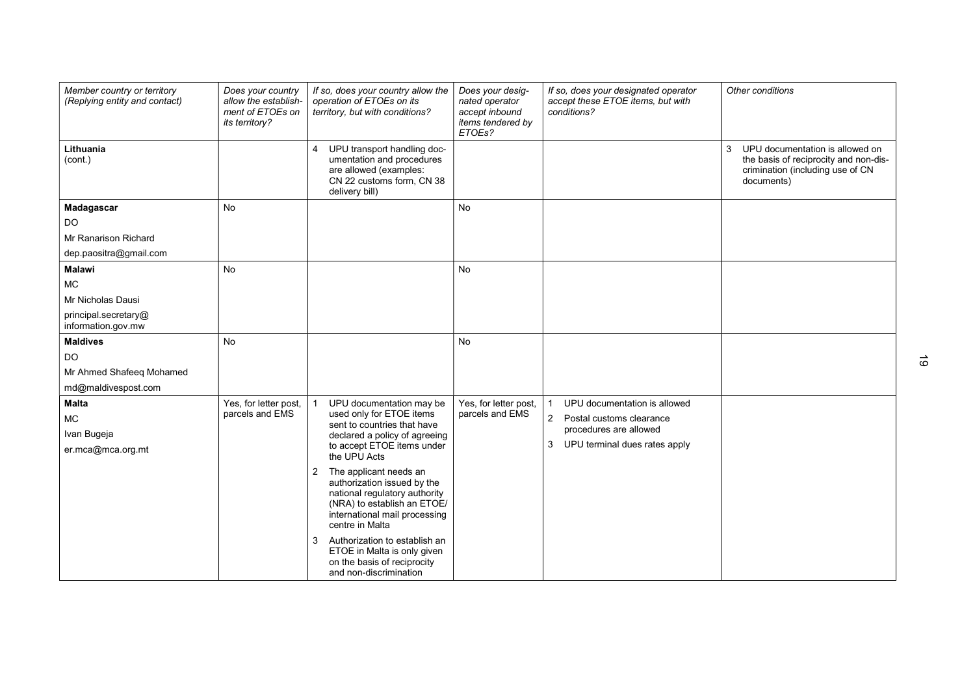| Member country or territory<br>(Replying entity and contact) | Does your country<br>allow the establish-<br>ment of ETOEs on<br>its territory? | If so, does your country allow the<br>operation of ETOEs on its<br>territory, but with conditions?                                              | Does your desig-<br>nated operator<br>accept inbound<br>items tendered by<br>ETOEs? | If so, does your designated operator<br>accept these ETOE items, but with<br>conditions? | Other conditions                                                                                                                |
|--------------------------------------------------------------|---------------------------------------------------------------------------------|-------------------------------------------------------------------------------------------------------------------------------------------------|-------------------------------------------------------------------------------------|------------------------------------------------------------------------------------------|---------------------------------------------------------------------------------------------------------------------------------|
| Lithuania<br>(cont.)                                         |                                                                                 | UPU transport handling doc-<br>4<br>umentation and procedures<br>are allowed (examples:<br>CN 22 customs form, CN 38<br>delivery bill)          |                                                                                     |                                                                                          | UPU documentation is allowed on<br>3<br>the basis of reciprocity and non-dis-<br>crimination (including use of CN<br>documents) |
| Madagascar                                                   | <b>No</b>                                                                       |                                                                                                                                                 | <b>No</b>                                                                           |                                                                                          |                                                                                                                                 |
| DO                                                           |                                                                                 |                                                                                                                                                 |                                                                                     |                                                                                          |                                                                                                                                 |
| Mr Ranarison Richard                                         |                                                                                 |                                                                                                                                                 |                                                                                     |                                                                                          |                                                                                                                                 |
| dep.paositra@gmail.com                                       |                                                                                 |                                                                                                                                                 |                                                                                     |                                                                                          |                                                                                                                                 |
| <b>Malawi</b>                                                | <b>No</b>                                                                       |                                                                                                                                                 | <b>No</b>                                                                           |                                                                                          |                                                                                                                                 |
| <b>MC</b>                                                    |                                                                                 |                                                                                                                                                 |                                                                                     |                                                                                          |                                                                                                                                 |
| Mr Nicholas Dausi                                            |                                                                                 |                                                                                                                                                 |                                                                                     |                                                                                          |                                                                                                                                 |
| principal.secretary@<br>information.gov.mw                   |                                                                                 |                                                                                                                                                 |                                                                                     |                                                                                          |                                                                                                                                 |
| <b>Maldives</b>                                              | <b>No</b>                                                                       |                                                                                                                                                 | <b>No</b>                                                                           |                                                                                          |                                                                                                                                 |
| DO                                                           |                                                                                 |                                                                                                                                                 |                                                                                     |                                                                                          |                                                                                                                                 |
| Mr Ahmed Shafeeq Mohamed                                     |                                                                                 |                                                                                                                                                 |                                                                                     |                                                                                          |                                                                                                                                 |
| md@maldivespost.com                                          |                                                                                 |                                                                                                                                                 |                                                                                     |                                                                                          |                                                                                                                                 |
| <b>Malta</b>                                                 | Yes, for letter post,                                                           | UPU documentation may be                                                                                                                        | Yes, for letter post,                                                               | UPU documentation is allowed                                                             |                                                                                                                                 |
| <b>MC</b>                                                    | parcels and EMS                                                                 | used only for ETOE items<br>sent to countries that have                                                                                         | parcels and EMS                                                                     | $\overline{2}$<br>Postal customs clearance                                               |                                                                                                                                 |
| Ivan Bugeja                                                  |                                                                                 | declared a policy of agreeing                                                                                                                   |                                                                                     | procedures are allowed                                                                   |                                                                                                                                 |
| er.mca@mca.org.mt                                            |                                                                                 | to accept ETOE items under<br>the UPU Acts                                                                                                      |                                                                                     | UPU terminal dues rates apply<br>3                                                       |                                                                                                                                 |
|                                                              |                                                                                 | The applicant needs an<br>2                                                                                                                     |                                                                                     |                                                                                          |                                                                                                                                 |
|                                                              |                                                                                 | authorization issued by the<br>national regulatory authority<br>(NRA) to establish an ETOE/<br>international mail processing<br>centre in Malta |                                                                                     |                                                                                          |                                                                                                                                 |
|                                                              |                                                                                 | Authorization to establish an<br>3<br>ETOE in Malta is only given<br>on the basis of reciprocity<br>and non-discrimination                      |                                                                                     |                                                                                          |                                                                                                                                 |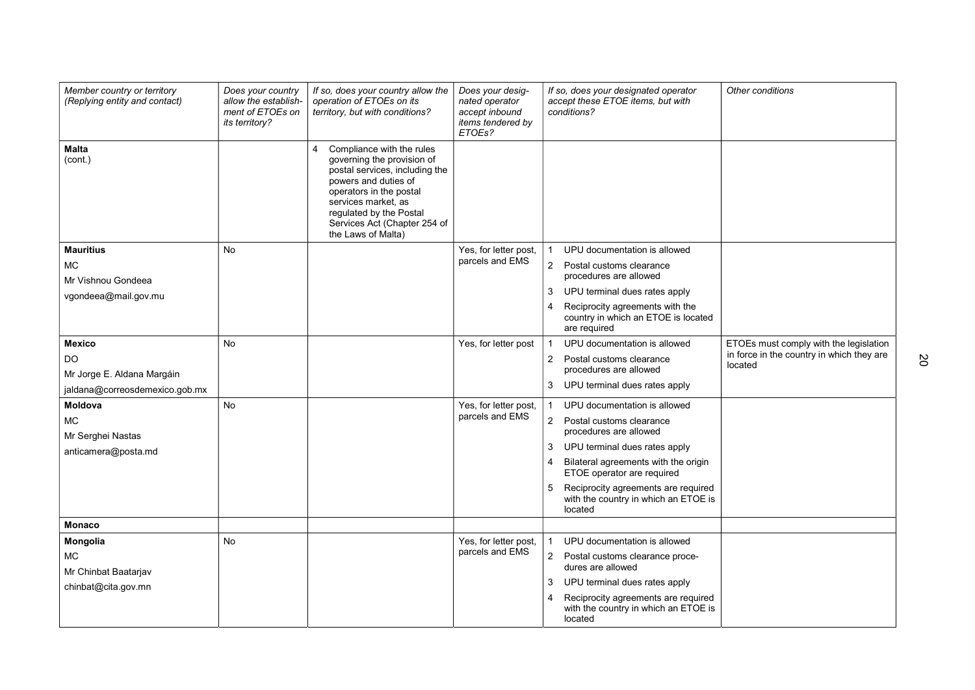| Member country or territory<br>(Replying entity and contact) | Does your country<br>allow the establish-<br>ment of ETOEs on<br><i>its territory?</i> | If so, does your country allow the<br>operation of ETOEs on its<br>territory, but with conditions?                                                                                                                                                        | Does your desig-<br>nated operator<br>accept inbound<br>items tendered by<br>ETOEs? | Other conditions<br>If so, does your designated operator<br>accept these ETOE items, but with<br>conditions? |
|--------------------------------------------------------------|----------------------------------------------------------------------------------------|-----------------------------------------------------------------------------------------------------------------------------------------------------------------------------------------------------------------------------------------------------------|-------------------------------------------------------------------------------------|--------------------------------------------------------------------------------------------------------------|
| <b>Malta</b><br>(cont.)                                      |                                                                                        | Compliance with the rules<br>4<br>governing the provision of<br>postal services, including the<br>powers and duties of<br>operators in the postal<br>services market, as<br>regulated by the Postal<br>Services Act (Chapter 254 of<br>the Laws of Malta) |                                                                                     |                                                                                                              |
| <b>Mauritius</b>                                             | <b>No</b>                                                                              |                                                                                                                                                                                                                                                           | Yes, for letter post,                                                               | UPU documentation is allowed                                                                                 |
| <b>MC</b>                                                    |                                                                                        |                                                                                                                                                                                                                                                           | parcels and EMS                                                                     | $\overline{2}$<br>Postal customs clearance                                                                   |
| Mr Vishnou Gondeea                                           |                                                                                        |                                                                                                                                                                                                                                                           |                                                                                     | procedures are allowed<br>UPU terminal dues rates apply                                                      |
| vgondeea@mail.gov.mu                                         |                                                                                        |                                                                                                                                                                                                                                                           |                                                                                     | 3<br>Reciprocity agreements with the<br>4                                                                    |
|                                                              |                                                                                        |                                                                                                                                                                                                                                                           |                                                                                     | country in which an ETOE is located<br>are required                                                          |
| <b>Mexico</b>                                                | No                                                                                     |                                                                                                                                                                                                                                                           | Yes, for letter post                                                                | UPU documentation is allowed<br>ETOEs must comply with the legislation                                       |
| <b>DO</b>                                                    |                                                                                        |                                                                                                                                                                                                                                                           |                                                                                     | in force in the country in which they are<br>$\overline{2}$<br>Postal customs clearance<br>located           |
| Mr Jorge E. Aldana Margáin                                   |                                                                                        |                                                                                                                                                                                                                                                           |                                                                                     | procedures are allowed                                                                                       |
| jaldana@correosdemexico.gob.mx                               |                                                                                        |                                                                                                                                                                                                                                                           |                                                                                     | 3 UPU terminal dues rates apply                                                                              |
| Moldova                                                      | <b>No</b>                                                                              |                                                                                                                                                                                                                                                           | Yes, for letter post,<br>parcels and EMS                                            | UPU documentation is allowed                                                                                 |
| <b>MC</b>                                                    |                                                                                        |                                                                                                                                                                                                                                                           |                                                                                     | $\overline{2}$<br>Postal customs clearance<br>procedures are allowed                                         |
| Mr Serghei Nastas                                            |                                                                                        |                                                                                                                                                                                                                                                           |                                                                                     | UPU terminal dues rates apply<br>3                                                                           |
| anticamera@posta.md                                          |                                                                                        |                                                                                                                                                                                                                                                           |                                                                                     | Bilateral agreements with the origin<br>4                                                                    |
|                                                              |                                                                                        |                                                                                                                                                                                                                                                           |                                                                                     | ETOE operator are required                                                                                   |
|                                                              |                                                                                        |                                                                                                                                                                                                                                                           |                                                                                     | Reciprocity agreements are required<br>5<br>with the country in which an ETOE is<br>located                  |
| <b>Monaco</b>                                                |                                                                                        |                                                                                                                                                                                                                                                           |                                                                                     |                                                                                                              |
| Mongolia                                                     | <b>No</b>                                                                              |                                                                                                                                                                                                                                                           | Yes, for letter post,                                                               | UPU documentation is allowed                                                                                 |
| <b>MC</b>                                                    |                                                                                        |                                                                                                                                                                                                                                                           | parcels and EMS                                                                     | 2 Postal customs clearance proce-                                                                            |
| Mr Chinbat Baatarjav                                         |                                                                                        |                                                                                                                                                                                                                                                           |                                                                                     | dures are allowed                                                                                            |
| chinbat@cita.gov.mn                                          |                                                                                        |                                                                                                                                                                                                                                                           |                                                                                     | UPU terminal dues rates apply<br>3                                                                           |
|                                                              |                                                                                        |                                                                                                                                                                                                                                                           |                                                                                     | Reciprocity agreements are required<br>with the country in which an ETOE is<br>located                       |

20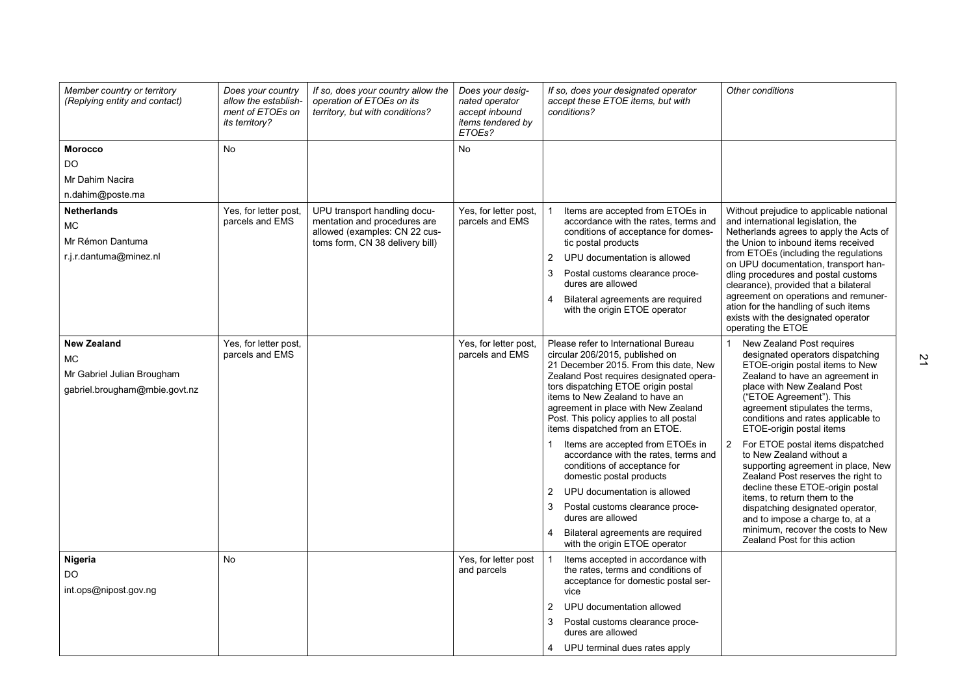| Member country or territory<br>(Replying entity and contact) | Does your country<br>allow the establish-<br>ment of ETOEs on<br><i>its territory?</i> | If so, does your country allow the<br>operation of ETOEs on its<br>territory, but with conditions? | Does your desig-<br>nated operator<br>accept inbound<br>items tendered by<br>ETOEs? | If so, does your designated operator<br>accept these ETOE items, but with<br>conditions? | Other conditions                                                                                                                          |
|--------------------------------------------------------------|----------------------------------------------------------------------------------------|----------------------------------------------------------------------------------------------------|-------------------------------------------------------------------------------------|------------------------------------------------------------------------------------------|-------------------------------------------------------------------------------------------------------------------------------------------|
| <b>Morocco</b>                                               | <b>No</b>                                                                              |                                                                                                    | <b>No</b>                                                                           |                                                                                          |                                                                                                                                           |
| <b>DO</b>                                                    |                                                                                        |                                                                                                    |                                                                                     |                                                                                          |                                                                                                                                           |
| Mr Dahim Nacira                                              |                                                                                        |                                                                                                    |                                                                                     |                                                                                          |                                                                                                                                           |
| n.dahim@poste.ma                                             |                                                                                        |                                                                                                    |                                                                                     |                                                                                          |                                                                                                                                           |
| <b>Netherlands</b>                                           | Yes, for letter post,                                                                  | UPU transport handling docu-                                                                       | Yes, for letter post,                                                               | Items are accepted from ETOEs in                                                         | Without prejudice to applicable national                                                                                                  |
| <b>MC</b>                                                    | parcels and EMS                                                                        | mentation and procedures are<br>allowed (examples: CN 22 cus-                                      | parcels and EMS                                                                     | accordance with the rates, terms and<br>conditions of acceptance for domes-              | and international legislation, the<br>Netherlands agrees to apply the Acts of                                                             |
| Mr Rémon Dantuma                                             |                                                                                        | toms form, CN 38 delivery bill)                                                                    |                                                                                     | tic postal products                                                                      | the Union to inbound items received                                                                                                       |
| r.j.r.dantuma@minez.nl                                       |                                                                                        |                                                                                                    |                                                                                     | UPU documentation is allowed<br>2                                                        | from ETOEs (including the regulations                                                                                                     |
|                                                              |                                                                                        |                                                                                                    |                                                                                     | 3<br>Postal customs clearance proce-<br>dures are allowed                                | on UPU documentation, transport han-<br>dling procedures and postal customs<br>clearance), provided that a bilateral                      |
|                                                              |                                                                                        |                                                                                                    |                                                                                     | Bilateral agreements are required<br>4<br>with the origin ETOE operator                  | agreement on operations and remuner-<br>ation for the handling of such items<br>exists with the designated operator<br>operating the ETOE |
| <b>New Zealand</b>                                           | Yes, for letter post,                                                                  |                                                                                                    | Yes, for letter post,                                                               | Please refer to International Bureau                                                     | New Zealand Post requires                                                                                                                 |
| <b>MC</b>                                                    | parcels and EMS                                                                        |                                                                                                    | parcels and EMS                                                                     | circular 206/2015, published on                                                          | designated operators dispatching                                                                                                          |
| Mr Gabriel Julian Brougham                                   |                                                                                        |                                                                                                    |                                                                                     | 21 December 2015. From this date, New<br>Zealand Post requires designated opera-         | ETOE-origin postal items to New<br>Zealand to have an agreement in                                                                        |
| gabriel.brougham@mbie.govt.nz                                |                                                                                        |                                                                                                    |                                                                                     | tors dispatching ETOE origin postal                                                      | place with New Zealand Post                                                                                                               |
|                                                              |                                                                                        |                                                                                                    |                                                                                     | items to New Zealand to have an<br>agreement in place with New Zealand                   | ("ETOE Agreement"). This<br>agreement stipulates the terms,                                                                               |
|                                                              |                                                                                        |                                                                                                    |                                                                                     | Post. This policy applies to all postal                                                  | conditions and rates applicable to                                                                                                        |
|                                                              |                                                                                        |                                                                                                    |                                                                                     | items dispatched from an ETOE.                                                           | ETOE-origin postal items                                                                                                                  |
|                                                              |                                                                                        |                                                                                                    |                                                                                     | Items are accepted from ETOEs in<br>accordance with the rates, terms and                 | $\overline{2}$<br>For ETOE postal items dispatched<br>to New Zealand without a                                                            |
|                                                              |                                                                                        |                                                                                                    |                                                                                     | conditions of acceptance for                                                             | supporting agreement in place, New                                                                                                        |
|                                                              |                                                                                        |                                                                                                    |                                                                                     | domestic postal products                                                                 | Zealand Post reserves the right to<br>decline these ETOE-origin postal                                                                    |
|                                                              |                                                                                        |                                                                                                    |                                                                                     | $\overline{2}$<br>UPU documentation is allowed                                           | items, to return them to the                                                                                                              |
|                                                              |                                                                                        |                                                                                                    |                                                                                     | 3<br>Postal customs clearance proce-<br>dures are allowed                                | dispatching designated operator,<br>and to impose a charge to, at a                                                                       |
|                                                              |                                                                                        |                                                                                                    |                                                                                     | Bilateral agreements are required                                                        | minimum, recover the costs to New                                                                                                         |
|                                                              |                                                                                        |                                                                                                    |                                                                                     | with the origin ETOE operator                                                            | Zealand Post for this action                                                                                                              |
| Nigeria                                                      | No                                                                                     |                                                                                                    | Yes, for letter post<br>and parcels                                                 | Items accepted in accordance with<br>the rates, terms and conditions of                  |                                                                                                                                           |
| <b>DO</b>                                                    |                                                                                        |                                                                                                    |                                                                                     | acceptance for domestic postal ser-                                                      |                                                                                                                                           |
| int.ops@nipost.gov.ng                                        |                                                                                        |                                                                                                    |                                                                                     | vice                                                                                     |                                                                                                                                           |
|                                                              |                                                                                        |                                                                                                    |                                                                                     | UPU documentation allowed<br>2                                                           |                                                                                                                                           |
|                                                              |                                                                                        |                                                                                                    |                                                                                     | Postal customs clearance proce-<br>3<br>dures are allowed                                |                                                                                                                                           |
|                                                              |                                                                                        |                                                                                                    |                                                                                     | UPU terminal dues rates apply<br>4                                                       |                                                                                                                                           |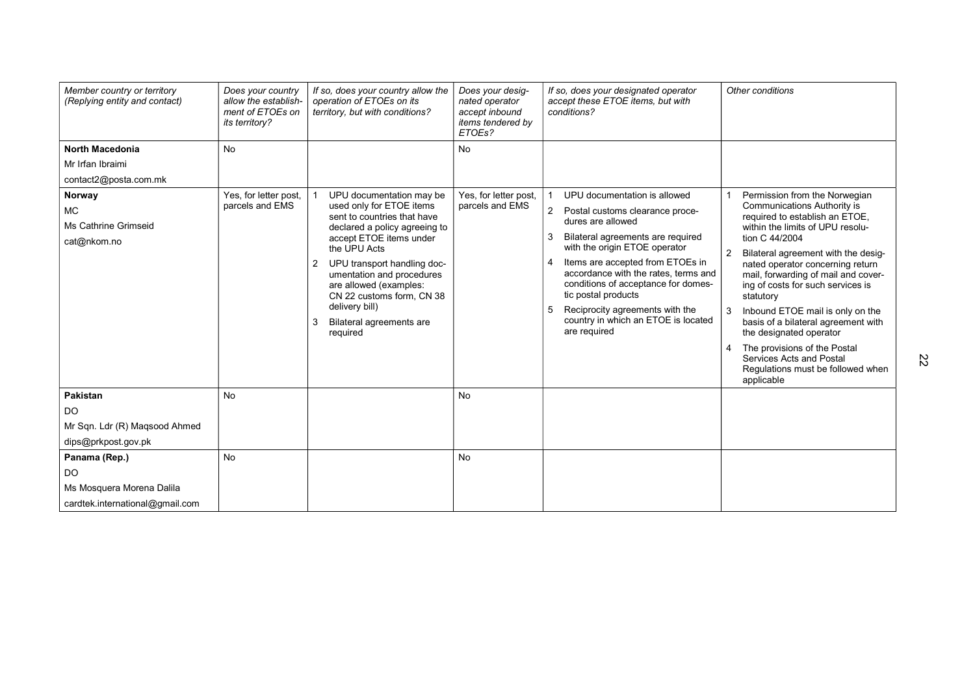| Member country or territory<br>(Replying entity and contact)                         | Does your country<br>allow the establish-<br>ment of ETOEs on<br><i>its territory?</i> | If so, does your country allow the<br>operation of ETOEs on its<br>territory, but with conditions?                                                                                                                                                                                             | Does your desig-<br>nated operator<br>accept inbound<br>items tendered by<br>ETOEs? | If so, does your designated operator<br>accept these ETOE items, but with<br>conditions?                                                                                                                                                                                                                                                                  | Other conditions                                                                                                                                                                                                                                                                                                                                                                                                                                                                   |
|--------------------------------------------------------------------------------------|----------------------------------------------------------------------------------------|------------------------------------------------------------------------------------------------------------------------------------------------------------------------------------------------------------------------------------------------------------------------------------------------|-------------------------------------------------------------------------------------|-----------------------------------------------------------------------------------------------------------------------------------------------------------------------------------------------------------------------------------------------------------------------------------------------------------------------------------------------------------|------------------------------------------------------------------------------------------------------------------------------------------------------------------------------------------------------------------------------------------------------------------------------------------------------------------------------------------------------------------------------------------------------------------------------------------------------------------------------------|
| <b>North Macedonia</b><br>Mr Irfan Ibraimi<br>contact2@posta.com.mk<br>Norway<br>MC  | <b>No</b><br>Yes, for letter post,<br>parcels and EMS                                  | UPU documentation may be<br>used only for ETOE items                                                                                                                                                                                                                                           | No<br>Yes, for letter post,<br>parcels and EMS                                      | UPU documentation is allowed<br>2 Postal customs clearance proce-                                                                                                                                                                                                                                                                                         | Permission from the Norwegian<br><b>Communications Authority is</b>                                                                                                                                                                                                                                                                                                                                                                                                                |
| Ms Cathrine Grimseid<br>cat@nkom.no                                                  |                                                                                        | sent to countries that have<br>declared a policy agreeing to<br>accept ETOE items under<br>the UPU Acts<br>UPU transport handling doc-<br>2<br>umentation and procedures<br>are allowed (examples:<br>CN 22 customs form, CN 38<br>delivery bill)<br>Bilateral agreements are<br>3<br>required |                                                                                     | dures are allowed<br>Bilateral agreements are required<br>with the origin ETOE operator<br>Items are accepted from ETOEs in<br>$\boldsymbol{\Delta}$<br>accordance with the rates, terms and<br>conditions of acceptance for domes-<br>tic postal products<br>Reciprocity agreements with the<br>5<br>country in which an ETOE is located<br>are required | required to establish an ETOE,<br>within the limits of UPU resolu-<br>tion C 44/2004<br>Bilateral agreement with the desig-<br>nated operator concerning return<br>mail, forwarding of mail and cover-<br>ing of costs for such services is<br>statutory<br>Inbound ETOE mail is only on the<br>basis of a bilateral agreement with<br>the designated operator<br>The provisions of the Postal<br>4<br>Services Acts and Postal<br>Regulations must be followed when<br>applicable |
| <b>Pakistan</b><br>DO<br>Mr Sqn. Ldr (R) Magsood Ahmed<br>dips@prkpost.gov.pk        | <b>No</b>                                                                              |                                                                                                                                                                                                                                                                                                | <b>No</b>                                                                           |                                                                                                                                                                                                                                                                                                                                                           |                                                                                                                                                                                                                                                                                                                                                                                                                                                                                    |
| Panama (Rep.)<br>DO.<br>Ms Mosquera Morena Dalila<br>cardtek.international@gmail.com | <b>No</b>                                                                              |                                                                                                                                                                                                                                                                                                | <b>No</b>                                                                           |                                                                                                                                                                                                                                                                                                                                                           |                                                                                                                                                                                                                                                                                                                                                                                                                                                                                    |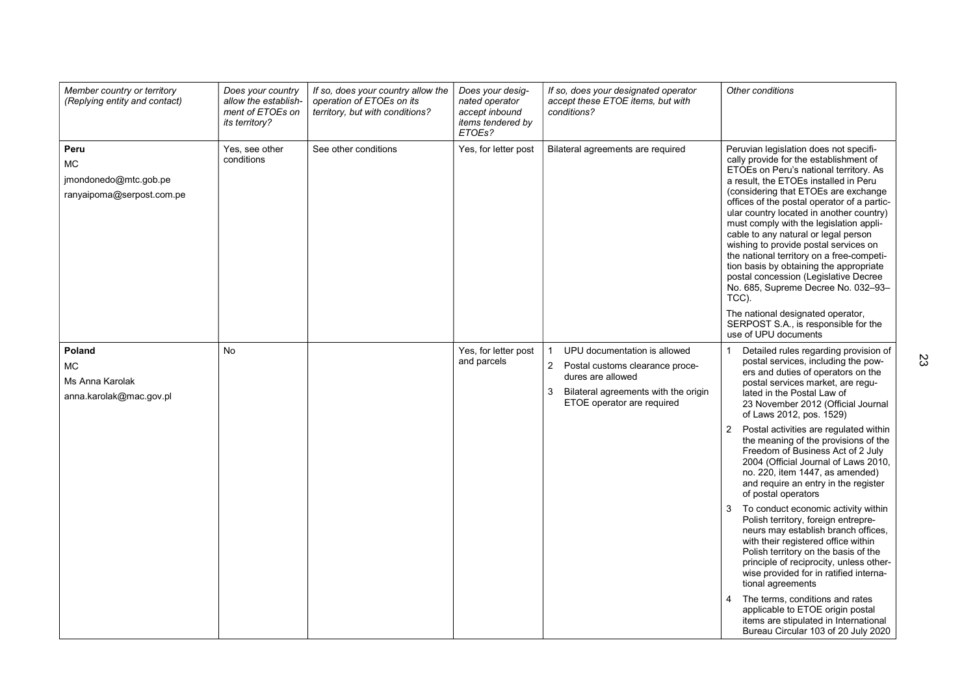| Member country or territory<br>(Replying entity and contact)     | Does your country<br>allow the establish-<br>ment of ETOEs on<br><i>its territory?</i> | If so, does your country allow the<br>operation of ETOEs on its<br>territory, but with conditions? | Does your desig-<br>nated operator<br>accept inbound<br>items tendered by<br>ETOEs? | If so, does your designated operator<br>accept these ETOE items, but with<br>conditions?                                                                                                                                                                           | Other conditions                                                                                                                                                                                                                                                                                                                                                                                                                                                                                                                                                                                                                                                                                 |
|------------------------------------------------------------------|----------------------------------------------------------------------------------------|----------------------------------------------------------------------------------------------------|-------------------------------------------------------------------------------------|--------------------------------------------------------------------------------------------------------------------------------------------------------------------------------------------------------------------------------------------------------------------|--------------------------------------------------------------------------------------------------------------------------------------------------------------------------------------------------------------------------------------------------------------------------------------------------------------------------------------------------------------------------------------------------------------------------------------------------------------------------------------------------------------------------------------------------------------------------------------------------------------------------------------------------------------------------------------------------|
| Peru<br>МC<br>jmondonedo@mtc.gob.pe<br>ranyaipoma@serpost.com.pe | Yes, see other<br>conditions                                                           | See other conditions                                                                               | Yes, for letter post                                                                | Bilateral agreements are required                                                                                                                                                                                                                                  | Peruvian legislation does not specifi-<br>cally provide for the establishment of<br>ETOEs on Peru's national territory. As<br>a result, the ETOEs installed in Peru<br>(considering that ETOEs are exchange<br>offices of the postal operator of a partic-<br>ular country located in another country)<br>must comply with the legislation appli-<br>cable to any natural or legal person<br>wishing to provide postal services on<br>the national territory on a free-competi-<br>tion basis by obtaining the appropriate<br>postal concession (Legislative Decree<br>No. 685, Supreme Decree No. 032-93-<br>TCC).<br>The national designated operator,<br>SERPOST S.A., is responsible for the |
| Poland<br>MC.<br>Ms Anna Karolak<br>anna.karolak@mac.gov.pl      | No                                                                                     |                                                                                                    | Yes, for letter post<br>and parcels                                                 | UPU documentation is allowed<br>$\overline{2}$<br>Postal customs clearance proce-<br>dures are allowed<br>3<br>Bilateral agreements with the origin<br>ETOE operator are required                                                                                  | use of UPU documents<br>Detailed rules regarding provision of<br>postal services, including the pow-<br>ers and duties of operators on the<br>postal services market, are regu-<br>lated in the Postal Law of<br>23 November 2012 (Official Journal<br>of Laws 2012, pos. 1529)                                                                                                                                                                                                                                                                                                                                                                                                                  |
|                                                                  |                                                                                        |                                                                                                    |                                                                                     | Postal activities are regulated within<br>2<br>the meaning of the provisions of the<br>Freedom of Business Act of 2 July<br>2004 (Official Journal of Laws 2010,<br>no. 220, item 1447, as amended)<br>and require an entry in the register<br>of postal operators |                                                                                                                                                                                                                                                                                                                                                                                                                                                                                                                                                                                                                                                                                                  |
|                                                                  |                                                                                        |                                                                                                    |                                                                                     |                                                                                                                                                                                                                                                                    | To conduct economic activity within<br>Polish territory, foreign entrepre-<br>neurs may establish branch offices,<br>with their registered office within<br>Polish territory on the basis of the<br>principle of reciprocity, unless other-<br>wise provided for in ratified interna-<br>tional agreements                                                                                                                                                                                                                                                                                                                                                                                       |
|                                                                  |                                                                                        |                                                                                                    |                                                                                     |                                                                                                                                                                                                                                                                    | The terms, conditions and rates<br>applicable to ETOE origin postal<br>items are stipulated in International<br>Bureau Circular 103 of 20 July 2020                                                                                                                                                                                                                                                                                                                                                                                                                                                                                                                                              |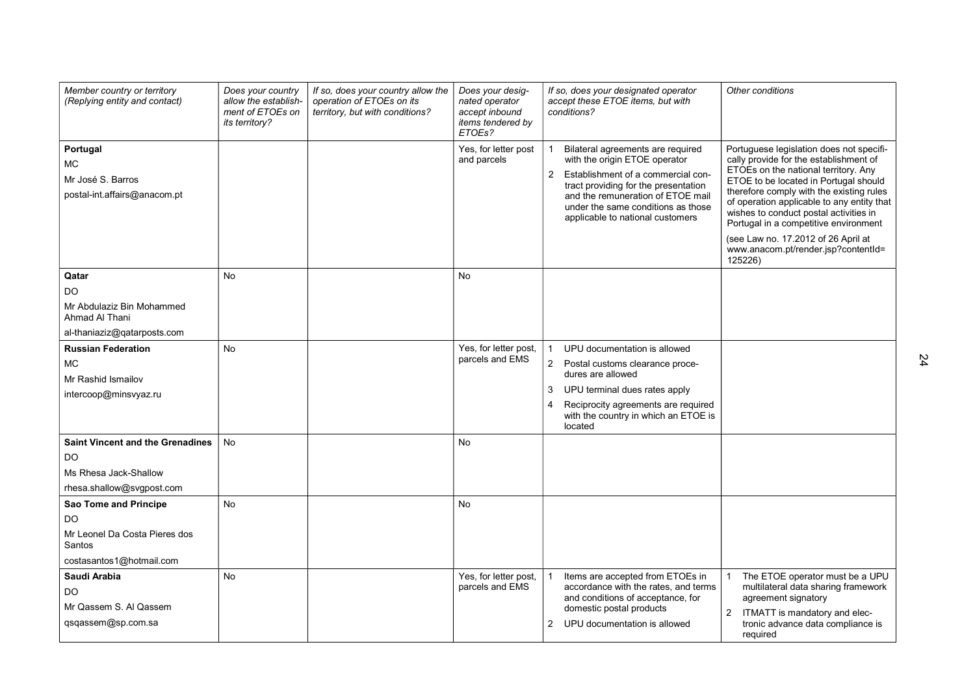| Member country or territory<br>(Replying entity and contact)                                              | Does your country<br>allow the establish-<br>ment of ETOEs on<br><i>its territory?</i> | If so, does your country allow the<br>operation of ETOEs on its<br>territory, but with conditions? | Does your desig-<br>nated operator<br>accept inbound<br>items tendered by<br>ETOEs? | If so, does your designated operator<br>accept these ETOE items, but with<br>conditions?                                                                                                                                                                          | Other conditions                                                                                                                                                                                                                                                                                                                                                                                                                          |
|-----------------------------------------------------------------------------------------------------------|----------------------------------------------------------------------------------------|----------------------------------------------------------------------------------------------------|-------------------------------------------------------------------------------------|-------------------------------------------------------------------------------------------------------------------------------------------------------------------------------------------------------------------------------------------------------------------|-------------------------------------------------------------------------------------------------------------------------------------------------------------------------------------------------------------------------------------------------------------------------------------------------------------------------------------------------------------------------------------------------------------------------------------------|
| Portugal<br>МC<br>Mr José S. Barros<br>postal-int.affairs@anacom.pt                                       |                                                                                        |                                                                                                    | Yes, for letter post<br>and parcels                                                 | Bilateral agreements are required<br>with the origin ETOE operator<br>2 Establishment of a commercial con-<br>tract providing for the presentation<br>and the remuneration of ETOE mail<br>under the same conditions as those<br>applicable to national customers | Portuguese legislation does not specifi-<br>cally provide for the establishment of<br>ETOEs on the national territory. Any<br>ETOE to be located in Portugal should<br>therefore comply with the existing rules<br>of operation applicable to any entity that<br>wishes to conduct postal activities in<br>Portugal in a competitive environment<br>(see Law no. 17.2012 of 26 April at<br>www.anacom.pt/render.jsp?contentId=<br>125226) |
| Qatar<br>DO.<br>Mr Abdulaziz Bin Mohammed<br>Ahmad Al Thani<br>al-thaniaziz@gatarposts.com                | No                                                                                     |                                                                                                    | No                                                                                  |                                                                                                                                                                                                                                                                   |                                                                                                                                                                                                                                                                                                                                                                                                                                           |
| <b>Russian Federation</b><br><b>MC</b><br>Mr Rashid Ismailov<br>intercoop@minsvyaz.ru                     | <b>No</b>                                                                              |                                                                                                    | Yes, for letter post,<br>parcels and EMS                                            | UPU documentation is allowed<br>2 Postal customs clearance proce-<br>dures are allowed<br>3<br>UPU terminal dues rates apply<br>Reciprocity agreements are required<br>4<br>with the country in which an ETOE is<br>located                                       |                                                                                                                                                                                                                                                                                                                                                                                                                                           |
| <b>Saint Vincent and the Grenadines</b><br>DO<br>Ms Rhesa Jack-Shallow<br>rhesa.shallow@svgpost.com       | <b>No</b>                                                                              |                                                                                                    | No                                                                                  |                                                                                                                                                                                                                                                                   |                                                                                                                                                                                                                                                                                                                                                                                                                                           |
| Sao Tome and Principe<br><b>DO</b><br>Mr Leonel Da Costa Pieres dos<br>Santos<br>costasantos1@hotmail.com | <b>No</b>                                                                              |                                                                                                    | <b>No</b>                                                                           |                                                                                                                                                                                                                                                                   |                                                                                                                                                                                                                                                                                                                                                                                                                                           |
| Saudi Arabia<br>DO<br>Mr Qassem S. Al Qassem<br>qsqassem@sp.com.sa                                        | <b>No</b>                                                                              |                                                                                                    | Yes, for letter post,<br>parcels and EMS                                            | Items are accepted from ETOEs in<br>accordance with the rates, and terms<br>and conditions of acceptance, for<br>domestic postal products<br>$\overline{2}$<br>UPU documentation is allowed                                                                       | The ETOE operator must be a UPU<br>multilateral data sharing framework<br>agreement signatory<br>2<br>ITMATT is mandatory and elec-<br>tronic advance data compliance is<br>required                                                                                                                                                                                                                                                      |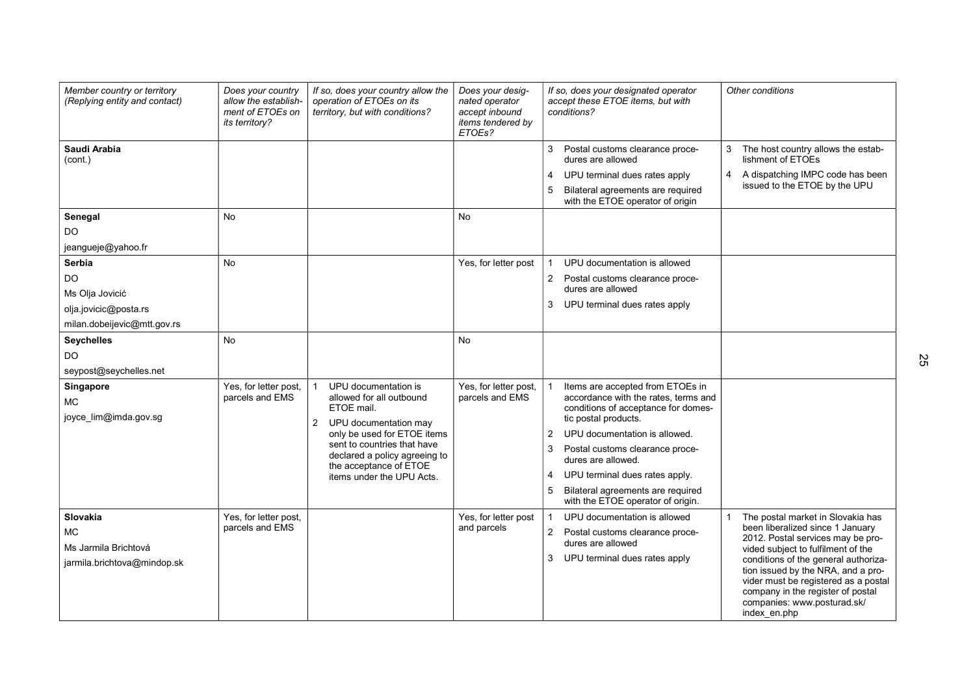| Member country or territory<br>(Replying entity and contact)                                    | Does your country<br>allow the establish-<br>ment of ETOEs on<br><i>its territory?</i> | If so, does your country allow the<br>operation of ETOEs on its<br>territory, but with conditions?                                                                                                                                                              | Does your desig-<br>nated operator<br>accept inbound<br>items tendered by<br>ETOEs? | If so, does your designated operator<br>accept these ETOE items, but with<br>conditions?                                                                                                                                                                                                                                                                          | Other conditions                                                                                                                                                                                                                                                                                                                                           |
|-------------------------------------------------------------------------------------------------|----------------------------------------------------------------------------------------|-----------------------------------------------------------------------------------------------------------------------------------------------------------------------------------------------------------------------------------------------------------------|-------------------------------------------------------------------------------------|-------------------------------------------------------------------------------------------------------------------------------------------------------------------------------------------------------------------------------------------------------------------------------------------------------------------------------------------------------------------|------------------------------------------------------------------------------------------------------------------------------------------------------------------------------------------------------------------------------------------------------------------------------------------------------------------------------------------------------------|
| Saudi Arabia<br>(cont.)                                                                         |                                                                                        |                                                                                                                                                                                                                                                                 |                                                                                     | 3<br>Postal customs clearance proce-<br>dures are allowed<br>UPU terminal dues rates apply<br>4<br>5<br>Bilateral agreements are required<br>with the ETOE operator of origin                                                                                                                                                                                     | 3<br>The host country allows the estab-<br>lishment of ETOEs<br>A dispatching IMPC code has been<br>4<br>issued to the ETOE by the UPU                                                                                                                                                                                                                     |
| Senegal<br>DO<br>jeangueje@yahoo.fr                                                             | <b>No</b>                                                                              |                                                                                                                                                                                                                                                                 | <b>No</b>                                                                           |                                                                                                                                                                                                                                                                                                                                                                   |                                                                                                                                                                                                                                                                                                                                                            |
| <b>Serbia</b><br>DO.<br>Ms Olja Jovicić<br>olja.jovicic@posta.rs<br>milan.dobeijevic@mtt.gov.rs | <b>No</b>                                                                              |                                                                                                                                                                                                                                                                 | Yes, for letter post                                                                | UPU documentation is allowed<br>2<br>Postal customs clearance proce-<br>dures are allowed<br>UPU terminal dues rates apply<br>3                                                                                                                                                                                                                                   |                                                                                                                                                                                                                                                                                                                                                            |
| <b>Seychelles</b><br>DO.<br>seypost@seychelles.net                                              | No                                                                                     |                                                                                                                                                                                                                                                                 | No                                                                                  |                                                                                                                                                                                                                                                                                                                                                                   |                                                                                                                                                                                                                                                                                                                                                            |
| Singapore<br><b>MC</b><br>joyce_lim@imda.gov.sg                                                 | Yes, for letter post,<br>parcels and EMS                                               | UPU documentation is<br>allowed for all outbound<br>ETOE mail.<br>UPU documentation may<br>$\overline{2}$<br>only be used for ETOE items<br>sent to countries that have<br>declared a policy agreeing to<br>the acceptance of ETOE<br>items under the UPU Acts. | Yes, for letter post,<br>parcels and EMS                                            | Items are accepted from ETOEs in<br>accordance with the rates, terms and<br>conditions of acceptance for domes-<br>tic postal products.<br>2<br>UPU documentation is allowed.<br>3<br>Postal customs clearance proce-<br>dures are allowed.<br>UPU terminal dues rates apply.<br>4<br>5<br>Bilateral agreements are required<br>with the ETOE operator of origin. |                                                                                                                                                                                                                                                                                                                                                            |
| Slovakia<br><b>MC</b><br>Ms Jarmila Brichtová<br>jarmila.brichtova@mindop.sk                    | Yes, for letter post,<br>parcels and EMS                                               |                                                                                                                                                                                                                                                                 | Yes, for letter post<br>and parcels                                                 | UPU documentation is allowed<br>$\overline{2}$<br>Postal customs clearance proce-<br>dures are allowed<br>3<br>UPU terminal dues rates apply                                                                                                                                                                                                                      | The postal market in Slovakia has<br>been liberalized since 1 January<br>2012. Postal services may be pro-<br>vided subject to fulfilment of the<br>conditions of the general authoriza-<br>tion issued by the NRA, and a pro-<br>vider must be registered as a postal<br>company in the register of postal<br>companies: www.posturad.sk/<br>index en.php |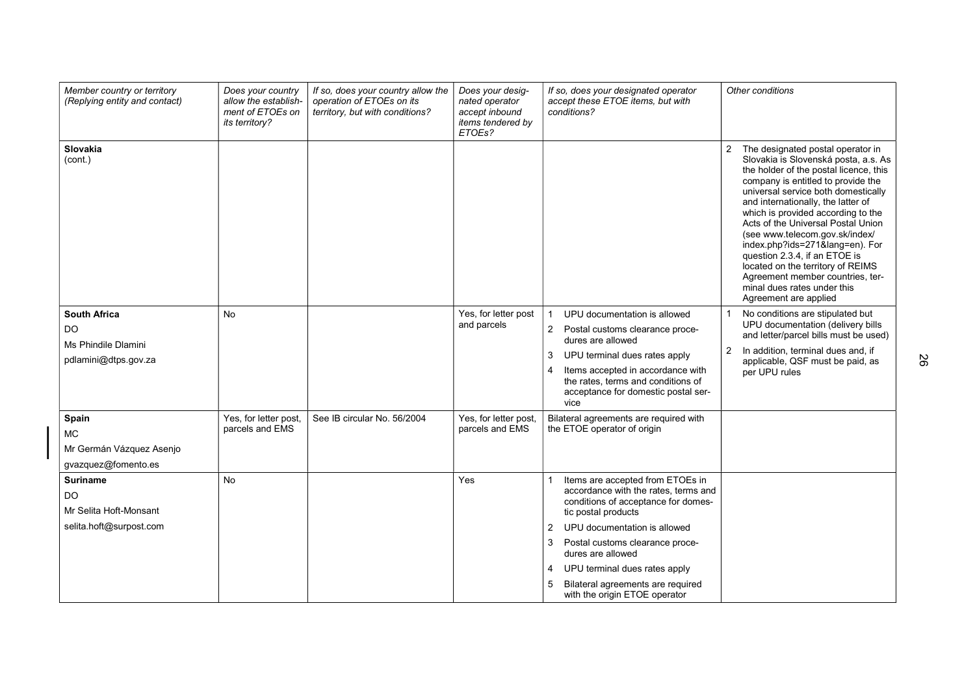| Member country or territory<br>(Replying entity and contact)                    | Does your country<br>allow the establish-<br>ment of ETOEs on<br>its territory? | If so, does your country allow the<br>operation of ETOEs on its<br>territory, but with conditions? | Does your desig-<br>nated operator<br>accept inbound<br>items tendered by<br>ETOEs? | If so, does your designated operator<br>accept these ETOE items, but with<br>conditions?                                                                                                                                                                                                                                                                               | Other conditions                                                                                                                                                                                                                                                                                                                                                                                                                                                                                                                                           |
|---------------------------------------------------------------------------------|---------------------------------------------------------------------------------|----------------------------------------------------------------------------------------------------|-------------------------------------------------------------------------------------|------------------------------------------------------------------------------------------------------------------------------------------------------------------------------------------------------------------------------------------------------------------------------------------------------------------------------------------------------------------------|------------------------------------------------------------------------------------------------------------------------------------------------------------------------------------------------------------------------------------------------------------------------------------------------------------------------------------------------------------------------------------------------------------------------------------------------------------------------------------------------------------------------------------------------------------|
| <b>Slovakia</b><br>(cont.)                                                      |                                                                                 |                                                                                                    |                                                                                     |                                                                                                                                                                                                                                                                                                                                                                        | 2<br>The designated postal operator in<br>Slovakia is Slovenská posta, a.s. As<br>the holder of the postal licence, this<br>company is entitled to provide the<br>universal service both domestically<br>and internationally, the latter of<br>which is provided according to the<br>Acts of the Universal Postal Union<br>(see www.telecom.gov.sk/index/<br>index.php?ids=271⟨=en). For<br>question 2.3.4, if an ETOE is<br>located on the territory of REIMS<br>Agreement member countries, ter-<br>minal dues rates under this<br>Agreement are applied |
| <b>South Africa</b><br><b>DO</b><br>Ms Phindile Dlamini<br>pdlamini@dtps.gov.za | No                                                                              |                                                                                                    | Yes, for letter post<br>and parcels                                                 | UPU documentation is allowed<br>$\overline{2}$<br>Postal customs clearance proce-<br>dures are allowed<br>3<br>UPU terminal dues rates apply<br>Items accepted in accordance with<br>$\boldsymbol{\Delta}$<br>the rates, terms and conditions of<br>acceptance for domestic postal ser-<br>vice                                                                        | No conditions are stipulated but<br>UPU documentation (delivery bills<br>and letter/parcel bills must be used)<br>2<br>In addition, terminal dues and, if<br>applicable, QSF must be paid, as<br>per UPU rules                                                                                                                                                                                                                                                                                                                                             |
| Spain<br><b>MC</b><br>Mr Germán Vázquez Asenjo<br>gvazquez@fomento.es           | Yes, for letter post,<br>parcels and EMS                                        | See IB circular No. 56/2004                                                                        | Yes, for letter post,<br>parcels and EMS                                            | Bilateral agreements are required with<br>the ETOE operator of origin                                                                                                                                                                                                                                                                                                  |                                                                                                                                                                                                                                                                                                                                                                                                                                                                                                                                                            |
| <b>Suriname</b><br>DO<br>Mr Selita Hoft-Monsant<br>selita.hoft@surpost.com      | <b>No</b>                                                                       |                                                                                                    | Yes                                                                                 | Items are accepted from ETOEs in<br>accordance with the rates, terms and<br>conditions of acceptance for domes-<br>tic postal products<br>UPU documentation is allowed<br>$\overline{2}$<br>3<br>Postal customs clearance proce-<br>dures are allowed<br>UPU terminal dues rates apply<br>4<br>Bilateral agreements are required<br>5<br>with the origin ETOE operator |                                                                                                                                                                                                                                                                                                                                                                                                                                                                                                                                                            |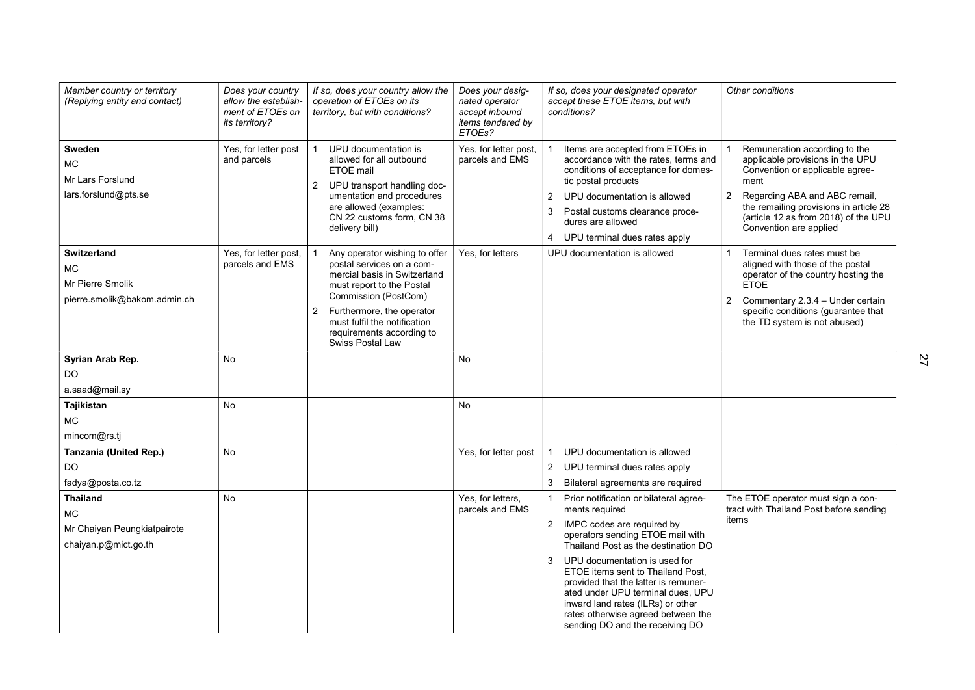| Member country or territory<br>(Replying entity and contact)                        | Does your country<br>allow the establish-<br>ment of ETOEs on<br><i>its territory?</i> | If so, does your country allow the<br>operation of ETOEs on its<br>territory, but with conditions?                                                                                                                                                                 | Does your desig-<br>nated operator<br>accept inbound<br>items tendered by<br>ETOEs? | If so, does your designated operator<br>accept these ETOE items, but with<br>conditions?                                                                                                                                                                                                                                                                                                                                                  | Other conditions                                                                                                                                                                                                                                                            |
|-------------------------------------------------------------------------------------|----------------------------------------------------------------------------------------|--------------------------------------------------------------------------------------------------------------------------------------------------------------------------------------------------------------------------------------------------------------------|-------------------------------------------------------------------------------------|-------------------------------------------------------------------------------------------------------------------------------------------------------------------------------------------------------------------------------------------------------------------------------------------------------------------------------------------------------------------------------------------------------------------------------------------|-----------------------------------------------------------------------------------------------------------------------------------------------------------------------------------------------------------------------------------------------------------------------------|
| Sweden<br><b>MC</b><br>Mr Lars Forslund<br>lars.forslund@pts.se                     | Yes, for letter post<br>and parcels                                                    | UPU documentation is<br>allowed for all outbound<br>ETOE mail<br>UPU transport handling doc-<br>$\overline{2}$<br>umentation and procedures<br>are allowed (examples:<br>CN 22 customs form, CN 38<br>delivery bill)                                               | Yes, for letter post,<br>parcels and EMS                                            | Items are accepted from ETOEs in<br>accordance with the rates, terms and<br>conditions of acceptance for domes-<br>tic postal products<br>$\overline{2}$<br>UPU documentation is allowed<br>3<br>Postal customs clearance proce-<br>dures are allowed<br>UPU terminal dues rates apply<br>4                                                                                                                                               | Remuneration according to the<br>applicable provisions in the UPU<br>Convention or applicable agree-<br>ment<br>$\overline{2}$<br>Regarding ABA and ABC remail,<br>the remailing provisions in article 28<br>(article 12 as from 2018) of the UPU<br>Convention are applied |
| <b>Switzerland</b><br><b>MC</b><br>Mr Pierre Smolik<br>pierre.smolik@bakom.admin.ch | Yes, for letter post,<br>parcels and EMS                                               | Any operator wishing to offer<br>postal services on a com-<br>mercial basis in Switzerland<br>must report to the Postal<br>Commission (PostCom)<br>Furthermore, the operator<br>2<br>must fulfil the notification<br>requirements according to<br>Swiss Postal Law | Yes, for letters                                                                    | UPU documentation is allowed                                                                                                                                                                                                                                                                                                                                                                                                              | Terminal dues rates must be<br>aligned with those of the postal<br>operator of the country hosting the<br><b>ETOE</b><br>Commentary 2.3.4 - Under certain<br>2<br>specific conditions (guarantee that<br>the TD system is not abused)                                       |
| Syrian Arab Rep.<br>DO.<br>a.saad@mail.sy                                           | No.                                                                                    |                                                                                                                                                                                                                                                                    | No                                                                                  |                                                                                                                                                                                                                                                                                                                                                                                                                                           |                                                                                                                                                                                                                                                                             |
| Tajikistan<br><b>MC</b><br>mincom@rs.ti                                             | <b>No</b>                                                                              |                                                                                                                                                                                                                                                                    | No.                                                                                 |                                                                                                                                                                                                                                                                                                                                                                                                                                           |                                                                                                                                                                                                                                                                             |
| <b>Tanzania (United Rep.)</b><br>DO.<br>fadya@posta.co.tz                           | <b>No</b>                                                                              |                                                                                                                                                                                                                                                                    | Yes, for letter post                                                                | UPU documentation is allowed<br>$\overline{2}$<br>UPU terminal dues rates apply<br>3<br>Bilateral agreements are required                                                                                                                                                                                                                                                                                                                 |                                                                                                                                                                                                                                                                             |
| <b>Thailand</b><br><b>MC</b><br>Mr Chaiyan Peungkiatpairote<br>chaiyan.p@mict.go.th | <b>No</b>                                                                              |                                                                                                                                                                                                                                                                    | Yes, for letters,<br>parcels and EMS                                                | Prior notification or bilateral agree-<br>ments required<br>2 IMPC codes are required by<br>operators sending ETOE mail with<br>Thailand Post as the destination DO<br>3<br>UPU documentation is used for<br>ETOE items sent to Thailand Post,<br>provided that the latter is remuner-<br>ated under UPU terminal dues, UPU<br>inward land rates (ILRs) or other<br>rates otherwise agreed between the<br>sending DO and the receiving DO | The ETOE operator must sign a con-<br>tract with Thailand Post before sending<br>items                                                                                                                                                                                      |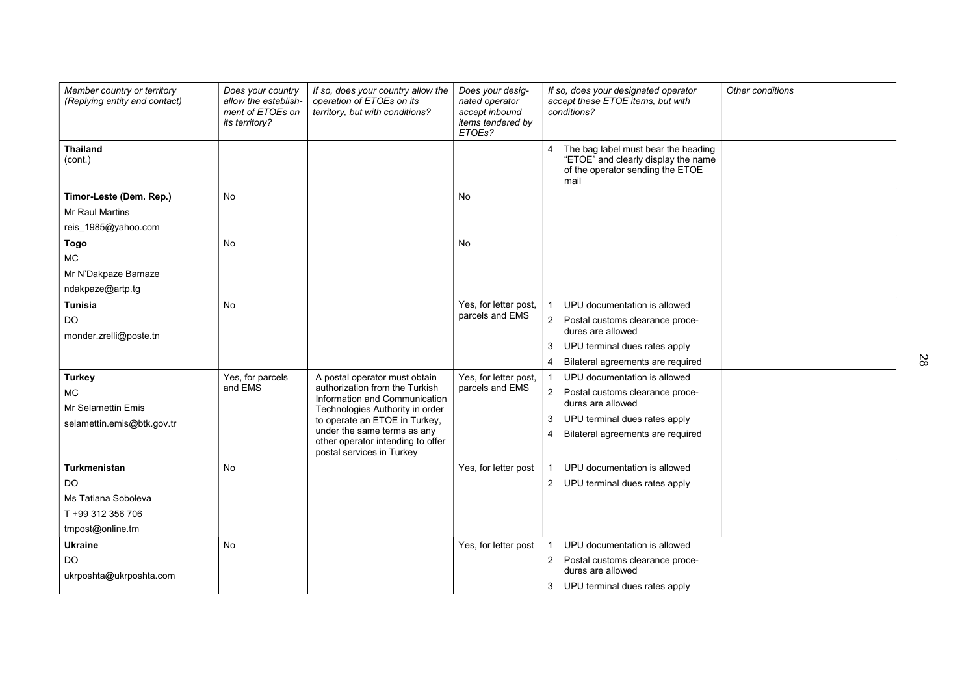| Member country or territory<br>(Replying entity and contact)                              | Does your country<br>allow the establish-<br>ment of ETOEs on<br>its territory? | If so, does your country allow the<br>operation of ETOEs on its<br>territory, but with conditions?                                                                                                                                                                    | Does your desig-<br>nated operator<br>accept inbound<br>items tendered by<br>ETOEs? | If so, does your designated operator<br>Other conditions<br>accept these ETOE items, but with<br>conditions?                                                                           |
|-------------------------------------------------------------------------------------------|---------------------------------------------------------------------------------|-----------------------------------------------------------------------------------------------------------------------------------------------------------------------------------------------------------------------------------------------------------------------|-------------------------------------------------------------------------------------|----------------------------------------------------------------------------------------------------------------------------------------------------------------------------------------|
| <b>Thailand</b><br>(cont.)                                                                |                                                                                 |                                                                                                                                                                                                                                                                       |                                                                                     | The bag label must bear the heading<br>"ETOE" and clearly display the name<br>of the operator sending the ETOE<br>mail                                                                 |
| Timor-Leste (Dem. Rep.)<br><b>Mr Raul Martins</b>                                         | <b>No</b>                                                                       |                                                                                                                                                                                                                                                                       | <b>No</b>                                                                           |                                                                                                                                                                                        |
| reis 1985@yahoo.com<br><b>Togo</b><br>MC.<br>Mr N'Dakpaze Bamaze<br>ndakpaze@artp.tg      | <b>No</b>                                                                       |                                                                                                                                                                                                                                                                       | <b>No</b>                                                                           |                                                                                                                                                                                        |
| <b>Tunisia</b><br><b>DO</b><br>monder.zrelli@poste.tn                                     | <b>No</b>                                                                       |                                                                                                                                                                                                                                                                       | Yes, for letter post,<br>parcels and EMS                                            | UPU documentation is allowed<br>Postal customs clearance proce-<br>2<br>dures are allowed<br>UPU terminal dues rates apply<br>Bilateral agreements are required                        |
| <b>Turkey</b><br>MC<br><b>Mr Selamettin Emis</b><br>selamettin.emis@btk.gov.tr            | Yes, for parcels<br>and EMS                                                     | A postal operator must obtain<br>authorization from the Turkish<br>Information and Communication<br>Technologies Authority in order<br>to operate an ETOE in Turkey,<br>under the same terms as any<br>other operator intending to offer<br>postal services in Turkey | Yes, for letter post,<br>parcels and EMS                                            | UPU documentation is allowed<br>$\overline{2}$<br>Postal customs clearance proce-<br>dures are allowed<br>UPU terminal dues rates apply<br>3<br>Bilateral agreements are required<br>4 |
| Turkmenistan<br><b>DO</b><br>Ms Tatiana Soboleva<br>T +99 312 356 706<br>tmpost@online.tm | <b>No</b>                                                                       |                                                                                                                                                                                                                                                                       | Yes, for letter post                                                                | UPU documentation is allowed<br>2 UPU terminal dues rates apply                                                                                                                        |
| <b>Ukraine</b><br>DO<br>ukrposhta@ukrposhta.com                                           | <b>No</b>                                                                       |                                                                                                                                                                                                                                                                       | Yes, for letter post                                                                | UPU documentation is allowed<br>2 Postal customs clearance proce-<br>dures are allowed<br>UPU terminal dues rates apply<br>3                                                           |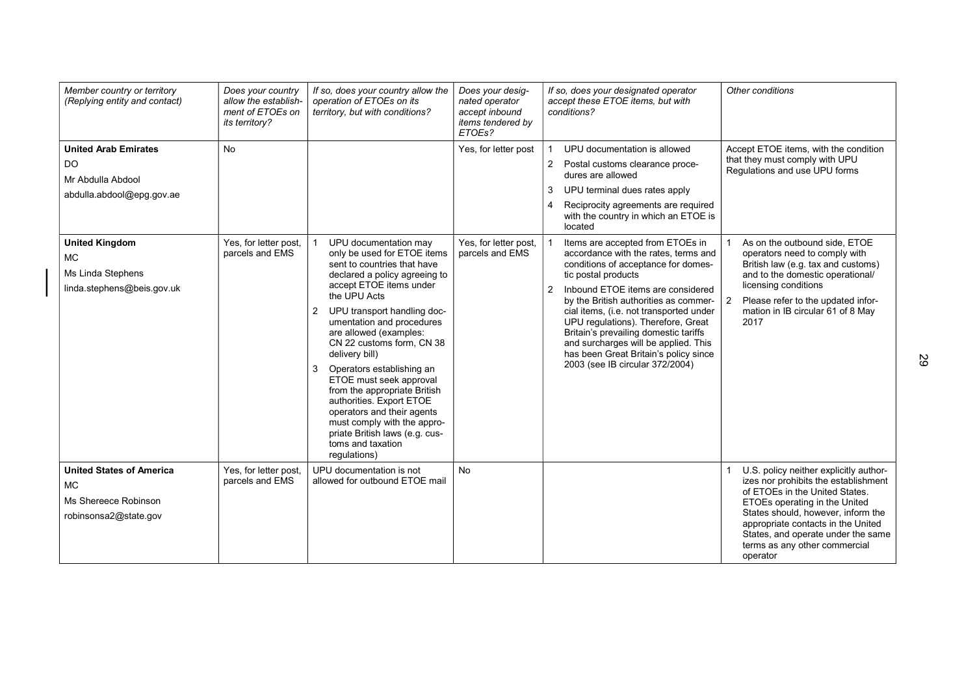| Member country or territory<br>(Replying entity and contact)                                  | Does your country<br>allow the establish-<br>ment of ETOEs on<br>its territory? | If so, does your country allow the<br>operation of ETOEs on its<br>territory, but with conditions?                                                                                                                                                                                                                                                                                                                                                                                                                                                                                  | Does your desig-<br>nated operator<br>accept inbound<br>items tendered by<br>ETOEs? | If so, does your designated operator<br>accept these ETOE items, but with<br>conditions?                                                                                                                                                                                                                                                                                                                                                                                           | Other conditions                                                                                                                                                                                                                                                                                                 |
|-----------------------------------------------------------------------------------------------|---------------------------------------------------------------------------------|-------------------------------------------------------------------------------------------------------------------------------------------------------------------------------------------------------------------------------------------------------------------------------------------------------------------------------------------------------------------------------------------------------------------------------------------------------------------------------------------------------------------------------------------------------------------------------------|-------------------------------------------------------------------------------------|------------------------------------------------------------------------------------------------------------------------------------------------------------------------------------------------------------------------------------------------------------------------------------------------------------------------------------------------------------------------------------------------------------------------------------------------------------------------------------|------------------------------------------------------------------------------------------------------------------------------------------------------------------------------------------------------------------------------------------------------------------------------------------------------------------|
| <b>United Arab Emirates</b><br>DO<br>Mr Abdulla Abdool<br>abdulla.abdool@epg.gov.ae           | <b>No</b>                                                                       |                                                                                                                                                                                                                                                                                                                                                                                                                                                                                                                                                                                     | Yes, for letter post                                                                | UPU documentation is allowed<br>$\mathbf{1}$<br>$\overline{2}$<br>Postal customs clearance proce-<br>dures are allowed<br>UPU terminal dues rates apply<br>3<br>Reciprocity agreements are required<br>4<br>with the country in which an ETOE is<br>located                                                                                                                                                                                                                        | Accept ETOE items, with the condition<br>that they must comply with UPU<br>Regulations and use UPU forms                                                                                                                                                                                                         |
| <b>United Kingdom</b><br>MC.<br>Ms Linda Stephens<br>linda.stephens@beis.gov.uk               | Yes, for letter post,<br>parcels and EMS                                        | UPU documentation may<br>only be used for ETOE items<br>sent to countries that have<br>declared a policy agreeing to<br>accept ETOE items under<br>the UPU Acts<br>$\overline{2}$<br>UPU transport handling doc-<br>umentation and procedures<br>are allowed (examples:<br>CN 22 customs form, CN 38<br>delivery bill)<br>3<br>Operators establishing an<br>ETOE must seek approval<br>from the appropriate British<br>authorities. Export ETOE<br>operators and their agents<br>must comply with the appro-<br>priate British laws (e.g. cus-<br>toms and taxation<br>regulations) | Yes, for letter post,<br>parcels and EMS                                            | Items are accepted from ETOEs in<br>accordance with the rates, terms and<br>conditions of acceptance for domes-<br>tic postal products<br>Inbound ETOE items are considered<br>$\mathbf{2}$<br>by the British authorities as commer-<br>cial items, (i.e. not transported under<br>UPU regulations). Therefore, Great<br>Britain's prevailing domestic tariffs<br>and surcharges will be applied. This<br>has been Great Britain's policy since<br>2003 (see IB circular 372/2004) | As on the outbound side, ETOE<br>operators need to comply with<br>British law (e.g. tax and customs)<br>and to the domestic operational/<br>licensing conditions<br>Please refer to the updated infor-<br>$\overline{2}$<br>mation in IB circular 61 of 8 May<br>2017                                            |
| <b>United States of America</b><br><b>MC</b><br>Ms Shereece Robinson<br>robinsonsa2@state.gov | Yes, for letter post,<br>parcels and EMS                                        | UPU documentation is not<br>allowed for outbound ETOE mail                                                                                                                                                                                                                                                                                                                                                                                                                                                                                                                          | <b>No</b>                                                                           |                                                                                                                                                                                                                                                                                                                                                                                                                                                                                    | U.S. policy neither explicitly author-<br>izes nor prohibits the establishment<br>of ETOEs in the United States.<br>ETOEs operating in the United<br>States should, however, inform the<br>appropriate contacts in the United<br>States, and operate under the same<br>terms as any other commercial<br>operator |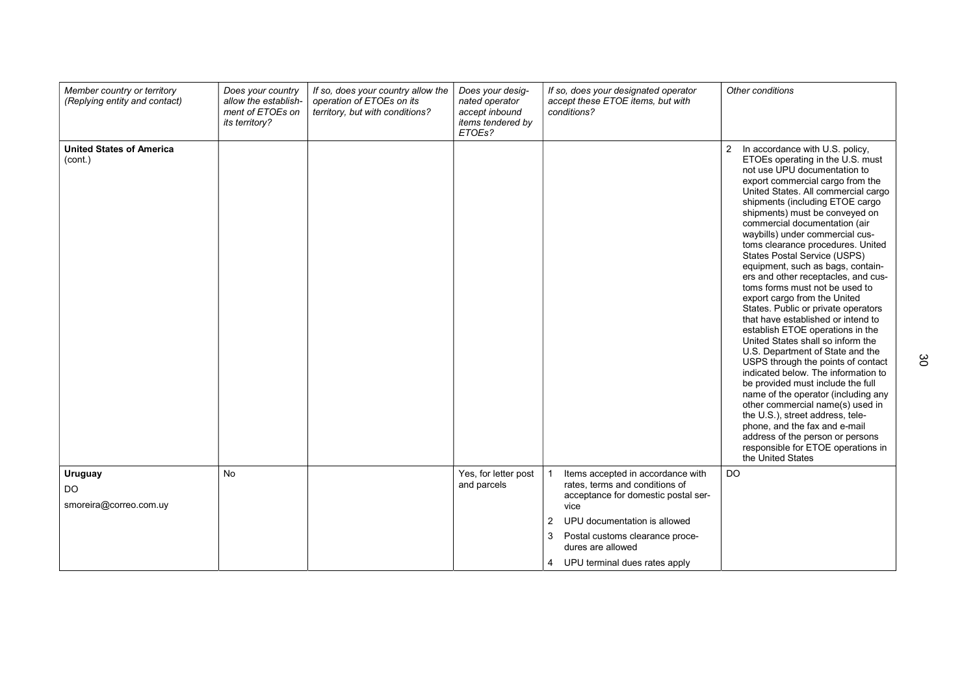| Member country or territory<br>(Replying entity and contact) | Does your country<br>allow the establish-<br>ment of ETOEs on<br><i>its territory?</i> | If so, does your country allow the<br>operation of ETOEs on its<br>territory, but with conditions? | Does your desig-<br>nated operator<br>accept inbound<br>items tendered by<br>ETOEs? | If so, does your designated operator<br>accept these ETOE items, but with<br>conditions?                           | Other conditions                                                                                                                                                                                                                                                                                                                                                                                                                                                                                                                                                                                                                                                                                                                                                                                                                                                                                                                                                                                                                                                                                                               |
|--------------------------------------------------------------|----------------------------------------------------------------------------------------|----------------------------------------------------------------------------------------------------|-------------------------------------------------------------------------------------|--------------------------------------------------------------------------------------------------------------------|--------------------------------------------------------------------------------------------------------------------------------------------------------------------------------------------------------------------------------------------------------------------------------------------------------------------------------------------------------------------------------------------------------------------------------------------------------------------------------------------------------------------------------------------------------------------------------------------------------------------------------------------------------------------------------------------------------------------------------------------------------------------------------------------------------------------------------------------------------------------------------------------------------------------------------------------------------------------------------------------------------------------------------------------------------------------------------------------------------------------------------|
| <b>United States of America</b><br>(cont.)                   |                                                                                        |                                                                                                    |                                                                                     |                                                                                                                    | $\overline{2}$<br>In accordance with U.S. policy,<br>ETOEs operating in the U.S. must<br>not use UPU documentation to<br>export commercial cargo from the<br>United States. All commercial cargo<br>shipments (including ETOE cargo<br>shipments) must be conveyed on<br>commercial documentation (air<br>waybills) under commercial cus-<br>toms clearance procedures. United<br><b>States Postal Service (USPS)</b><br>equipment, such as bags, contain-<br>ers and other receptacles, and cus-<br>toms forms must not be used to<br>export cargo from the United<br>States. Public or private operators<br>that have established or intend to<br>establish ETOE operations in the<br>United States shall so inform the<br>U.S. Department of State and the<br>USPS through the points of contact<br>indicated below. The information to<br>be provided must include the full<br>name of the operator (including any<br>other commercial name(s) used in<br>the U.S.), street address, tele-<br>phone, and the fax and e-mail<br>address of the person or persons<br>responsible for ETOE operations in<br>the United States |
| Uruguay<br>DO.<br>smoreira@correo.com.uy                     | <b>No</b>                                                                              |                                                                                                    | Yes, for letter post<br>and parcels                                                 | Items accepted in accordance with<br>rates, terms and conditions of<br>acceptance for domestic postal ser-<br>vice | DO                                                                                                                                                                                                                                                                                                                                                                                                                                                                                                                                                                                                                                                                                                                                                                                                                                                                                                                                                                                                                                                                                                                             |
|                                                              |                                                                                        |                                                                                                    |                                                                                     | $\overline{2}$<br>UPU documentation is allowed                                                                     |                                                                                                                                                                                                                                                                                                                                                                                                                                                                                                                                                                                                                                                                                                                                                                                                                                                                                                                                                                                                                                                                                                                                |
|                                                              |                                                                                        |                                                                                                    |                                                                                     | 3<br>Postal customs clearance proce-<br>dures are allowed                                                          |                                                                                                                                                                                                                                                                                                                                                                                                                                                                                                                                                                                                                                                                                                                                                                                                                                                                                                                                                                                                                                                                                                                                |
|                                                              |                                                                                        |                                                                                                    |                                                                                     | UPU terminal dues rates apply<br>4                                                                                 |                                                                                                                                                                                                                                                                                                                                                                                                                                                                                                                                                                                                                                                                                                                                                                                                                                                                                                                                                                                                                                                                                                                                |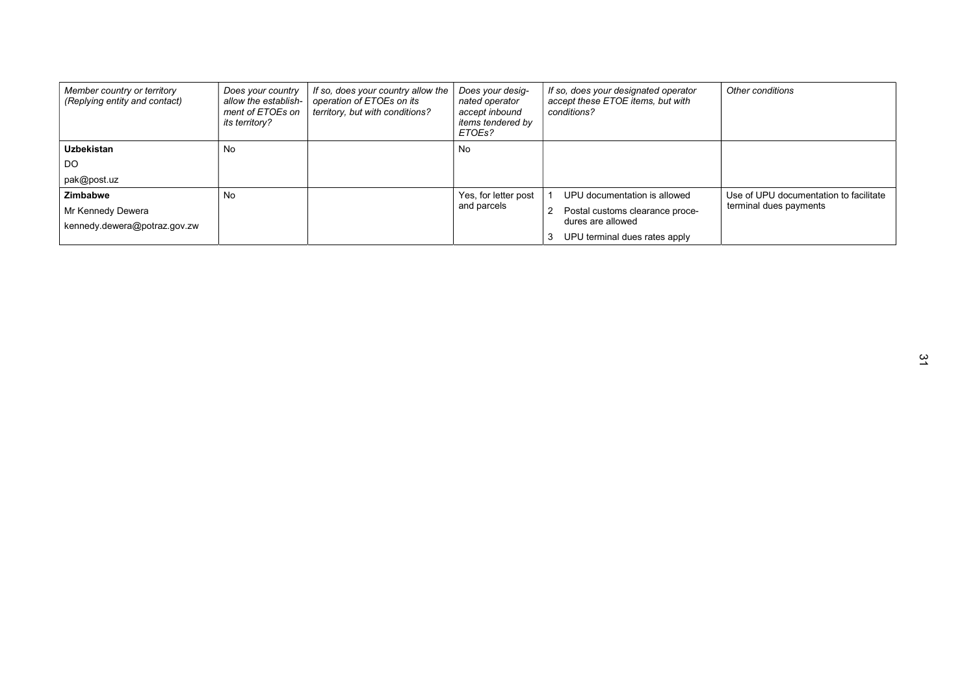| Member country or territory<br>(Replying entity and contact) | Does your country<br>allow the establish-<br>ment of ETOEs on<br>its territory? | If so, does your country allow the<br>operation of ETOEs on its<br>territory, but with conditions? | Does your desig-<br>nated operator<br>accept inbound<br><i>items tendered by</i><br>ETOEs? | If so, does your designated operator<br>accept these ETOE items, but with<br>conditions? | Other conditions                       |
|--------------------------------------------------------------|---------------------------------------------------------------------------------|----------------------------------------------------------------------------------------------------|--------------------------------------------------------------------------------------------|------------------------------------------------------------------------------------------|----------------------------------------|
| <b>Uzbekistan</b>                                            | <b>No</b>                                                                       |                                                                                                    | No                                                                                         |                                                                                          |                                        |
| DO                                                           |                                                                                 |                                                                                                    |                                                                                            |                                                                                          |                                        |
| pak@post.uz                                                  |                                                                                 |                                                                                                    |                                                                                            |                                                                                          |                                        |
| Zimbabwe                                                     | No                                                                              |                                                                                                    | Yes, for letter post                                                                       | UPU documentation is allowed                                                             | Use of UPU documentation to facilitate |
| Mr Kennedy Dewera                                            |                                                                                 |                                                                                                    | and parcels                                                                                | Postal customs clearance proce-                                                          | terminal dues payments                 |
| kennedy.dewera@potraz.gov.zw                                 |                                                                                 |                                                                                                    |                                                                                            | dures are allowed                                                                        |                                        |
|                                                              |                                                                                 |                                                                                                    |                                                                                            | UPU terminal dues rates apply                                                            |                                        |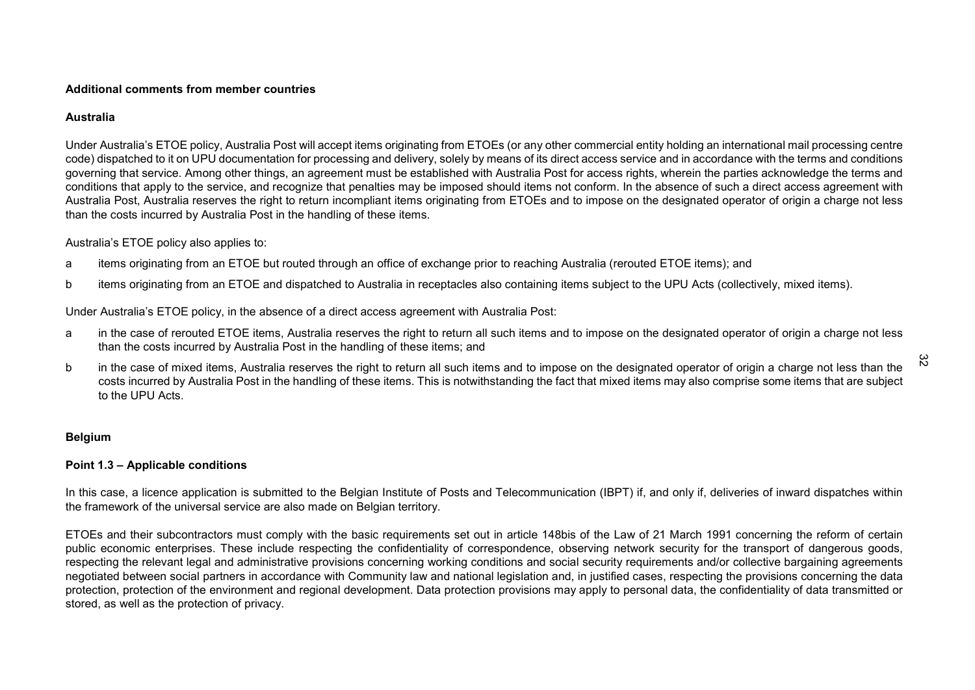#### Additional comments from member countries

#### Australia

Under Australia's ETOE policy, Australia Post will accept items originating from ETOEs (or any other commercial entity holding an international mail processing centre code) dispatched to it on UPU documentation for processing and delivery, solely by means of its direct access service and in accordance with the terms and conditions governing that service. Among other things, an agreement must be established with Australia Post for access rights, wherein the parties acknowledge the terms and conditions that apply to the service, and recognize that penalties may be imposed should items not conform. In the absence of such a direct access agreement with Australia Post, Australia reserves the right to return incompliant items originating from ETOEs and to impose on the designated operator of origin a charge not less than the costs incurred by Australia Post in the handling of these items.

#### Australia's ETOE policy also applies to:

- a items originating from an ETOE but routed through an office of exchange prior to reaching Australia (rerouted ETOE items); and
- b items originating from an ETOE and dispatched to Australia in receptacles also containing items subject to the UPU Acts (collectively, mixed items).

Under Australia's ETOE policy, in the absence of a direct access agreement with Australia Post:

- a in the case of rerouted ETOE items, Australia reserves the right to return all such items and to impose on the designated operator of origin a charge not less than the costs incurred by Australia Post in the handling of these items; and
- b in the case of mixed items, Australia reserves the right to return all such items and to impose on the designated operator of origin a charge not less than the costs incurred by Australia Post in the handling of these items. This is notwithstanding the fact that mixed items may also comprise some items that are subject to the UPU Acts.

# Belgium

#### Point 1.3 – Applicable conditions

In this case, a licence application is submitted to the Belgian Institute of Posts and Telecommunication (IBPT) if, and only if, deliveries of inward dispatches within the framework of the universal service are also made on Belgian territory.

ETOEs and their subcontractors must comply with the basic requirements set out in article 148bis of the Law of 21 March 1991 concerning the reform of certain public economic enterprises. These include respecting the confidentiality of correspondence, observing network security for the transport of dangerous goods, respecting the relevant legal and administrative provisions concerning working conditions and social security requirements and/or collective bargaining agreements negotiated between social partners in accordance with Community law and national legislation and, in justified cases, respecting the provisions concerning the data protection, protection of the environment and regional development. Data protection provisions may apply to personal data, the confidentiality of data transmitted or stored, as well as the protection of privacy.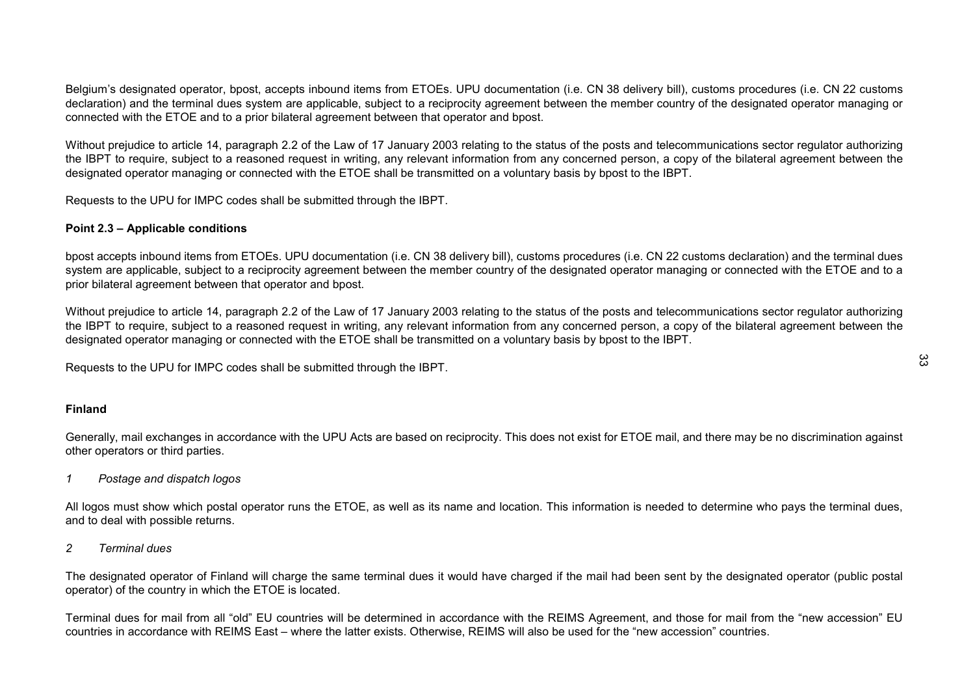Belgium's designated operator, bpost, accepts inbound items from ETOEs. UPU documentation (i.e. CN 38 delivery bill), customs procedures (i.e. CN 22 customs declaration) and the terminal dues system are applicable, subject to a reciprocity agreement between the member country of the designated operator managing or connected with the ETOE and to a prior bilateral agreement between that operator and bpost.

Without prejudice to article 14, paragraph 2.2 of the Law of 17 January 2003 relating to the status of the posts and telecommunications sector regulator authorizing the IBPT to require, subject to a reasoned request in writing, any relevant information from any concerned person, a copy of the bilateral agreement between the designated operator managing or connected with the ETOE shall be transmitted on a voluntary basis by bpost to the IBPT.

Requests to the UPU for IMPC codes shall be submitted through the IBPT.

#### Point 2.3 – Applicable conditions

bpost accepts inbound items from ETOEs. UPU documentation (i.e. CN 38 delivery bill), customs procedures (i.e. CN 22 customs declaration) and the terminal dues system are applicable, subject to a reciprocity agreement between the member country of the designated operator managing or connected with the ETOE and to a prior bilateral agreement between that operator and bpost.

Without prejudice to article 14, paragraph 2.2 of the Law of 17 January 2003 relating to the status of the posts and telecommunications sector regulator authorizing the IBPT to require, subject to a reasoned request in writing, any relevant information from any concerned person, a copy of the bilateral agreement between the designated operator managing or connected with the ETOE shall be transmitted on a voluntary basis by bpost to the IBPT.

Requests to the UPU for IMPC codes shall be submitted through the IBPT.

# Finland

Generally, mail exchanges in accordance with the UPU Acts are based on reciprocity. This does not exist for ETOE mail, and there may be no discrimination against other operators or third parties.

1 Postage and dispatch logos

All logos must show which postal operator runs the ETOE, as well as its name and location. This information is needed to determine who pays the terminal dues, and to deal with possible returns.

#### 2 Terminal dues

The designated operator of Finland will charge the same terminal dues it would have charged if the mail had been sent by the designated operator (public postal operator) of the country in which the ETOE is located.

Terminal dues for mail from all "old" EU countries will be determined in accordance with the REIMS Agreement, and those for mail from the "new accession" EU countries in accordance with REIMS East – where the latter exists. Otherwise, REIMS will also be used for the "new accession" countries.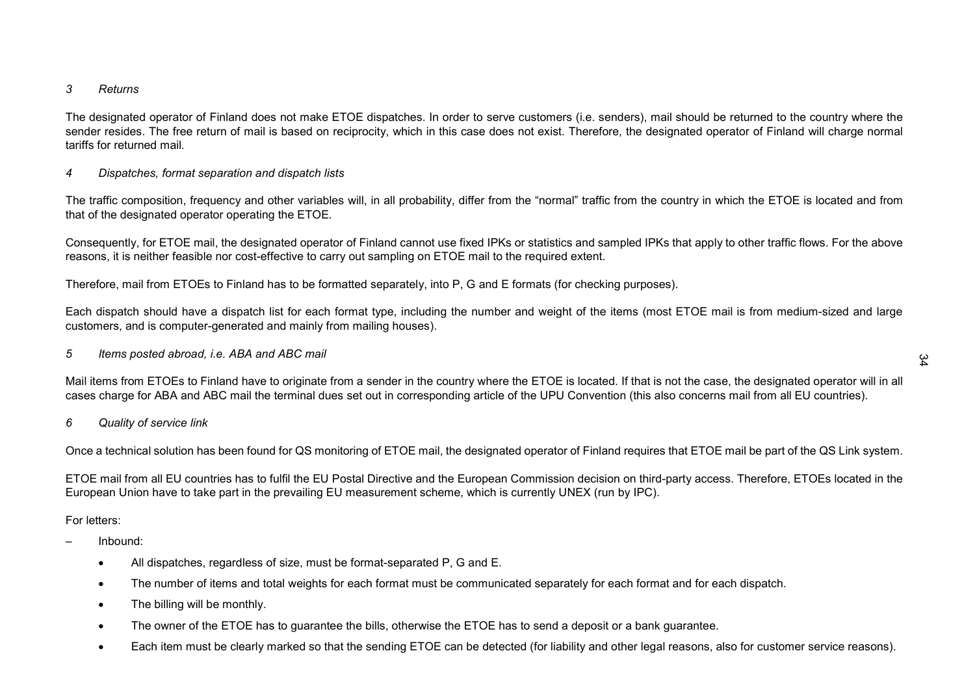#### 3 Returns

The designated operator of Finland does not make ETOE dispatches. In order to serve customers (i.e. senders), mail should be returned to the country where the sender resides. The free return of mail is based on reciprocity, which in this case does not exist. Therefore, the designated operator of Finland will charge normal tariffs for returned mail.

# 4 Dispatches, format separation and dispatch lists

The traffic composition, frequency and other variables will, in all probability, differ from the "normal" traffic from the country in which the ETOE is located and from that of the designated operator operating the ETOE.

Consequently, for ETOE mail, the designated operator of Finland cannot use fixed IPKs or statistics and sampled IPKs that apply to other traffic flows. For the above reasons, it is neither feasible nor cost-effective to carry out sampling on ETOE mail to the required extent.

Therefore, mail from ETOEs to Finland has to be formatted separately, into P, G and E formats (for checking purposes).

Each dispatch should have a dispatch list for each format type, including the number and weight of the items (most ETOE mail is from medium-sized and large customers, and is computer-generated and mainly from mailing houses).

5 Items posted abroad, i.e. ABA and ABC mail

Mail items from ETOEs to Finland have to originate from a sender in the country where the ETOE is located. If that is not the case, the designated operator will in all cases charge for ABA and ABC mail the terminal dues set out in corresponding article of the UPU Convention (this also concerns mail from all EU countries).

#### 6 Quality of service link

Once a technical solution has been found for QS monitoring of ETOE mail, the designated operator of Finland requires that ETOE mail be part of the QS Link system.

ETOE mail from all EU countries has to fulfil the EU Postal Directive and the European Commission decision on third-party access. Therefore, ETOEs located in the European Union have to take part in the prevailing EU measurement scheme, which is currently UNEX (run by IPC).

#### For letters:

- Inbound:
	- All dispatches, regardless of size, must be format-separated P, G and E.
	- The number of items and total weights for each format must be communicated separately for each format and for each dispatch.
	- The billing will be monthly.
	- The owner of the ETOE has to guarantee the bills, otherwise the ETOE has to send a deposit or a bank guarantee.
	- Each item must be clearly marked so that the sending ETOE can be detected (for liability and other legal reasons, also for customer service reasons).

# $\frac{3}{4}$